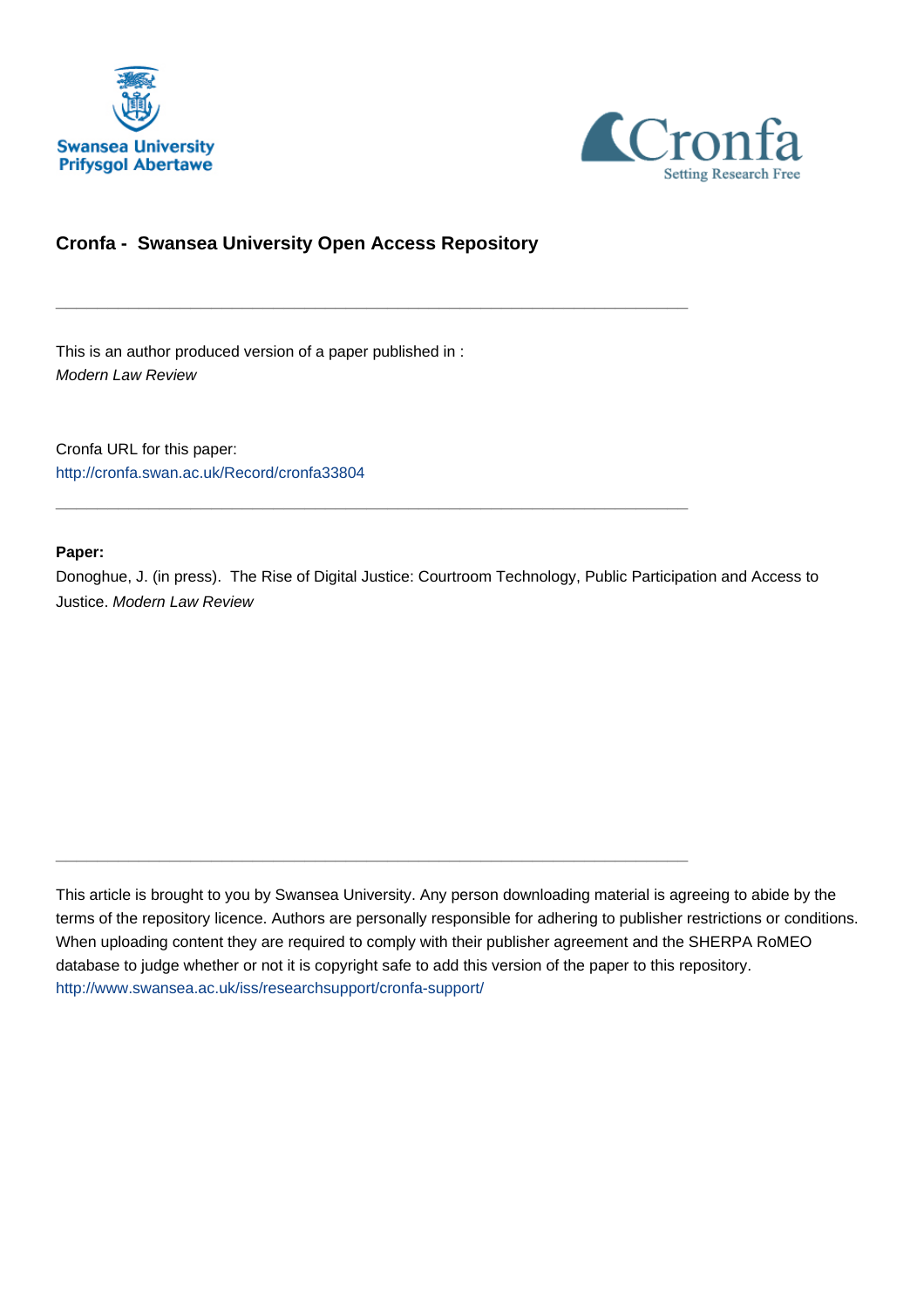



# **Cronfa - Swansea University Open Access Repository**

\_\_\_\_\_\_\_\_\_\_\_\_\_\_\_\_\_\_\_\_\_\_\_\_\_\_\_\_\_\_\_\_\_\_\_\_\_\_\_\_\_\_\_\_\_\_\_\_\_\_\_\_\_\_\_\_\_\_\_\_\_

\_\_\_\_\_\_\_\_\_\_\_\_\_\_\_\_\_\_\_\_\_\_\_\_\_\_\_\_\_\_\_\_\_\_\_\_\_\_\_\_\_\_\_\_\_\_\_\_\_\_\_\_\_\_\_\_\_\_\_\_\_

 $\_$  , and the set of the set of the set of the set of the set of the set of the set of the set of the set of the set of the set of the set of the set of the set of the set of the set of the set of the set of the set of th

This is an author produced version of a paper published in : Modern Law Review

Cronfa URL for this paper: <http://cronfa.swan.ac.uk/Record/cronfa33804>

## **Paper:**

Donoghue, J. (in press). The Rise of Digital Justice: Courtroom Technology, Public Participation and Access to Justice. Modern Law Review

This article is brought to you by Swansea University. Any person downloading material is agreeing to abide by the terms of the repository licence. Authors are personally responsible for adhering to publisher restrictions or conditions. When uploading content they are required to comply with their publisher agreement and the SHERPA RoMEO database to judge whether or not it is copyright safe to add this version of the paper to this repository. [http://www.swansea.ac.uk/iss/researchsupport/cronfa-support/](http://www.swansea.ac.uk/iss/researchsupport/cronfa-support/ )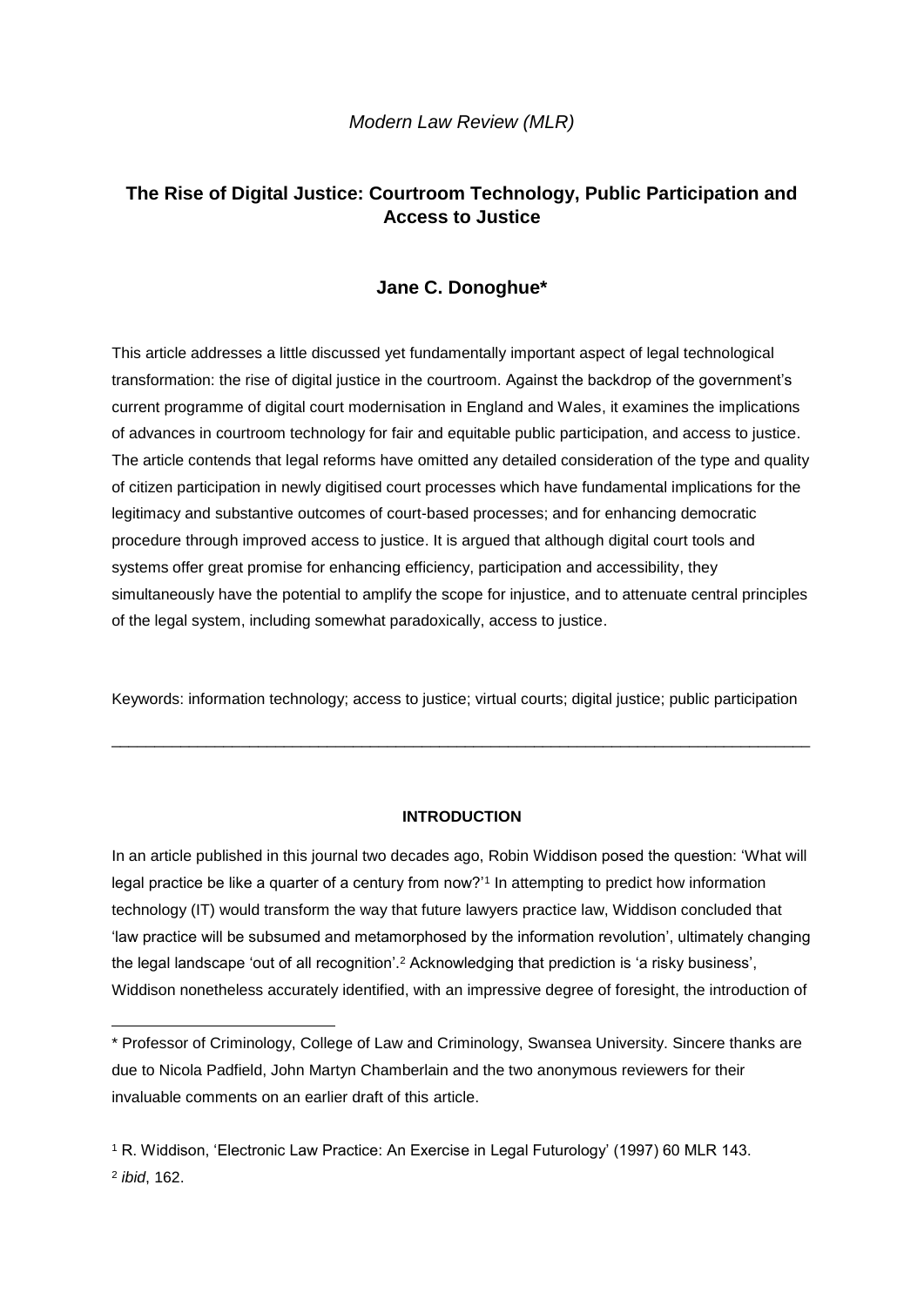## *Modern Law Review (MLR)*

# **The Rise of Digital Justice: Courtroom Technology, Public Participation and Access to Justice**

## **Jane C. Donoghue\***

This article addresses a little discussed yet fundamentally important aspect of legal technological transformation: the rise of digital justice in the courtroom. Against the backdrop of the government's current programme of digital court modernisation in England and Wales, it examines the implications of advances in courtroom technology for fair and equitable public participation, and access to justice. The article contends that legal reforms have omitted any detailed consideration of the type and quality of citizen participation in newly digitised court processes which have fundamental implications for the legitimacy and substantive outcomes of court-based processes; and for enhancing democratic procedure through improved access to justice. It is argued that although digital court tools and systems offer great promise for enhancing efficiency, participation and accessibility, they simultaneously have the potential to amplify the scope for injustice, and to attenuate central principles of the legal system, including somewhat paradoxically, access to justice.

Keywords: information technology; access to justice; virtual courts; digital justice; public participation

\_\_\_\_\_\_\_\_\_\_\_\_\_\_\_\_\_\_\_\_\_\_\_\_\_\_\_\_\_\_\_\_\_\_\_\_\_\_\_\_\_\_\_\_\_\_\_\_\_\_\_\_\_\_\_\_\_\_\_\_\_\_\_\_\_\_\_\_\_\_\_\_\_\_\_\_\_\_\_\_\_

## **INTRODUCTION**

In an article published in this journal two decades ago, Robin Widdison posed the question: 'What will legal practice be like a quarter of a century from now?'<sup>1</sup> In attempting to predict how information technology (IT) would transform the way that future lawyers practice law, Widdison concluded that 'law practice will be subsumed and metamorphosed by the information revolution', ultimately changing the legal landscape 'out of all recognition'. <sup>2</sup> Acknowledging that prediction is 'a risky business', Widdison nonetheless accurately identified, with an impressive degree of foresight, the introduction of

 $\overline{a}$ 

<sup>\*</sup> Professor of Criminology, College of Law and Criminology, Swansea University. Sincere thanks are due to Nicola Padfield, John Martyn Chamberlain and the two anonymous reviewers for their invaluable comments on an earlier draft of this article.

<sup>1</sup> R. Widdison, 'Electronic Law Practice: An Exercise in Legal Futurology' (1997) 60 MLR 143. 2 *ibid*, 162.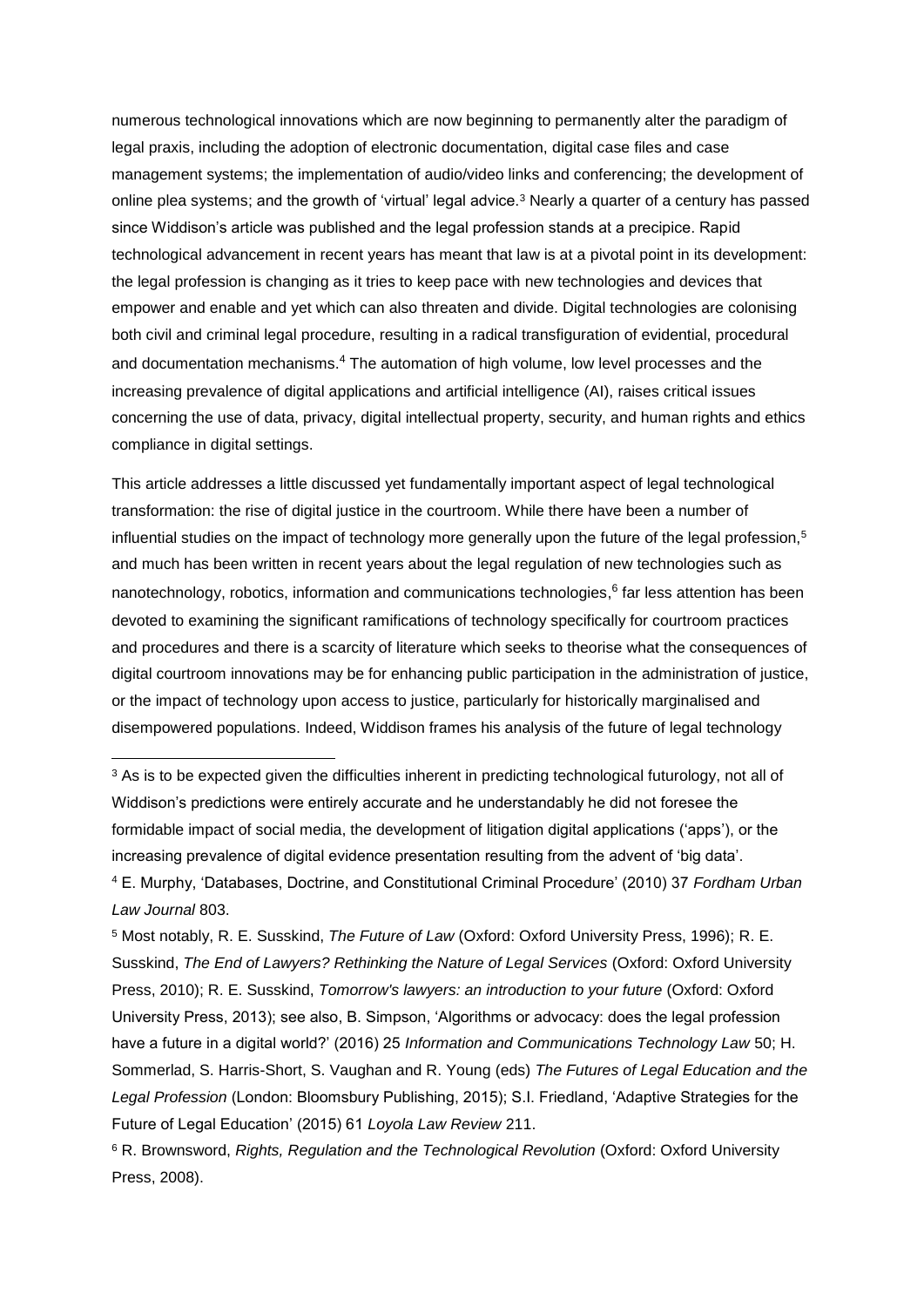numerous technological innovations which are now beginning to permanently alter the paradigm of legal praxis, including the adoption of electronic documentation, digital case files and case management systems; the implementation of audio/video links and conferencing; the development of online plea systems; and the growth of 'virtual' legal advice.<sup>3</sup> Nearly a quarter of a century has passed since Widdison's article was published and the legal profession stands at a precipice. Rapid technological advancement in recent years has meant that law is at a pivotal point in its development: the legal profession is changing as it tries to keep pace with new technologies and devices that empower and enable and yet which can also threaten and divide. Digital technologies are colonising both civil and criminal legal procedure, resulting in a radical transfiguration of evidential, procedural and documentation mechanisms.<sup>4</sup> The automation of high volume, low level processes and the increasing prevalence of digital applications and artificial intelligence (AI), raises critical issues concerning the use of data, privacy, digital intellectual property, security, and human rights and ethics compliance in digital settings.

This article addresses a little discussed yet fundamentally important aspect of legal technological transformation: the rise of digital justice in the courtroom. While there have been a number of influential studies on the impact of technology more generally upon the future of the legal profession, $5$ and much has been written in recent years about the legal regulation of new technologies such as nanotechnology, robotics, information and communications technologies,<sup>6</sup> far less attention has been devoted to examining the significant ramifications of technology specifically for courtroom practices and procedures and there is a scarcity of literature which seeks to theorise what the consequences of digital courtroom innovations may be for enhancing public participation in the administration of justice, or the impact of technology upon access to justice, particularly for historically marginalised and disempowered populations. Indeed, Widdison frames his analysis of the future of legal technology

**.** 

<sup>&</sup>lt;sup>3</sup> As is to be expected given the difficulties inherent in predicting technological futurology, not all of Widdison's predictions were entirely accurate and he understandably he did not foresee the formidable impact of social media, the development of litigation digital applications ('apps'), or the increasing prevalence of digital evidence presentation resulting from the advent of 'big data'. <sup>4</sup> E. Murphy, 'Databases, Doctrine, and Constitutional Criminal Procedure' (2010) 37 *Fordham Urban Law Journal* 803.

<sup>5</sup> Most notably, R. E. Susskind, *The Future of Law* (Oxford: Oxford University Press, 1996); R. E. Susskind, *The End of Lawyers? Rethinking the Nature of Legal Services* (Oxford: Oxford University Press, 2010); R. E. Susskind, *Tomorrow's lawyers: an introduction to your future* (Oxford: Oxford University Press, 2013); see also, B. Simpson, 'Algorithms or advocacy: does the legal profession have a future in a digital world?' (2016) 25 *Information and Communications Technology Law* 50; H. Sommerlad, S. Harris-Short, S. Vaughan and R. Young (eds) *The Futures of Legal Education and the Legal Profession* (London: Bloomsbury Publishing, 2015); S.I. Friedland, 'Adaptive Strategies for the Future of Legal Education' (2015) 61 *Loyola Law Review* 211.

<sup>6</sup> R. Brownsword, *Rights, Regulation and the Technological Revolution* (Oxford: Oxford University Press, 2008).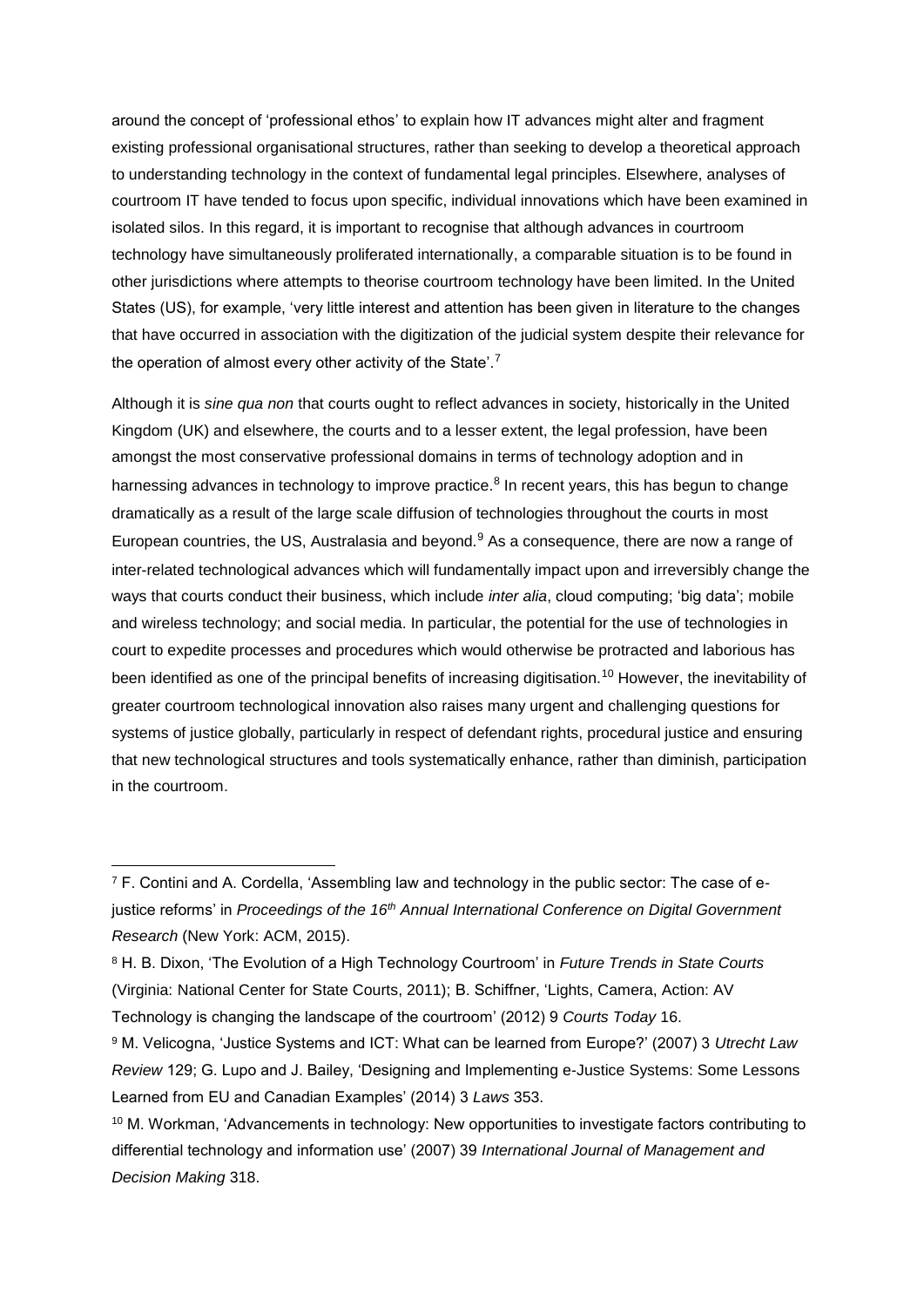around the concept of 'professional ethos' to explain how IT advances might alter and fragment existing professional organisational structures, rather than seeking to develop a theoretical approach to understanding technology in the context of fundamental legal principles. Elsewhere, analyses of courtroom IT have tended to focus upon specific, individual innovations which have been examined in isolated silos. In this regard, it is important to recognise that although advances in courtroom technology have simultaneously proliferated internationally, a comparable situation is to be found in other jurisdictions where attempts to theorise courtroom technology have been limited. In the United States (US), for example, 'very little interest and attention has been given in literature to the changes that have occurred in association with the digitization of the judicial system despite their relevance for the operation of almost every other activity of the State'.<sup>7</sup>

Although it is *sine qua non* that courts ought to reflect advances in society, historically in the United Kingdom (UK) and elsewhere, the courts and to a lesser extent, the legal profession, have been amongst the most conservative professional domains in terms of technology adoption and in harnessing advances in technology to improve practice.<sup>8</sup> In recent years, this has begun to change dramatically as a result of the large scale diffusion of technologies throughout the courts in most European countries, the US, Australasia and beyond. $9$  As a consequence, there are now a range of inter-related technological advances which will fundamentally impact upon and irreversibly change the ways that courts conduct their business, which include *inter alia*, cloud computing; 'big data'; mobile and wireless technology; and social media. In particular, the potential for the use of technologies in court to expedite processes and procedures which would otherwise be protracted and laborious has been identified as one of the principal benefits of increasing digitisation.<sup>10</sup> However, the inevitability of greater courtroom technological innovation also raises many urgent and challenging questions for systems of justice globally, particularly in respect of defendant rights, procedural justice and ensuring that new technological structures and tools systematically enhance, rather than diminish, participation in the courtroom.

 $7$  F. Contini and A. Cordella, 'Assembling law and technology in the public sector: The case of ejustice reforms' in *Proceedings of the 16th Annual International Conference on Digital Government Research* (New York: ACM, 2015).

<sup>8</sup> H. B. Dixon, 'The Evolution of a High Technology Courtroom' in *Future Trends in State Courts* (Virginia: National Center for State Courts, 2011); B. Schiffner, 'Lights, Camera, Action: AV Technology is changing the landscape of the courtroom' (2012) 9 *Courts Today* 16.

<sup>9</sup> M. Velicogna, 'Justice Systems and ICT: What can be learned from Europe?' (2007) 3 *Utrecht Law Review* 129; G. Lupo and J. Bailey, 'Designing and Implementing e-Justice Systems: Some Lessons Learned from EU and Canadian Examples' (2014) 3 *Laws* 353.

<sup>10</sup> M. Workman, 'Advancements in technology: New opportunities to investigate factors contributing to differential technology and information use' (2007) 39 *International Journal of Management and Decision Making* 318.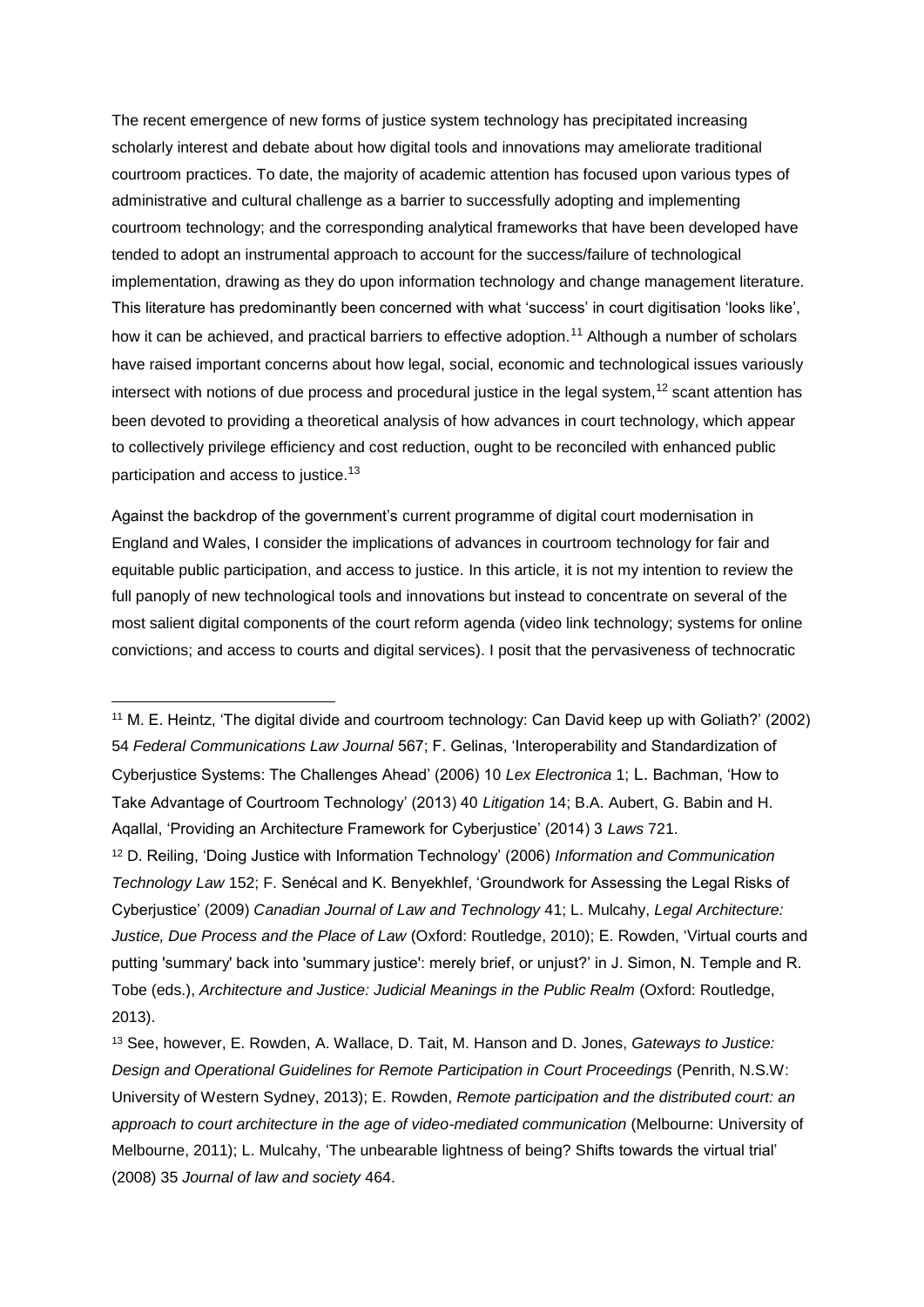The recent emergence of new forms of justice system technology has precipitated increasing scholarly interest and debate about how digital tools and innovations may ameliorate traditional courtroom practices. To date, the majority of academic attention has focused upon various types of administrative and cultural challenge as a barrier to successfully adopting and implementing courtroom technology; and the corresponding analytical frameworks that have been developed have tended to adopt an instrumental approach to account for the success/failure of technological implementation, drawing as they do upon information technology and change management literature. This literature has predominantly been concerned with what 'success' in court digitisation 'looks like', how it can be achieved, and practical barriers to effective adoption.<sup>11</sup> Although a number of scholars have raised important concerns about how legal, social, economic and technological issues variously intersect with notions of due process and procedural justice in the legal system,<sup>12</sup> scant attention has been devoted to providing a theoretical analysis of how advances in court technology, which appear to collectively privilege efficiency and cost reduction, ought to be reconciled with enhanced public participation and access to justice.<sup>13</sup>

Against the backdrop of the government's current programme of digital court modernisation in England and Wales, I consider the implications of advances in courtroom technology for fair and equitable public participation, and access to justice. In this article, it is not my intention to review the full panoply of new technological tools and innovations but instead to concentrate on several of the most salient digital components of the court reform agenda (video link technology; systems for online convictions; and access to courts and digital services). I posit that the pervasiveness of technocratic

1

<sup>12</sup> D. Reiling, 'Doing Justice with Information Technology' (2006) *Information and Communication Technology Law* 152; F. Senécal and K. Benyekhlef, 'Groundwork for Assessing the Legal Risks of Cyberjustice' (2009) *Canadian Journal of Law and Technology* 41; L. Mulcahy, *Legal Architecture: Justice, Due Process and the Place of Law* (Oxford: Routledge, 2010); E. Rowden, 'Virtual courts and putting 'summary' back into 'summary justice': merely brief, or unjust?' in J. Simon, N. Temple and R. Tobe (eds.), *Architecture and Justice: Judicial Meanings in the Public Realm* (Oxford: Routledge, 2013).

<sup>13</sup> See, however, E. Rowden, A. Wallace, D. Tait, M. Hanson and D. Jones, *Gateways to Justice: Design and Operational Guidelines for Remote Participation in Court Proceedings* (Penrith, N.S.W: University of Western Sydney, 2013); E. Rowden, *Remote participation and the distributed court: an approach to court architecture in the age of video-mediated communication* (Melbourne: University of Melbourne, 2011); L. Mulcahy, 'The unbearable lightness of being? Shifts towards the virtual trial' (2008) 35 *Journal of law and society* 464.

<sup>11</sup> M. E. Heintz, 'The digital divide and courtroom technology: Can David keep up with Goliath?' (2002) 54 *Federal Communications Law Journal* 567; F. Gelinas, 'Interoperability and Standardization of Cyberjustice Systems: The Challenges Ahead' (2006) 10 *Lex Electronica* 1; L. Bachman, 'How to Take Advantage of Courtroom Technology' (2013) 40 *Litigation* 14; B.A. Aubert, G. Babin and H. Aqallal, 'Providing an Architecture Framework for Cyberjustice' (2014) 3 *Laws* 721.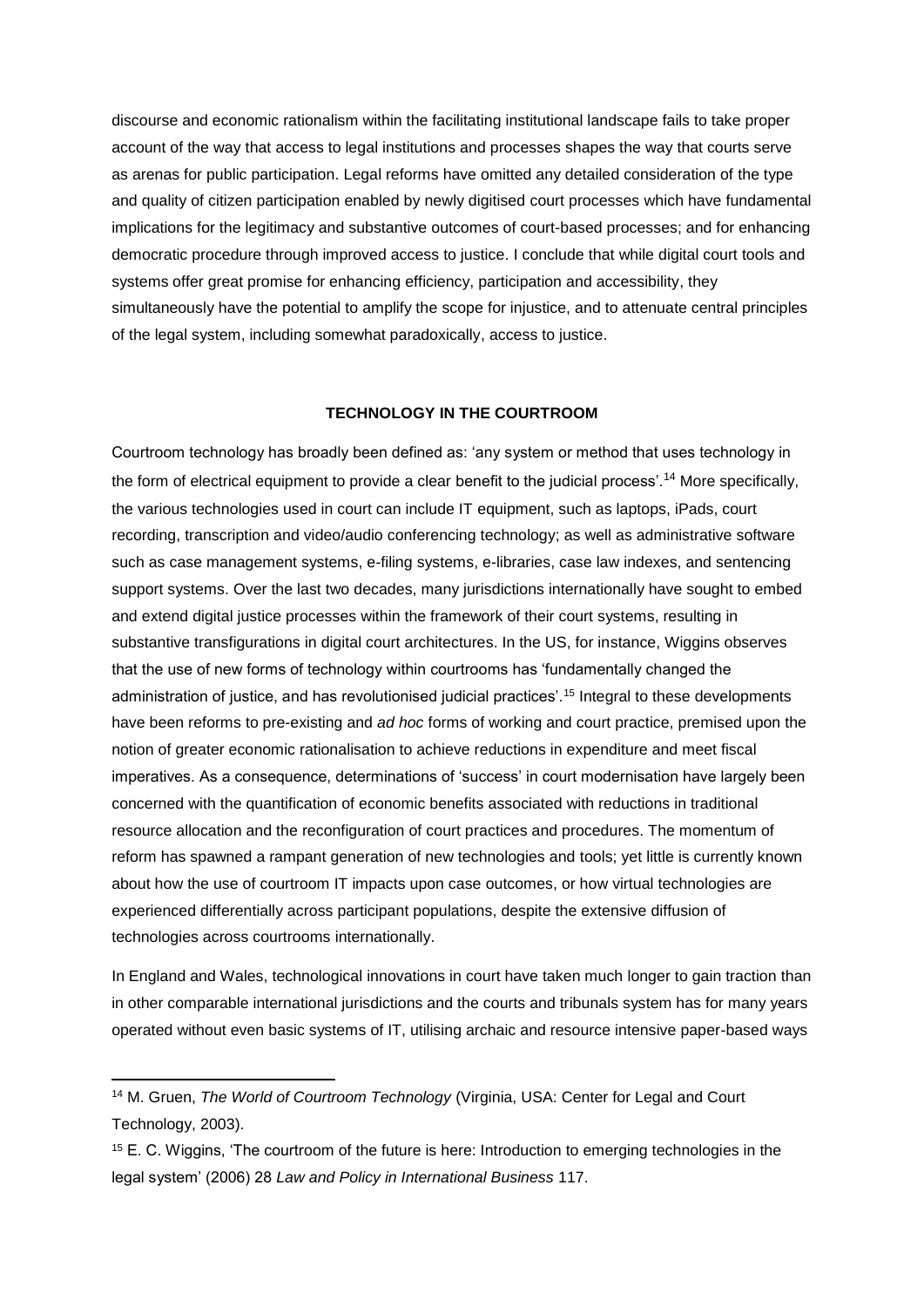discourse and economic rationalism within the facilitating institutional landscape fails to take proper account of the way that access to legal institutions and processes shapes the way that courts serve as arenas for public participation. Legal reforms have omitted any detailed consideration of the type and quality of citizen participation enabled by newly digitised court processes which have fundamental implications for the legitimacy and substantive outcomes of court-based processes; and for enhancing democratic procedure through improved access to justice. I conclude that while digital court tools and systems offer great promise for enhancing efficiency, participation and accessibility, they simultaneously have the potential to amplify the scope for injustice, and to attenuate central principles of the legal system, including somewhat paradoxically, access to justice.

## **TECHNOLOGY IN THE COURTROOM**

Courtroom technology has broadly been defined as: 'any system or method that uses technology in the form of electrical equipment to provide a clear benefit to the judicial process'.<sup>14</sup> More specifically, the various technologies used in court can include IT equipment, such as laptops, iPads, court recording, transcription and video/audio conferencing technology; as well as administrative software such as case management systems, e-filing systems, e-libraries, case law indexes, and sentencing support systems. Over the last two decades, many jurisdictions internationally have sought to embed and extend digital justice processes within the framework of their court systems, resulting in substantive transfigurations in digital court architectures. In the US, for instance, Wiggins observes that the use of new forms of technology within courtrooms has 'fundamentally changed the administration of justice, and has revolutionised judicial practices'.<sup>15</sup> Integral to these developments have been reforms to pre-existing and *ad hoc* forms of working and court practice, premised upon the notion of greater economic rationalisation to achieve reductions in expenditure and meet fiscal imperatives. As a consequence, determinations of 'success' in court modernisation have largely been concerned with the quantification of economic benefits associated with reductions in traditional resource allocation and the reconfiguration of court practices and procedures. The momentum of reform has spawned a rampant generation of new technologies and tools; yet little is currently known about how the use of courtroom IT impacts upon case outcomes, or how virtual technologies are experienced differentially across participant populations, despite the extensive diffusion of technologies across courtrooms internationally.

In England and Wales, technological innovations in court have taken much longer to gain traction than in other comparable international jurisdictions and the courts and tribunals system has for many years operated without even basic systems of IT, utilising archaic and resource intensive paper-based ways

<sup>14</sup> M. Gruen, *The World of Courtroom Technology* (Virginia, USA: Center for Legal and Court Technology, 2003).

<sup>15</sup> E. C. Wiggins, 'The courtroom of the future is here: Introduction to emerging technologies in the legal system' (2006) 28 *Law and Policy in International Business* 117.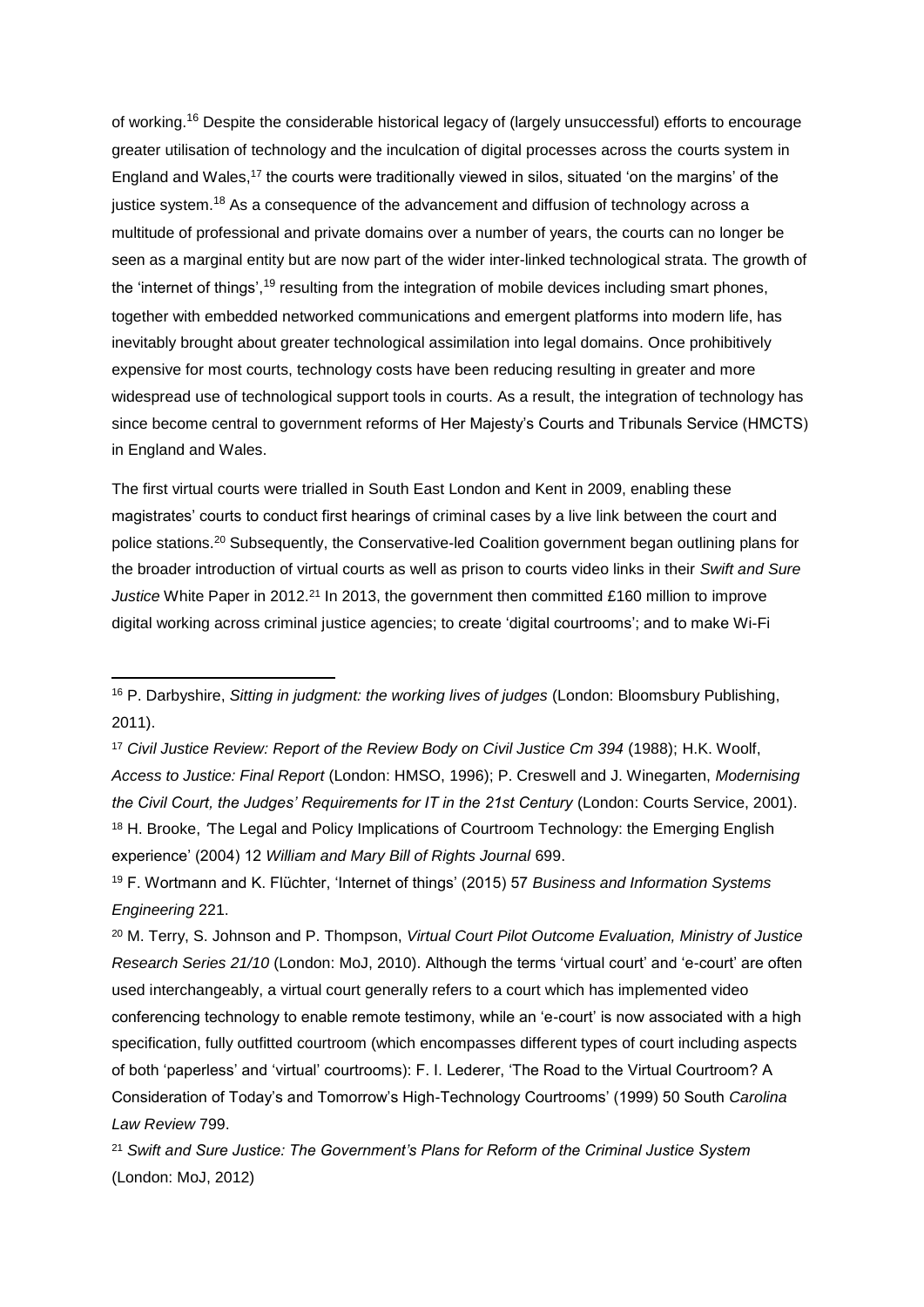of working.<sup>16</sup> Despite the considerable historical legacy of (largely unsuccessful) efforts to encourage greater utilisation of technology and the inculcation of digital processes across the courts system in England and Wales, <sup>17</sup> the courts were traditionally viewed in silos, situated 'on the margins' of the justice system.<sup>18</sup> As a consequence of the advancement and diffusion of technology across a multitude of professional and private domains over a number of years, the courts can no longer be seen as a marginal entity but are now part of the wider inter-linked technological strata. The growth of the 'internet of things',<sup>19</sup> resulting from the integration of mobile devices including smart phones, together with embedded networked communications and emergent platforms into modern life, has inevitably brought about greater technological assimilation into legal domains. Once prohibitively expensive for most courts, technology costs have been reducing resulting in greater and more widespread use of technological support tools in courts. As a result, the integration of technology has since become central to government reforms of Her Majesty's Courts and Tribunals Service (HMCTS) in England and Wales.

The first virtual courts were trialled in South East London and Kent in 2009, enabling these magistrates' courts to conduct first hearings of criminal cases by a live link between the court and police stations.<sup>20</sup> Subsequently, the Conservative-led Coalition government began outlining plans for the broader introduction of virtual courts as well as prison to courts video links in their *Swift and Sure Justice* White Paper in 2012.<sup>21</sup> In 2013, the government then committed £160 million to improve digital working across criminal justice agencies; to create 'digital courtrooms'; and to make Wi-Fi

**.** 

<sup>19</sup> F. Wortmann and K. Flüchter, 'Internet of things' (2015) 57 *Business and Information Systems Engineering* 221.

<sup>20</sup> M. Terry, S. Johnson and P. Thompson, *Virtual Court Pilot Outcome Evaluation, Ministry of Justice Research Series 21/10* (London: MoJ, 2010). Although the terms 'virtual court' and 'e-court' are often used interchangeably, a virtual court generally refers to a court which has implemented video conferencing technology to enable remote testimony, while an 'e-court' is now associated with a high specification, fully outfitted courtroom (which encompasses different types of court including aspects of both 'paperless' and 'virtual' courtrooms): F. I. Lederer, 'The Road to the Virtual Courtroom? A Consideration of Today's and Tomorrow's High-Technology Courtrooms' (1999) 50 South *Carolina Law Review* 799.

<sup>21</sup> *Swift and Sure Justice: The Government's Plans for Reform of the Criminal Justice System* (London: MoJ, 2012)

<sup>16</sup> P. Darbyshire, *Sitting in judgment: the working lives of judges* (London: Bloomsbury Publishing, 2011).

<sup>17</sup> *Civil Justice Review: Report of the Review Body on Civil Justice Cm 394* (1988); H.K. Woolf, *Access to Justice: Final Report* (London: HMSO, 1996); P. Creswell and J. Winegarten, *Modernising the Civil Court, the Judges' Requirements for IT in the 21st Century* (London: Courts Service, 2001). <sup>18</sup> H. Brooke, *'*The Legal and Policy Implications of Courtroom Technology: the Emerging English experience' (2004) 12 *William and Mary Bill of Rights Journal* 699.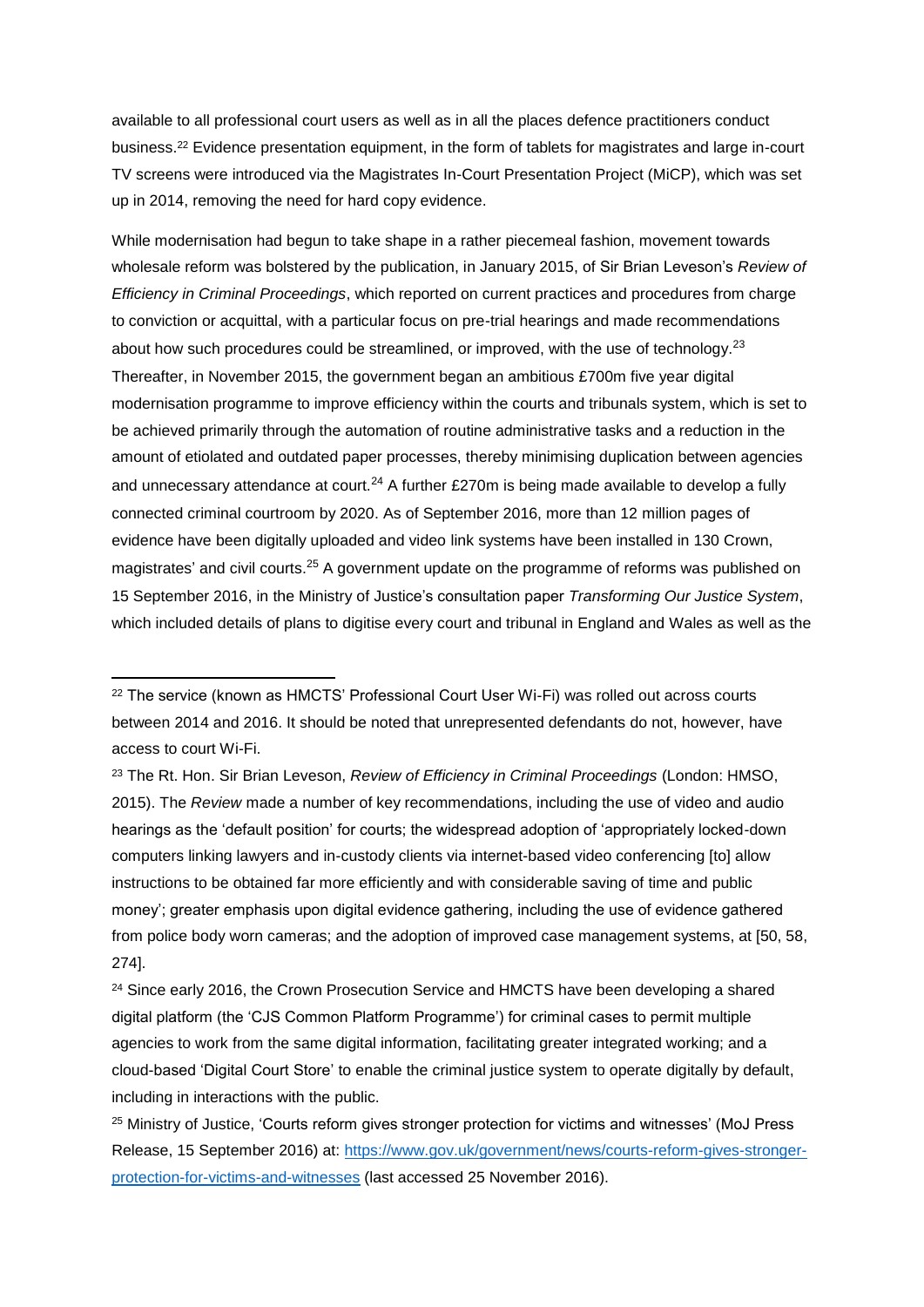available to all professional court users as well as in all the places defence practitioners conduct business.<sup>22</sup> Evidence presentation equipment, in the form of tablets for magistrates and large in-court TV screens were introduced via the Magistrates In-Court Presentation Project (MiCP), which was set up in 2014, removing the need for hard copy evidence.

While modernisation had begun to take shape in a rather piecemeal fashion, movement towards wholesale reform was bolstered by the publication, in January 2015, of Sir Brian Leveson's *Review of Efficiency in Criminal Proceedings*, which reported on current practices and procedures from charge to conviction or acquittal, with a particular focus on pre-trial hearings and made recommendations about how such procedures could be streamlined, or improved, with the use of technology. $^{23}$ Thereafter, in November 2015, the government began an ambitious £700m five year digital modernisation programme to improve efficiency within the courts and tribunals system, which is set to be achieved primarily through the automation of routine administrative tasks and a reduction in the amount of etiolated and outdated paper processes, thereby minimising duplication between agencies and unnecessary attendance at court.<sup>24</sup> A further £270m is being made available to develop a fully connected criminal courtroom by 2020. As of September 2016, more than 12 million pages of evidence have been digitally uploaded and video link systems have been installed in 130 Crown, magistrates' and civil courts.<sup>25</sup> A government update on the programme of reforms was published on 15 September 2016, in the Ministry of Justice's consultation paper *Transforming Our Justice System*, which included details of plans to digitise every court and tribunal in England and Wales as well as the

**.** 

<sup>&</sup>lt;sup>22</sup> The service (known as HMCTS' Professional Court User Wi-Fi) was rolled out across courts between 2014 and 2016. It should be noted that unrepresented defendants do not, however, have access to court Wi-Fi.

<sup>23</sup> The Rt. Hon. Sir Brian Leveson, *Review of Efficiency in Criminal Proceedings* (London: HMSO, 2015). The *Review* made a number of key recommendations, including the use of video and audio hearings as the 'default position' for courts; the widespread adoption of 'appropriately locked-down computers linking lawyers and in-custody clients via internet-based video conferencing [to] allow instructions to be obtained far more efficiently and with considerable saving of time and public money'; greater emphasis upon digital evidence gathering, including the use of evidence gathered from police body worn cameras; and the adoption of improved case management systems, at [50, 58, 274].

 $24$  Since early 2016, the Crown Prosecution Service and HMCTS have been developing a shared digital platform (the 'CJS Common Platform Programme') for criminal cases to permit multiple agencies to work from the same digital information, facilitating greater integrated working; and a cloud-based 'Digital Court Store' to enable the criminal justice system to operate digitally by default, including in interactions with the public.

<sup>&</sup>lt;sup>25</sup> Ministry of Justice, 'Courts reform gives stronger protection for victims and witnesses' (MoJ Press Release, 15 September 2016) at: https://www.gov.uk/government/news/courts-reform-gives-strongerprotection-for-victims-and-witnesses (last accessed 25 November 2016).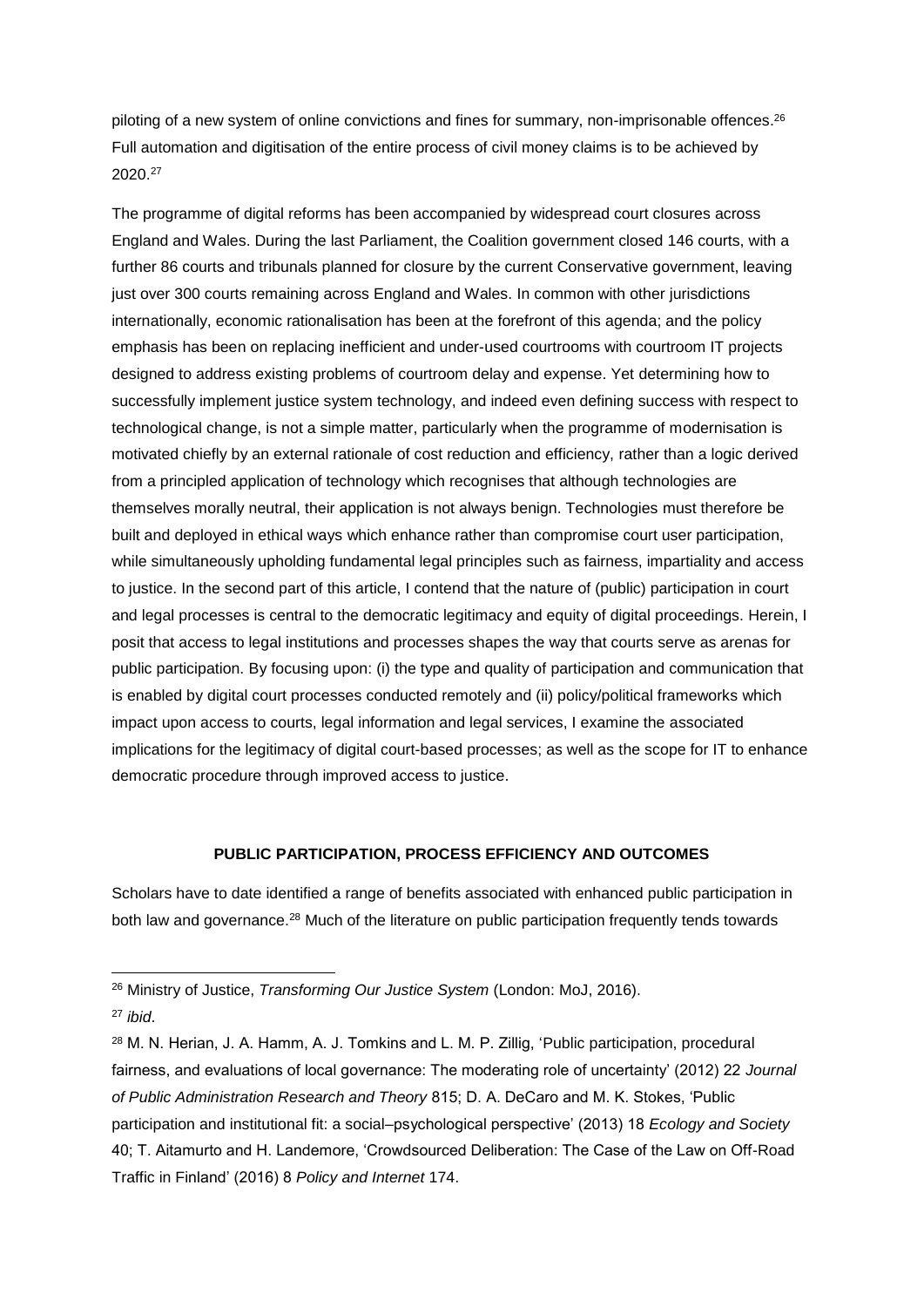piloting of a new system of online convictions and fines for summary, non-imprisonable offences.<sup>26</sup> Full automation and digitisation of the entire process of civil money claims is to be achieved by 2020.<sup>27</sup>

The programme of digital reforms has been accompanied by widespread court closures across England and Wales. During the last Parliament, the Coalition government closed 146 courts, with a further 86 courts and tribunals planned for closure by the current Conservative government, leaving just over 300 courts remaining across England and Wales. In common with other jurisdictions internationally, economic rationalisation has been at the forefront of this agenda; and the policy emphasis has been on replacing inefficient and under-used courtrooms with courtroom IT projects designed to address existing problems of courtroom delay and expense. Yet determining how to successfully implement justice system technology, and indeed even defining success with respect to technological change, is not a simple matter, particularly when the programme of modernisation is motivated chiefly by an external rationale of cost reduction and efficiency, rather than a logic derived from a principled application of technology which recognises that although technologies are themselves morally neutral, their application is not always benign. Technologies must therefore be built and deployed in ethical ways which enhance rather than compromise court user participation, while simultaneously upholding fundamental legal principles such as fairness, impartiality and access to justice. In the second part of this article, I contend that the nature of (public) participation in court and legal processes is central to the democratic legitimacy and equity of digital proceedings. Herein, I posit that access to legal institutions and processes shapes the way that courts serve as arenas for public participation. By focusing upon: (i) the type and quality of participation and communication that is enabled by digital court processes conducted remotely and (ii) policy/political frameworks which impact upon access to courts, legal information and legal services, I examine the associated implications for the legitimacy of digital court-based processes; as well as the scope for IT to enhance democratic procedure through improved access to justice.

## **PUBLIC PARTICIPATION, PROCESS EFFICIENCY AND OUTCOMES**

Scholars have to date identified a range of benefits associated with enhanced public participation in both law and governance.<sup>28</sup> Much of the literature on public participation frequently tends towards

<sup>26</sup> Ministry of Justice, *Transforming Our Justice System* (London: MoJ, 2016).

<sup>27</sup> *ibid*.

<sup>28</sup> M. N. Herian, J. A. Hamm, A. J. Tomkins and L. M. P. Zillig, 'Public participation, procedural fairness, and evaluations of local governance: The moderating role of uncertainty' (2012) 22 *Journal of Public Administration Research and Theory* 815; D. A. DeCaro and M. K. Stokes, 'Public participation and institutional fit: a social–psychological perspective' (2013) 18 *Ecology and Society* 40; T. Aitamurto and H. Landemore, 'Crowdsourced Deliberation: The Case of the Law on Off-Road Traffic in Finland' (2016) 8 *Policy and Internet* 174.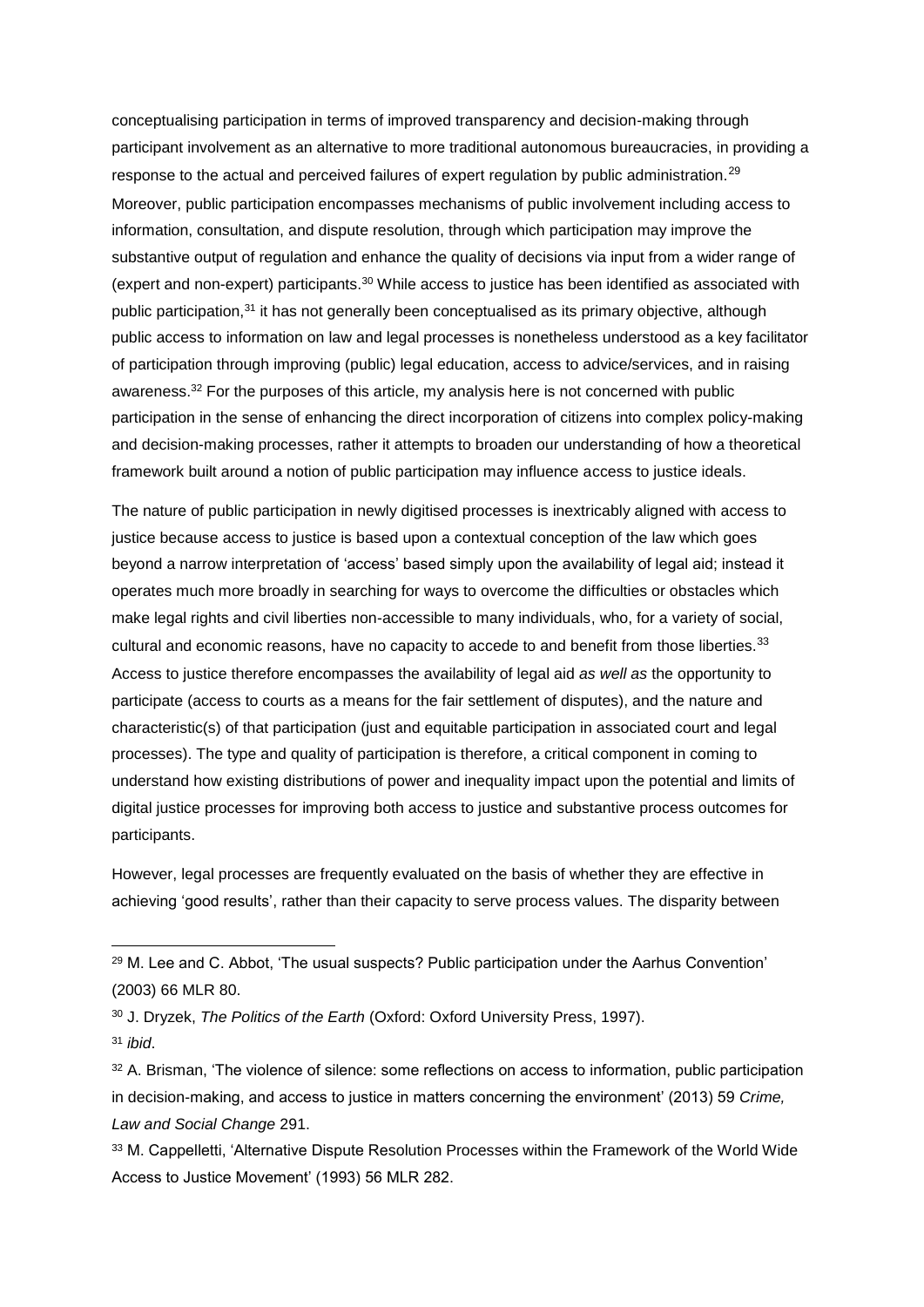conceptualising participation in terms of improved transparency and decision-making through participant involvement as an alternative to more traditional autonomous bureaucracies, in providing a response to the actual and perceived failures of expert regulation by public administration.<sup>29</sup> Moreover, public participation encompasses mechanisms of public involvement including access to information, consultation, and dispute resolution, through which participation may improve the substantive output of regulation and enhance the quality of decisions via input from a wider range of (expert and non-expert) participants.<sup>30</sup> While access to justice has been identified as associated with public participation,<sup>31</sup> it has not generally been conceptualised as its primary objective, although public access to information on law and legal processes is nonetheless understood as a key facilitator of participation through improving (public) legal education, access to advice/services, and in raising awareness.<sup>32</sup> For the purposes of this article, my analysis here is not concerned with public participation in the sense of enhancing the direct incorporation of citizens into complex policy-making and decision-making processes, rather it attempts to broaden our understanding of how a theoretical framework built around a notion of public participation may influence access to justice ideals.

The nature of public participation in newly digitised processes is inextricably aligned with access to justice because access to justice is based upon a contextual conception of the law which goes beyond a narrow interpretation of 'access' based simply upon the availability of legal aid; instead it operates much more broadly in searching for ways to overcome the difficulties or obstacles which make legal rights and civil liberties non-accessible to many individuals, who, for a variety of social, cultural and economic reasons, have no capacity to accede to and benefit from those liberties.<sup>33</sup> Access to justice therefore encompasses the availability of legal aid *as well as* the opportunity to participate (access to courts as a means for the fair settlement of disputes), and the nature and characteristic(s) of that participation (just and equitable participation in associated court and legal processes). The type and quality of participation is therefore, a critical component in coming to understand how existing distributions of power and inequality impact upon the potential and limits of digital justice processes for improving both access to justice and substantive process outcomes for participants.

However, legal processes are frequently evaluated on the basis of whether they are effective in achieving 'good results', rather than their capacity to serve process values. The disparity between

**.** 

 $29$  M. Lee and C. Abbot, 'The usual suspects? Public participation under the Aarhus Convention' (2003) 66 MLR 80.

<sup>30</sup> J. Dryzek, *The Politics of the Earth* (Oxford: Oxford University Press, 1997).

<sup>31</sup> *ibid*.

<sup>32</sup> A. Brisman, 'The violence of silence: some reflections on access to information, public participation in decision-making, and access to justice in matters concerning the environment' (2013) 59 *Crime, Law and Social Change* 291.

<sup>&</sup>lt;sup>33</sup> M. Cappelletti, 'Alternative Dispute Resolution Processes within the Framework of the World Wide Access to Justice Movement' (1993) 56 MLR 282.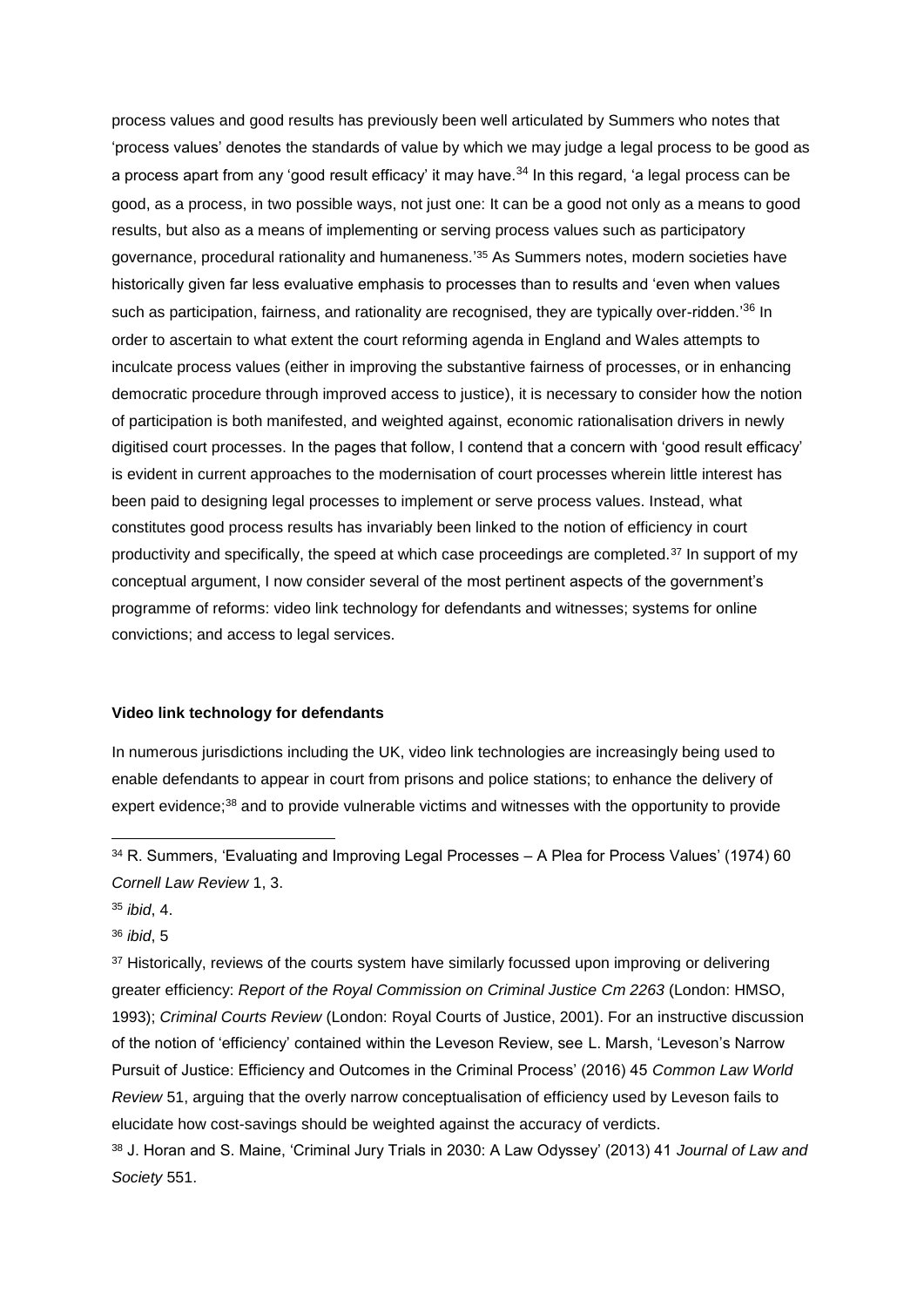process values and good results has previously been well articulated by Summers who notes that 'process values' denotes the standards of value by which we may judge a legal process to be good as a process apart from any 'good result efficacy' it may have.<sup>34</sup> In this regard, 'a legal process can be good, as a process, in two possible ways, not just one: It can be a good not only as a means to good results, but also as a means of implementing or serving process values such as participatory governance, procedural rationality and humaneness.' <sup>35</sup> As Summers notes, modern societies have historically given far less evaluative emphasis to processes than to results and 'even when values such as participation, fairness, and rationality are recognised, they are typically over-ridden.<sup>'36</sup> In order to ascertain to what extent the court reforming agenda in England and Wales attempts to inculcate process values (either in improving the substantive fairness of processes, or in enhancing democratic procedure through improved access to justice), it is necessary to consider how the notion of participation is both manifested, and weighted against, economic rationalisation drivers in newly digitised court processes. In the pages that follow, I contend that a concern with 'good result efficacy' is evident in current approaches to the modernisation of court processes wherein little interest has been paid to designing legal processes to implement or serve process values. Instead, what constitutes good process results has invariably been linked to the notion of efficiency in court productivity and specifically, the speed at which case proceedings are completed.<sup>37</sup> In support of my conceptual argument, I now consider several of the most pertinent aspects of the government's programme of reforms: video link technology for defendants and witnesses; systems for online convictions; and access to legal services.

## **Video link technology for defendants**

In numerous jurisdictions including the UK, video link technologies are increasingly being used to enable defendants to appear in court from prisons and police stations; to enhance the delivery of expert evidence;<sup>38</sup> and to provide vulnerable victims and witnesses with the opportunity to provide

**.** 

<sup>36</sup> *ibid*, 5

<sup>37</sup> Historically, reviews of the courts system have similarly focussed upon improving or delivering greater efficiency: *Report of the Royal Commission on Criminal Justice Cm 2263* (London: HMSO, 1993); *Criminal Courts Review* (London: Royal Courts of Justice, 2001). For an instructive discussion of the notion of 'efficiency' contained within the Leveson Review, see L. Marsh, 'Leveson's Narrow Pursuit of Justice: Efficiency and Outcomes in the Criminal Process' (2016) 45 *Common Law World Review* 51, arguing that the overly narrow conceptualisation of efficiency used by Leveson fails to elucidate how cost-savings should be weighted against the accuracy of verdicts.

<sup>38</sup> J. Horan and S. Maine, 'Criminal Jury Trials in 2030: A Law Odyssey' (2013) 41 *Journal of Law and Society* 551.

<sup>&</sup>lt;sup>34</sup> R. Summers, 'Evaluating and Improving Legal Processes - A Plea for Process Values' (1974) 60 *Cornell Law Review* 1, 3.

<sup>35</sup> *ibid*, 4.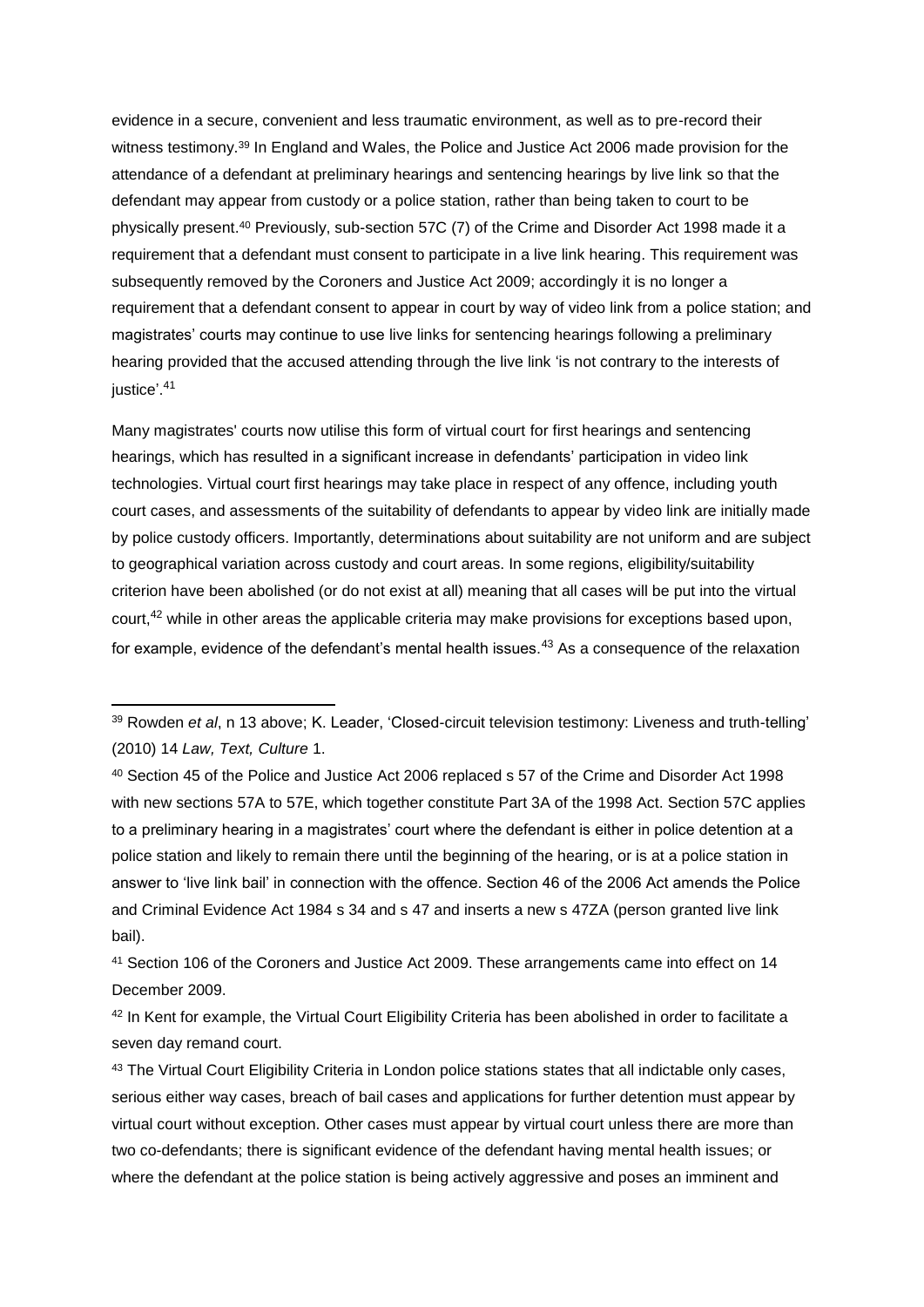evidence in a secure, convenient and less traumatic environment, as well as to pre-record their witness testimony.<sup>39</sup> In England and Wales, the Police and Justice Act 2006 made provision for the attendance of a defendant at preliminary hearings and sentencing hearings by live link so that the defendant may appear from custody or a police station, rather than being taken to court to be physically present. <sup>40</sup> Previously, sub-section 57C (7) of the Crime and Disorder Act 1998 made it a requirement that a defendant must consent to participate in a live link hearing. This requirement was subsequently removed by the Coroners and Justice Act 2009; accordingly it is no longer a requirement that a defendant consent to appear in court by way of video link from a police station; and magistrates' courts may continue to use live links for sentencing hearings following a preliminary hearing provided that the accused attending through the live link 'is not contrary to the interests of iustice'.<sup>41</sup>

Many magistrates' courts now utilise this form of virtual court for first hearings and sentencing hearings, which has resulted in a significant increase in defendants' participation in video link technologies. Virtual court first hearings may take place in respect of any offence, including youth court cases, and assessments of the suitability of defendants to appear by video link are initially made by police custody officers. Importantly, determinations about suitability are not uniform and are subject to geographical variation across custody and court areas. In some regions, eligibility/suitability criterion have been abolished (or do not exist at all) meaning that all cases will be put into the virtual court.<sup>42</sup> while in other areas the applicable criteria may make provisions for exceptions based upon, for example, evidence of the defendant's mental health issues.<sup>43</sup> As a consequence of the relaxation

<sup>39</sup> Rowden *et al*, n 13 above; K. Leader, 'Closed-circuit television testimony: Liveness and truth-telling' (2010) 14 *Law, Text, Culture* 1.

<sup>40</sup> Section 45 of the Police and Justice Act 2006 replaced s 57 of the Crime and Disorder Act 1998 with new sections 57A to 57E, which together constitute Part 3A of the 1998 Act. Section 57C applies to a preliminary hearing in a magistrates' court where the defendant is either in police detention at a police station and likely to remain there until the beginning of the hearing, or is at a police station in answer to 'live link bail' in connection with the offence. Section 46 of the 2006 Act amends the Police and Criminal Evidence Act 1984 s 34 and s 47 and inserts a new s 47ZA (person granted live link bail).

<sup>&</sup>lt;sup>41</sup> Section 106 of the Coroners and Justice Act 2009. These arrangements came into effect on 14 December 2009.

<sup>42</sup> In Kent for example, the Virtual Court Eligibility Criteria has been abolished in order to facilitate a seven day remand court.

<sup>43</sup> The Virtual Court Eligibility Criteria in London police stations states that all indictable only cases, serious either way cases, breach of bail cases and applications for further detention must appear by virtual court without exception. Other cases must appear by virtual court unless there are more than two co-defendants; there is significant evidence of the defendant having mental health issues; or where the defendant at the police station is being actively aggressive and poses an imminent and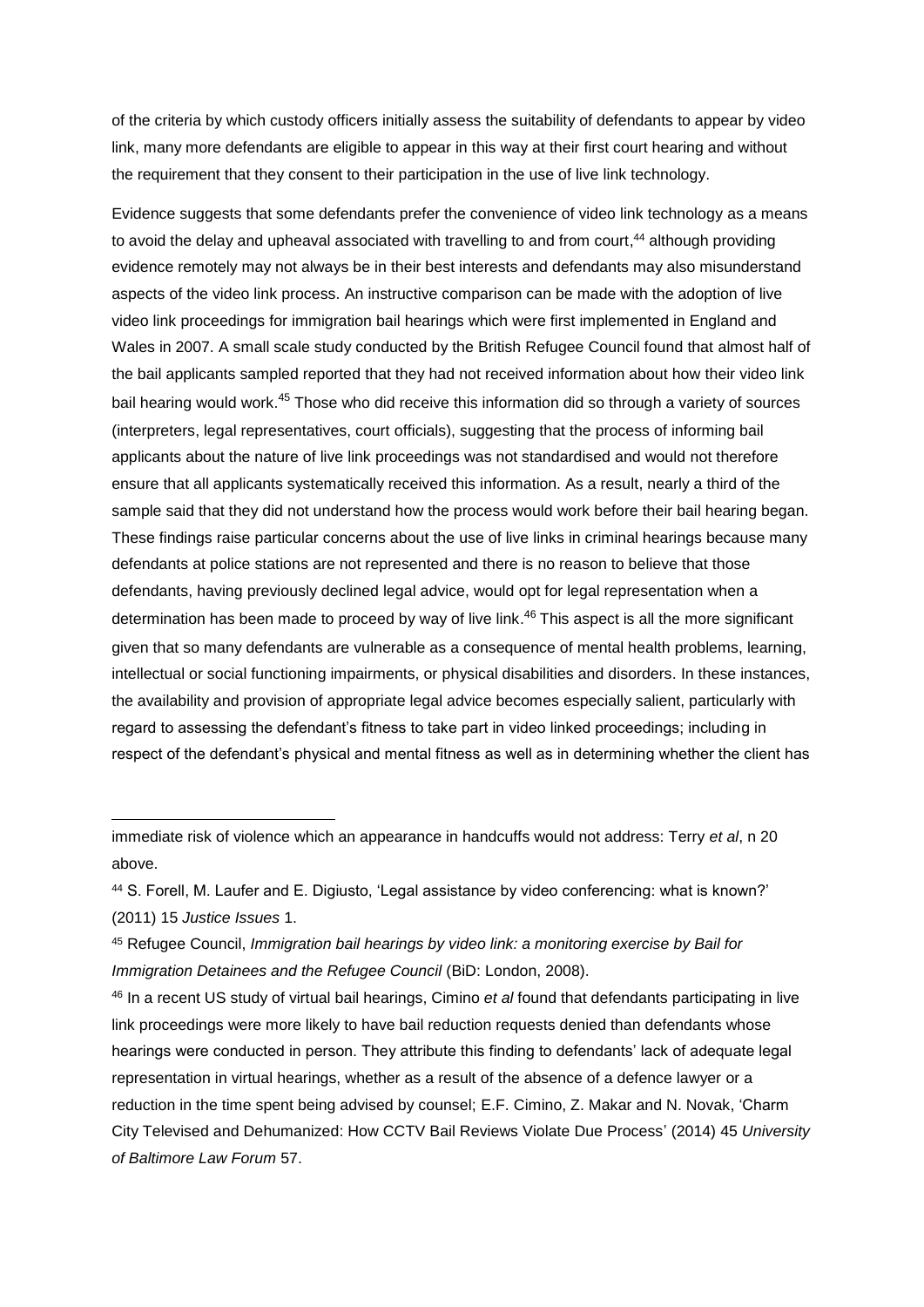of the criteria by which custody officers initially assess the suitability of defendants to appear by video link, many more defendants are eligible to appear in this way at their first court hearing and without the requirement that they consent to their participation in the use of live link technology.

Evidence suggests that some defendants prefer the convenience of video link technology as a means to avoid the delay and upheaval associated with travelling to and from court, <sup>44</sup> although providing evidence remotely may not always be in their best interests and defendants may also misunderstand aspects of the video link process. An instructive comparison can be made with the adoption of live video link proceedings for immigration bail hearings which were first implemented in England and Wales in 2007. A small scale study conducted by the British Refugee Council found that almost half of the bail applicants sampled reported that they had not received information about how their video link bail hearing would work.<sup>45</sup> Those who did receive this information did so through a variety of sources (interpreters, legal representatives, court officials), suggesting that the process of informing bail applicants about the nature of live link proceedings was not standardised and would not therefore ensure that all applicants systematically received this information. As a result, nearly a third of the sample said that they did not understand how the process would work before their bail hearing began. These findings raise particular concerns about the use of live links in criminal hearings because many defendants at police stations are not represented and there is no reason to believe that those defendants, having previously declined legal advice, would opt for legal representation when a determination has been made to proceed by way of live link.<sup>46</sup> This aspect is all the more significant given that so many defendants are vulnerable as a consequence of mental health problems, learning, intellectual or social functioning impairments, or physical disabilities and disorders. In these instances, the availability and provision of appropriate legal advice becomes especially salient, particularly with regard to assessing the defendant's fitness to take part in video linked proceedings; including in respect of the defendant's physical and mental fitness as well as in determining whether the client has

**.** 

immediate risk of violence which an appearance in handcuffs would not address: Terry *et al*, n 20 above.

<sup>44</sup> S. Forell, M. Laufer and E. Digiusto, 'Legal assistance by video conferencing: what is known?' (2011) 15 *Justice Issues* 1.

<sup>45</sup> Refugee Council, *Immigration bail hearings by video link: a monitoring exercise by Bail for Immigration Detainees and the Refugee Council* (BiD: London, 2008).

<sup>46</sup> In a recent US study of virtual bail hearings, Cimino *et al* found that defendants participating in live link proceedings were more likely to have bail reduction requests denied than defendants whose hearings were conducted in person. They attribute this finding to defendants' lack of adequate legal representation in virtual hearings, whether as a result of the absence of a defence lawyer or a reduction in the time spent being advised by counsel; E.F. Cimino, Z. Makar and N. Novak, 'Charm City Televised and Dehumanized: How CCTV Bail Reviews Violate Due Process' (2014) 45 *University of Baltimore Law Forum* 57.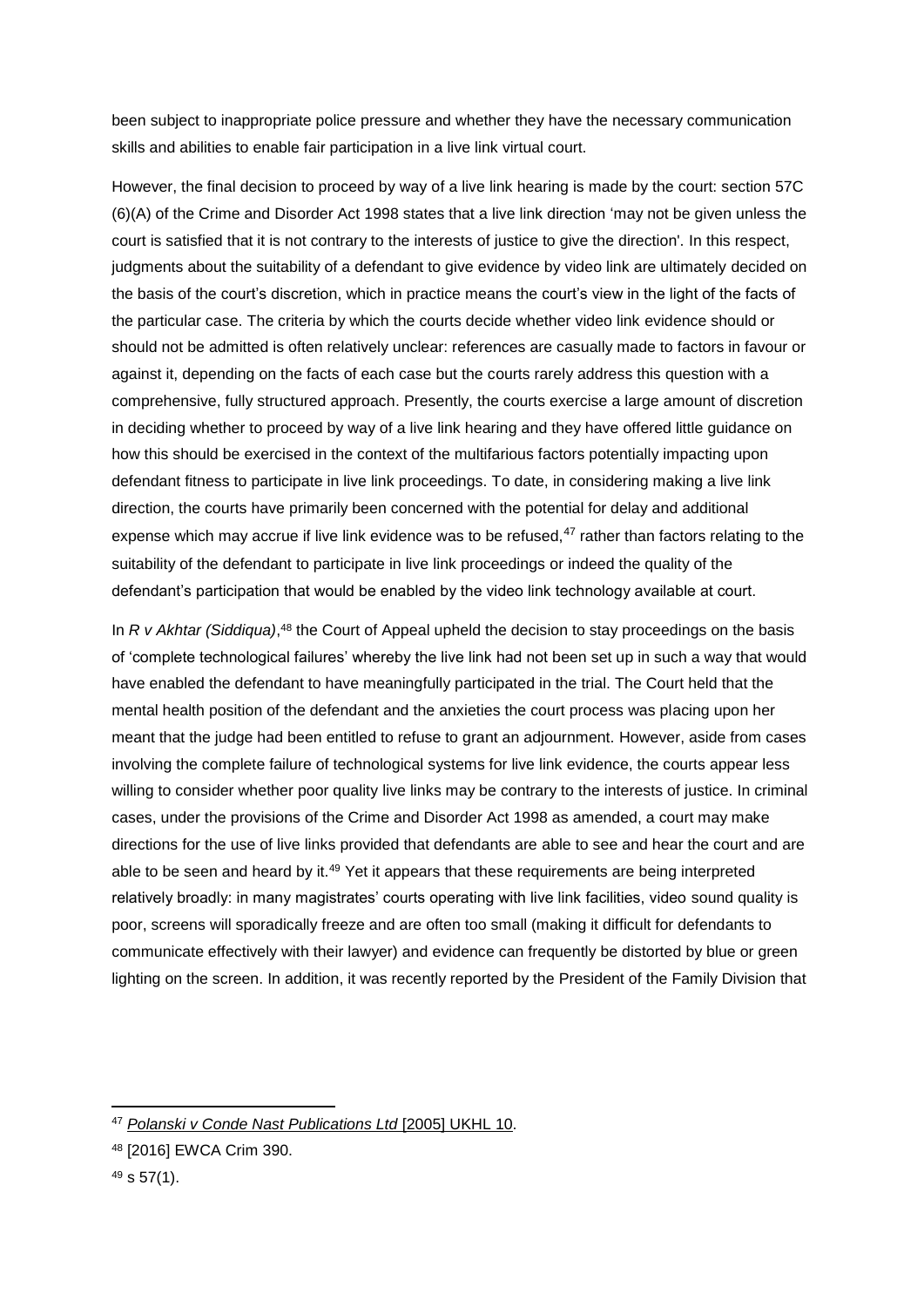been subject to inappropriate police pressure and whether they have the necessary communication skills and abilities to enable fair participation in a live link virtual court.

However, the final decision to proceed by way of a live link hearing is made by the court: section 57C (6)(A) of the Crime and Disorder Act 1998 states that a live link direction 'may not be given unless the court is satisfied that it is not contrary to the interests of justice to give the direction'. In this respect, judgments about the suitability of a defendant to give evidence by video link are ultimately decided on the basis of the court's discretion, which in practice means the court's view in the light of the facts of the particular case. The criteria by which the courts decide whether video link evidence should or should not be admitted is often relatively unclear: references are casually made to factors in favour or against it, depending on the facts of each case but the courts rarely address this question with a comprehensive, fully structured approach. Presently, the courts exercise a large amount of discretion in deciding whether to proceed by way of a live link hearing and they have offered little guidance on how this should be exercised in the context of the multifarious factors potentially impacting upon defendant fitness to participate in live link proceedings. To date, in considering making a live link direction, the courts have primarily been concerned with the potential for delay and additional expense which may accrue if live link evidence was to be refused.<sup>47</sup> rather than factors relating to the suitability of the defendant to participate in live link proceedings or indeed the quality of the defendant's participation that would be enabled by the video link technology available at court.

In *R v Akhtar (Siddiqua)*,<sup>48</sup> the Court of Appeal upheld the decision to stay proceedings on the basis of 'complete technological failures' whereby the live link had not been set up in such a way that would have enabled the defendant to have meaningfully participated in the trial. The Court held that the mental health position of the defendant and the anxieties the court process was placing upon her meant that the judge had been entitled to refuse to grant an adjournment. However, aside from cases involving the complete failure of technological systems for live link evidence, the courts appear less willing to consider whether poor quality live links may be contrary to the interests of justice. In criminal cases, under the provisions of the Crime and Disorder Act 1998 as amended, a court may make directions for the use of live links provided that defendants are able to see and hear the court and are able to be seen and heard by it.<sup>49</sup> Yet it appears that these requirements are being interpreted relatively broadly: in many magistrates' courts operating with live link facilities, video sound quality is poor, screens will sporadically freeze and are often too small (making it difficult for defendants to communicate effectively with their lawyer) and evidence can frequently be distorted by blue or green lighting on the screen. In addition, it was recently reported by the President of the Family Division that

<sup>47</sup> *Polanski v Conde Nast Publications Ltd* [2005] UKHL 10.

<sup>48</sup> [2016] EWCA Crim 390.

 $49$  s 57(1).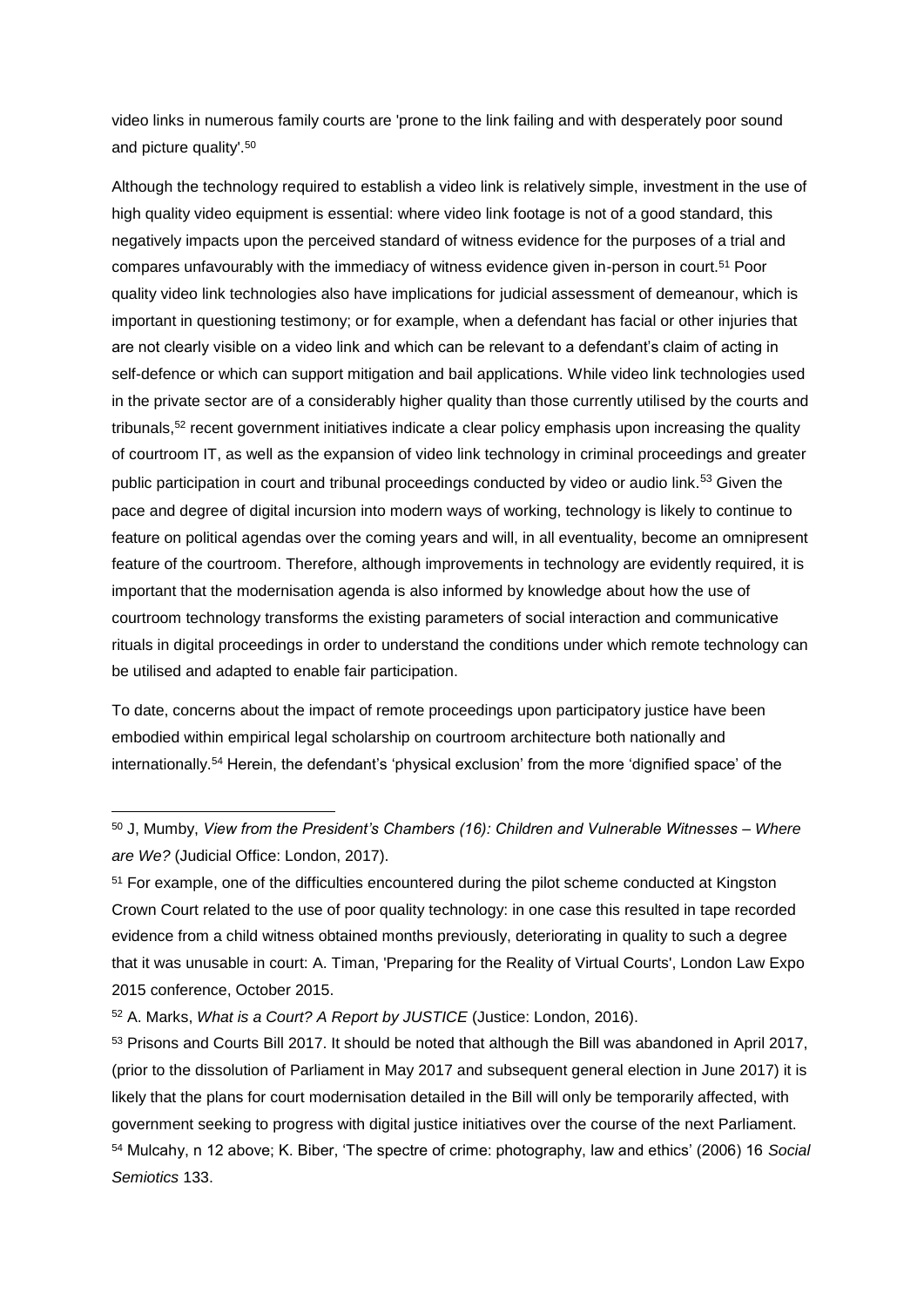video links in numerous family courts are 'prone to the link failing and with desperately poor sound and picture quality'.<sup>50</sup>

Although the technology required to establish a video link is relatively simple, investment in the use of high quality video equipment is essential: where video link footage is not of a good standard, this negatively impacts upon the perceived standard of witness evidence for the purposes of a trial and compares unfavourably with the immediacy of witness evidence given in-person in court.<sup>51</sup> Poor quality video link technologies also have implications for judicial assessment of demeanour, which is important in questioning testimony; or for example, when a defendant has facial or other injuries that are not clearly visible on a video link and which can be relevant to a defendant's claim of acting in self-defence or which can support mitigation and bail applications. While video link technologies used in the private sector are of a considerably higher quality than those currently utilised by the courts and tribunals,<sup>52</sup> recent government initiatives indicate a clear policy emphasis upon increasing the quality of courtroom IT, as well as the expansion of video link technology in criminal proceedings and greater public participation in court and tribunal proceedings conducted by video or audio link.<sup>53</sup> Given the pace and degree of digital incursion into modern ways of working, technology is likely to continue to feature on political agendas over the coming years and will, in all eventuality, become an omnipresent feature of the courtroom. Therefore, although improvements in technology are evidently required, it is important that the modernisation agenda is also informed by knowledge about how the use of courtroom technology transforms the existing parameters of social interaction and communicative rituals in digital proceedings in order to understand the conditions under which remote technology can be utilised and adapted to enable fair participation.

To date, concerns about the impact of remote proceedings upon participatory justice have been embodied within empirical legal scholarship on courtroom architecture both nationally and internationally.<sup>54</sup> Herein, the defendant's 'physical exclusion' from the more 'dignified space' of the

<sup>50</sup> J, Mumby, *View from the President's Chambers (16): Children and Vulnerable Witnesses – Where are We?* (Judicial Office: London, 2017).

<sup>51</sup> For example, one of the difficulties encountered during the pilot scheme conducted at Kingston Crown Court related to the use of poor quality technology: in one case this resulted in tape recorded evidence from a child witness obtained months previously, deteriorating in quality to such a degree that it was unusable in court: A. Timan, 'Preparing for the Reality of Virtual Courts', London Law Expo 2015 conference, October 2015.

<sup>52</sup> A. Marks, *What is a Court? A Report by JUSTICE* (Justice: London, 2016).

<sup>53</sup> Prisons and Courts Bill 2017. It should be noted that although the Bill was abandoned in April 2017, (prior to the dissolution of Parliament in May 2017 and subsequent general election in June 2017) it is likely that the plans for court modernisation detailed in the Bill will only be temporarily affected, with government seeking to progress with digital justice initiatives over the course of the next Parliament. <sup>54</sup> Mulcahy, n 12 above; K. Biber, 'The spectre of crime: photography, law and ethics' (2006) 16 *Social Semiotics* 133.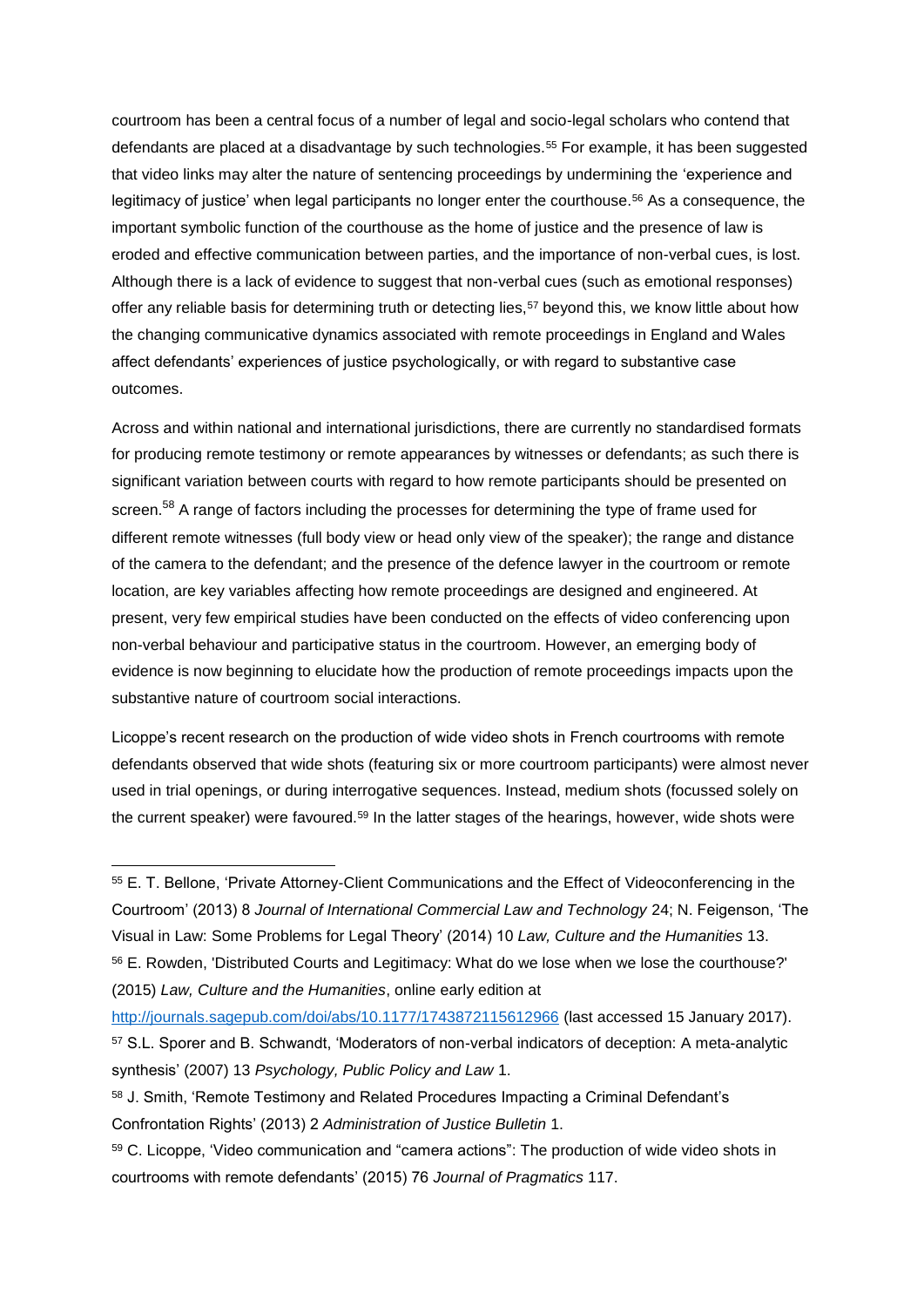courtroom has been a central focus of a number of legal and socio-legal scholars who contend that defendants are placed at a disadvantage by such technologies.<sup>55</sup> For example, it has been suggested that video links may alter the nature of sentencing proceedings by undermining the 'experience and legitimacy of justice' when legal participants no longer enter the courthouse.<sup>56</sup> As a consequence, the important symbolic function of the courthouse as the home of justice and the presence of law is eroded and effective communication between parties, and the importance of non-verbal cues, is lost. Although there is a lack of evidence to suggest that non-verbal cues (such as emotional responses) offer any reliable basis for determining truth or detecting lies,<sup>57</sup> beyond this, we know little about how the changing communicative dynamics associated with remote proceedings in England and Wales affect defendants' experiences of justice psychologically, or with regard to substantive case outcomes.

Across and within national and international jurisdictions, there are currently no standardised formats for producing remote testimony or remote appearances by witnesses or defendants; as such there is significant variation between courts with regard to how remote participants should be presented on screen.<sup>58</sup> A range of factors including the processes for determining the type of frame used for different remote witnesses (full body view or head only view of the speaker); the range and distance of the camera to the defendant; and the presence of the defence lawyer in the courtroom or remote location, are key variables affecting how remote proceedings are designed and engineered. At present, very few empirical studies have been conducted on the effects of video conferencing upon non-verbal behaviour and participative status in the courtroom. However, an emerging body of evidence is now beginning to elucidate how the production of remote proceedings impacts upon the substantive nature of courtroom social interactions.

Licoppe's recent research on the production of wide video shots in French courtrooms with remote defendants observed that wide shots (featuring six or more courtroom participants) were almost never used in trial openings, or during interrogative sequences. Instead, medium shots (focussed solely on the current speaker) were favoured.<sup>59</sup> In the latter stages of the hearings, however, wide shots were

<sup>55</sup> E. T. Bellone, 'Private Attorney-Client Communications and the Effect of Videoconferencing in the Courtroom' (2013) 8 *Journal of International Commercial Law and Technology* 24; N. Feigenson, 'The Visual in Law: Some Problems for Legal Theory' (2014) 10 *Law, Culture and the Humanities* 13. <sup>56</sup> E. Rowden, 'Distributed Courts and Legitimacy: What do we lose when we lose the courthouse?' (2015) *Law, Culture and the Humanities*, online early edition at

http://journals.sagepub.com/doi/abs/10.1177/1743872115612966 (last accessed 15 January 2017). <sup>57</sup> S.L. Sporer and B. Schwandt, 'Moderators of non-verbal indicators of deception: A meta-analytic synthesis' (2007) 13 *Psychology, Public Policy and Law* 1.

<sup>58</sup> J. Smith, 'Remote Testimony and Related Procedures Impacting a Criminal Defendant's Confrontation Rights' (2013) 2 *Administration of Justice Bulletin* 1.

<sup>59</sup> C. Licoppe, 'Video communication and "camera actions": The production of wide video shots in courtrooms with remote defendants' (2015) 76 *Journal of Pragmatics* 117.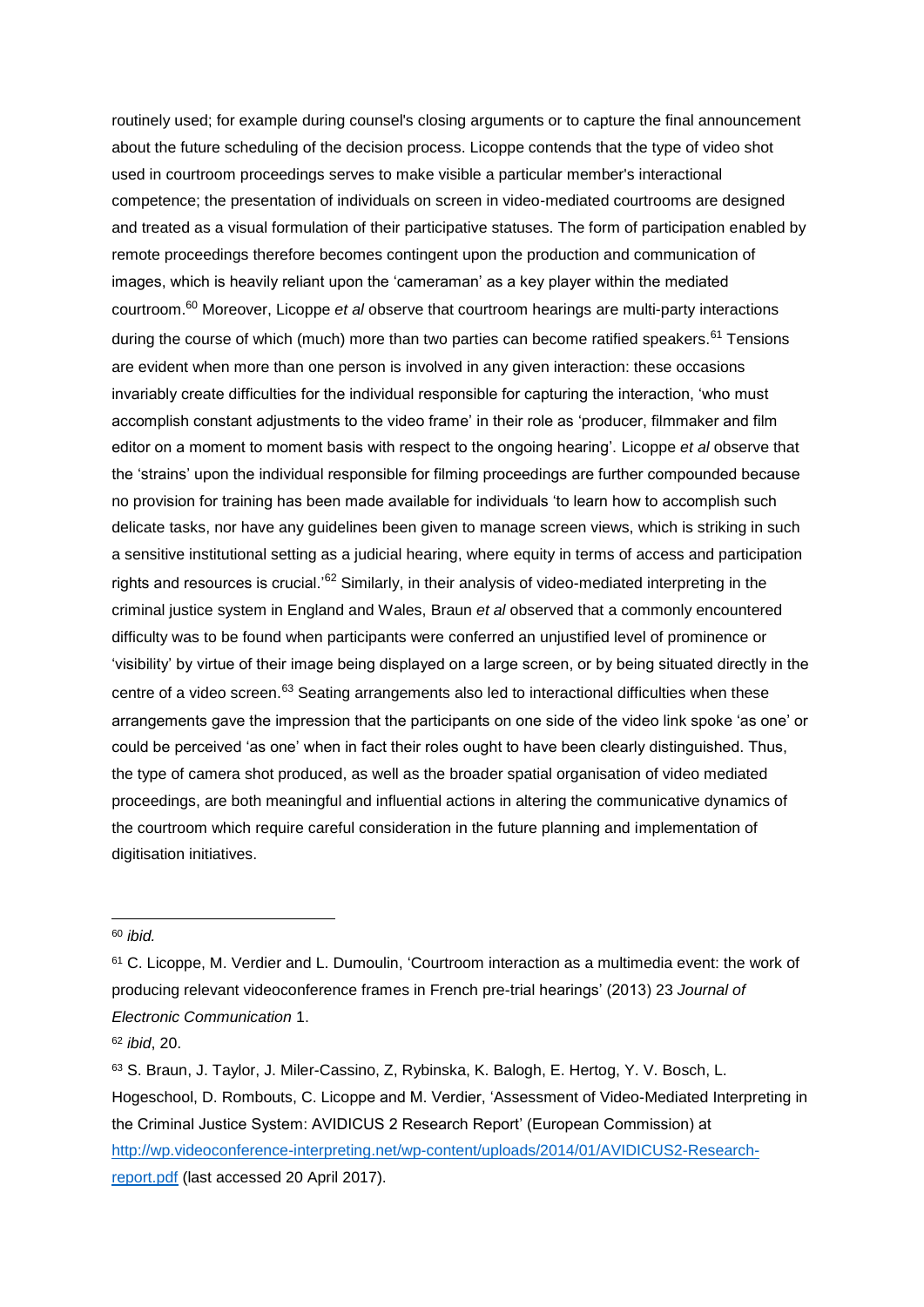routinely used; for example during counsel's closing arguments or to capture the final announcement about the future scheduling of the decision process. Licoppe contends that the type of video shot used in courtroom proceedings serves to make visible a particular member's interactional competence; the presentation of individuals on screen in video-mediated courtrooms are designed and treated as a visual formulation of their participative statuses. The form of participation enabled by remote proceedings therefore becomes contingent upon the production and communication of images, which is heavily reliant upon the 'cameraman' as a key player within the mediated courtroom.<sup>60</sup> Moreover, Licoppe *et al* observe that courtroom hearings are multi-party interactions during the course of which (much) more than two parties can become ratified speakers.<sup>61</sup> Tensions are evident when more than one person is involved in any given interaction: these occasions invariably create difficulties for the individual responsible for capturing the interaction, 'who must accomplish constant adjustments to the video frame' in their role as 'producer, filmmaker and film editor on a moment to moment basis with respect to the ongoing hearing'. Licoppe *et al* observe that the 'strains' upon the individual responsible for filming proceedings are further compounded because no provision for training has been made available for individuals 'to learn how to accomplish such delicate tasks, nor have any guidelines been given to manage screen views, which is striking in such a sensitive institutional setting as a judicial hearing, where equity in terms of access and participation rights and resources is crucial.'<sup>62</sup> Similarly, in their analysis of video-mediated interpreting in the criminal justice system in England and Wales, Braun *et al* observed that a commonly encountered difficulty was to be found when participants were conferred an unjustified level of prominence or 'visibility' by virtue of their image being displayed on a large screen, or by being situated directly in the centre of a video screen.<sup>63</sup> Seating arrangements also led to interactional difficulties when these arrangements gave the impression that the participants on one side of the video link spoke 'as one' or could be perceived 'as one' when in fact their roles ought to have been clearly distinguished. Thus, the type of camera shot produced, as well as the broader spatial organisation of video mediated proceedings, are both meaningful and influential actions in altering the communicative dynamics of the courtroom which require careful consideration in the future planning and implementation of digitisation initiatives.

<sup>60</sup> *ibid.*

<sup>61</sup> C. Licoppe, M. Verdier and L. Dumoulin, 'Courtroom interaction as a multimedia event: the work of producing relevant videoconference frames in French pre-trial hearings' (2013) 23 *Journal of Electronic Communication* 1.

<sup>62</sup> *ibid*, 20.

<sup>63</sup> S. Braun, J. Taylor, J. Miler-Cassino, Z, Rybinska, K. Balogh, E. Hertog, Y. V. Bosch, L. Hogeschool, D. Rombouts, C. Licoppe and M. Verdier, 'Assessment of Video-Mediated Interpreting in the Criminal Justice System: AVIDICUS 2 Research Report' (European Commission) at http://wp.videoconference-interpreting.net/wp-content/uploads/2014/01/AVIDICUS2-Researchreport.pdf (last accessed 20 April 2017).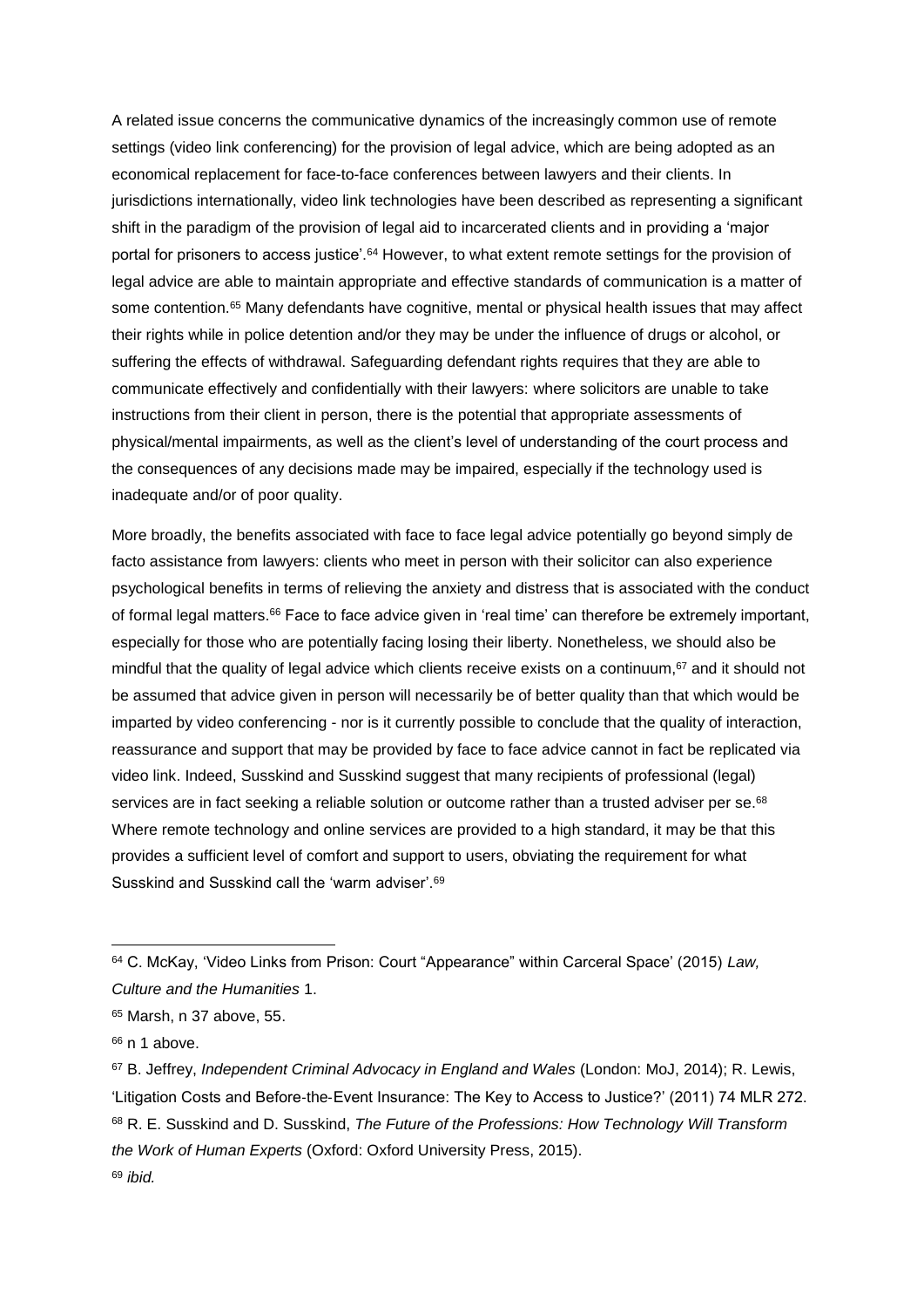A related issue concerns the communicative dynamics of the increasingly common use of remote settings (video link conferencing) for the provision of legal advice, which are being adopted as an economical replacement for face-to-face conferences between lawyers and their clients. In jurisdictions internationally, video link technologies have been described as representing a significant shift in the paradigm of the provision of legal aid to incarcerated clients and in providing a 'major portal for prisoners to access justice'.<sup>64</sup> However, to what extent remote settings for the provision of legal advice are able to maintain appropriate and effective standards of communication is a matter of some contention.<sup>65</sup> Many defendants have cognitive, mental or physical health issues that may affect their rights while in police detention and/or they may be under the influence of drugs or alcohol, or suffering the effects of withdrawal. Safeguarding defendant rights requires that they are able to communicate effectively and confidentially with their lawyers: where solicitors are unable to take instructions from their client in person, there is the potential that appropriate assessments of physical/mental impairments, as well as the client's level of understanding of the court process and the consequences of any decisions made may be impaired, especially if the technology used is inadequate and/or of poor quality.

More broadly, the benefits associated with face to face legal advice potentially go beyond simply de facto assistance from lawyers: clients who meet in person with their solicitor can also experience psychological benefits in terms of relieving the anxiety and distress that is associated with the conduct of formal legal matters.<sup>66</sup> Face to face advice given in 'real time' can therefore be extremely important, especially for those who are potentially facing losing their liberty. Nonetheless, we should also be mindful that the quality of legal advice which clients receive exists on a continuum,<sup>67</sup> and it should not be assumed that advice given in person will necessarily be of better quality than that which would be imparted by video conferencing - nor is it currently possible to conclude that the quality of interaction, reassurance and support that may be provided by face to face advice cannot in fact be replicated via video link. Indeed, Susskind and Susskind suggest that many recipients of professional (legal) services are in fact seeking a reliable solution or outcome rather than a trusted adviser per se.<sup>68</sup> Where remote technology and online services are provided to a high standard, it may be that this provides a sufficient level of comfort and support to users, obviating the requirement for what Susskind and Susskind call the 'warm adviser'.<sup>69</sup>

<sup>64</sup> C. McKay, 'Video Links from Prison: Court "Appearance" within Carceral Space' (2015) *Law, Culture and the Humanities* 1.

<sup>65</sup> Marsh, n 37 above, 55.

 $66$  n 1 above.

<sup>67</sup> B. Jeffrey, *Independent Criminal Advocacy in England and Wales* (London: MoJ, 2014); R. Lewis, 'Litigation Costs and Before‐the‐Event Insurance: The Key to Access to Justice?' (2011) 74 MLR 272. <sup>68</sup> R. E. Susskind and D. Susskind, *The Future of the Professions: How Technology Will Transform the Work of Human Experts* (Oxford: Oxford University Press, 2015). <sup>69</sup> *ibid.*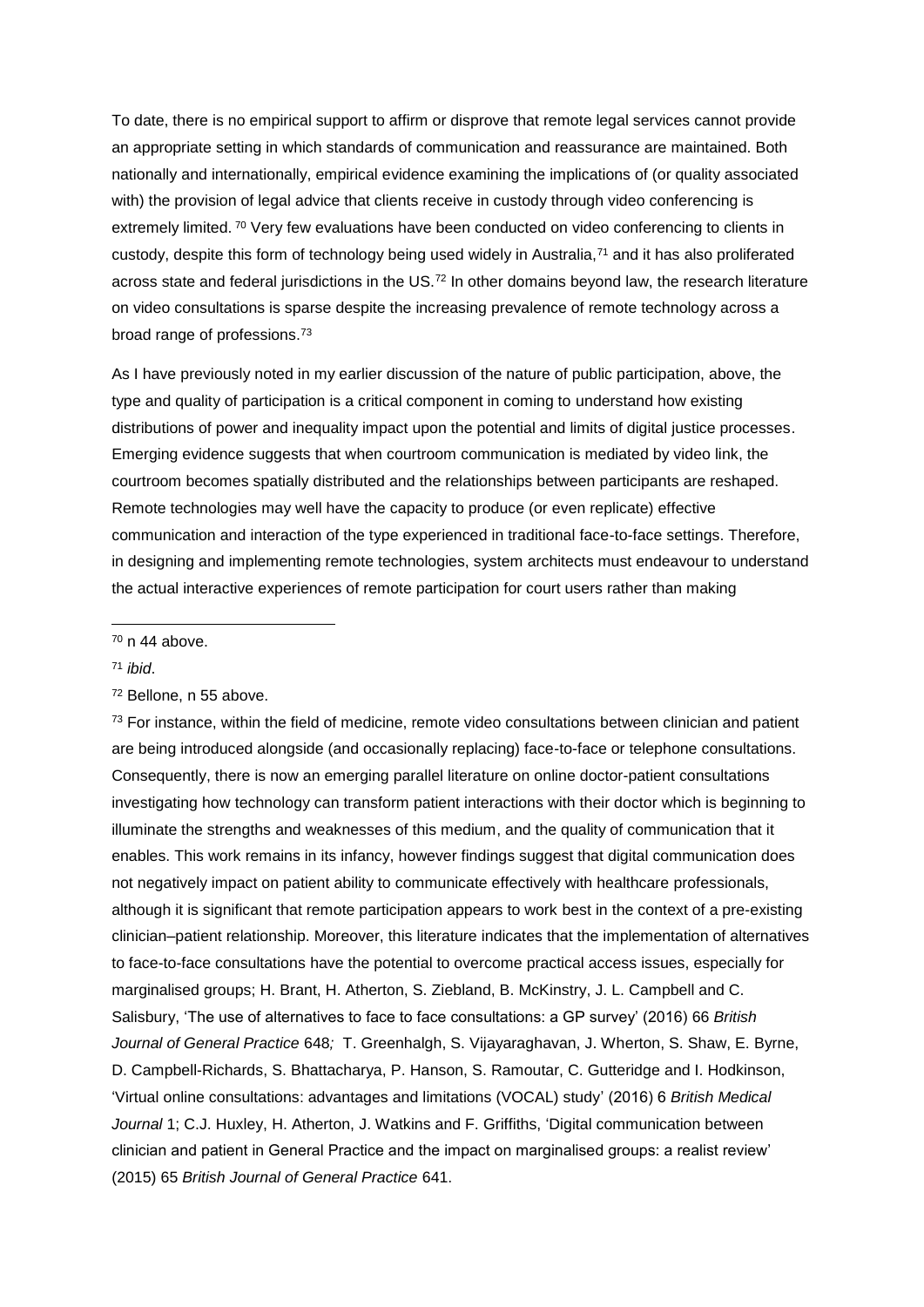To date, there is no empirical support to affirm or disprove that remote legal services cannot provide an appropriate setting in which standards of communication and reassurance are maintained. Both nationally and internationally, empirical evidence examining the implications of (or quality associated with) the provision of legal advice that clients receive in custody through video conferencing is extremely limited.<sup>70</sup> Very few evaluations have been conducted on video conferencing to clients in custody, despite this form of technology being used widely in Australia,<sup>71</sup> and it has also proliferated across state and federal jurisdictions in the US.<sup>72</sup> In other domains beyond law, the research literature on video consultations is sparse despite the increasing prevalence of remote technology across a broad range of professions.<sup>73</sup>

As I have previously noted in my earlier discussion of the nature of public participation, above, the type and quality of participation is a critical component in coming to understand how existing distributions of power and inequality impact upon the potential and limits of digital justice processes. Emerging evidence suggests that when courtroom communication is mediated by video link, the courtroom becomes spatially distributed and the relationships between participants are reshaped. Remote technologies may well have the capacity to produce (or even replicate) effective communication and interaction of the type experienced in traditional face-to-face settings. Therefore, in designing and implementing remote technologies, system architects must endeavour to understand the actual interactive experiences of remote participation for court users rather than making

<sup>71</sup> *ibid*.

**.** 

<sup>72</sup> Bellone, n 55 above.

 $73$  For instance, within the field of medicine, remote video consultations between clinician and patient are being introduced alongside (and occasionally replacing) face-to-face or telephone consultations. Consequently, there is now an emerging parallel literature on online doctor-patient consultations investigating how technology can transform patient interactions with their doctor which is beginning to illuminate the strengths and weaknesses of this medium, and the quality of communication that it enables. This work remains in its infancy, however findings suggest that digital communication does not negatively impact on patient ability to communicate effectively with healthcare professionals, although it is significant that remote participation appears to work best in the context of a pre-existing clinician–patient relationship. Moreover, this literature indicates that the implementation of alternatives to face-to-face consultations have the potential to overcome practical access issues, especially for marginalised groups; H. Brant, H. Atherton, S. Ziebland, B. McKinstry, J. L. Campbell and C. Salisbury, 'The use of alternatives to face to face consultations: a GP survey' (2016) 66 *British Journal of General Practice* 648*;* T. Greenhalgh, S. Vijayaraghavan, J. Wherton, S. Shaw, E. Byrne, D. Campbell-Richards, S. Bhattacharya, P. Hanson, S. Ramoutar, C. Gutteridge and I. Hodkinson, 'Virtual online consultations: advantages and limitations (VOCAL) study' (2016) 6 *British Medical Journal* 1; C.J. Huxley, H. Atherton, J. Watkins and F. Griffiths, 'Digital communication between clinician and patient in General Practice and the impact on marginalised groups: a realist review' (2015) 65 *British Journal of General Practice* 641.

 $70$  n 44 above.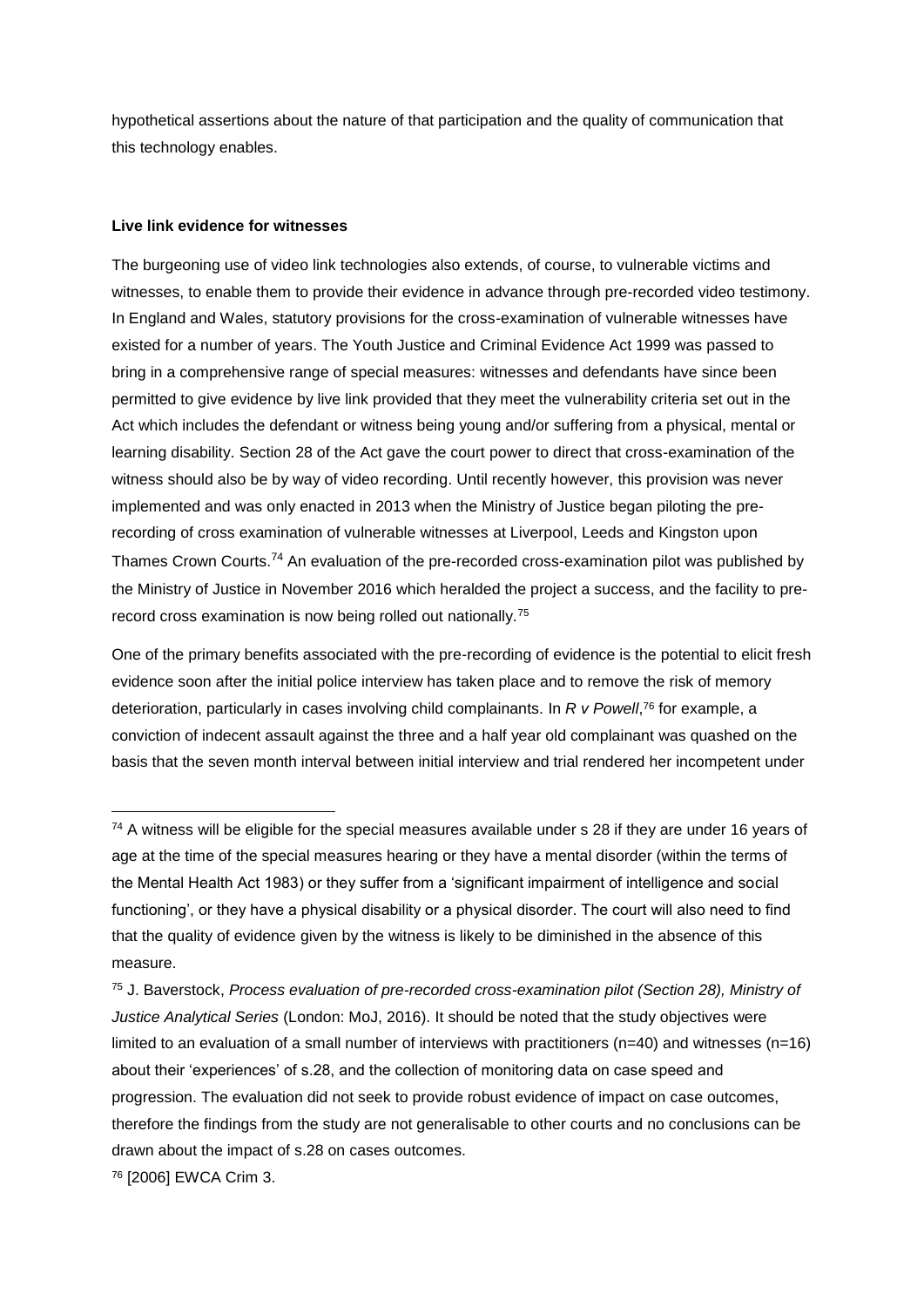hypothetical assertions about the nature of that participation and the quality of communication that this technology enables.

### **Live link evidence for witnesses**

The burgeoning use of video link technologies also extends, of course, to vulnerable victims and witnesses, to enable them to provide their evidence in advance through pre-recorded video testimony. In England and Wales, statutory provisions for the cross-examination of vulnerable witnesses have existed for a number of years. The Youth Justice and Criminal Evidence Act 1999 was passed to bring in a comprehensive range of special measures: witnesses and defendants have since been permitted to give evidence by live link provided that they meet the vulnerability criteria set out in the Act which includes the defendant or witness being young and/or suffering from a physical, mental or learning disability. Section 28 of the Act gave the court power to direct that cross-examination of the witness should also be by way of video recording. Until recently however, this provision was never implemented and was only enacted in 2013 when the Ministry of Justice began piloting the prerecording of cross examination of vulnerable witnesses at Liverpool, Leeds and Kingston upon Thames Crown Courts.<sup>74</sup> An evaluation of the pre-recorded cross-examination pilot was published by the Ministry of Justice in November 2016 which heralded the project a success, and the facility to prerecord cross examination is now being rolled out nationally.<sup>75</sup>

One of the primary benefits associated with the pre-recording of evidence is the potential to elicit fresh evidence soon after the initial police interview has taken place and to remove the risk of memory deterioration, particularly in cases involving child complainants. In *R v Powell*, <sup>76</sup> for example, a conviction of indecent assault against the three and a half year old complainant was quashed on the basis that the seven month interval between initial interview and trial rendered her incompetent under

<sup>76</sup> [2006] EWCA Crim 3.

<sup>74</sup> A witness will be eligible for the special measures available under s 28 if they are under 16 years of age at the time of the special measures hearing or they have a mental disorder (within the terms of the Mental Health Act 1983) or they suffer from a 'significant impairment of intelligence and social functioning', or they have a physical disability or a physical disorder. The court will also need to find that the quality of evidence given by the witness is likely to be diminished in the absence of this measure.

<sup>75</sup> J. Baverstock, *Process evaluation of pre-recorded cross-examination pilot (Section 28), Ministry of Justice Analytical Series* (London: MoJ, 2016). It should be noted that the study objectives were limited to an evaluation of a small number of interviews with practitioners (n=40) and witnesses (n=16) about their 'experiences' of s.28, and the collection of monitoring data on case speed and progression. The evaluation did not seek to provide robust evidence of impact on case outcomes, therefore the findings from the study are not generalisable to other courts and no conclusions can be drawn about the impact of s.28 on cases outcomes.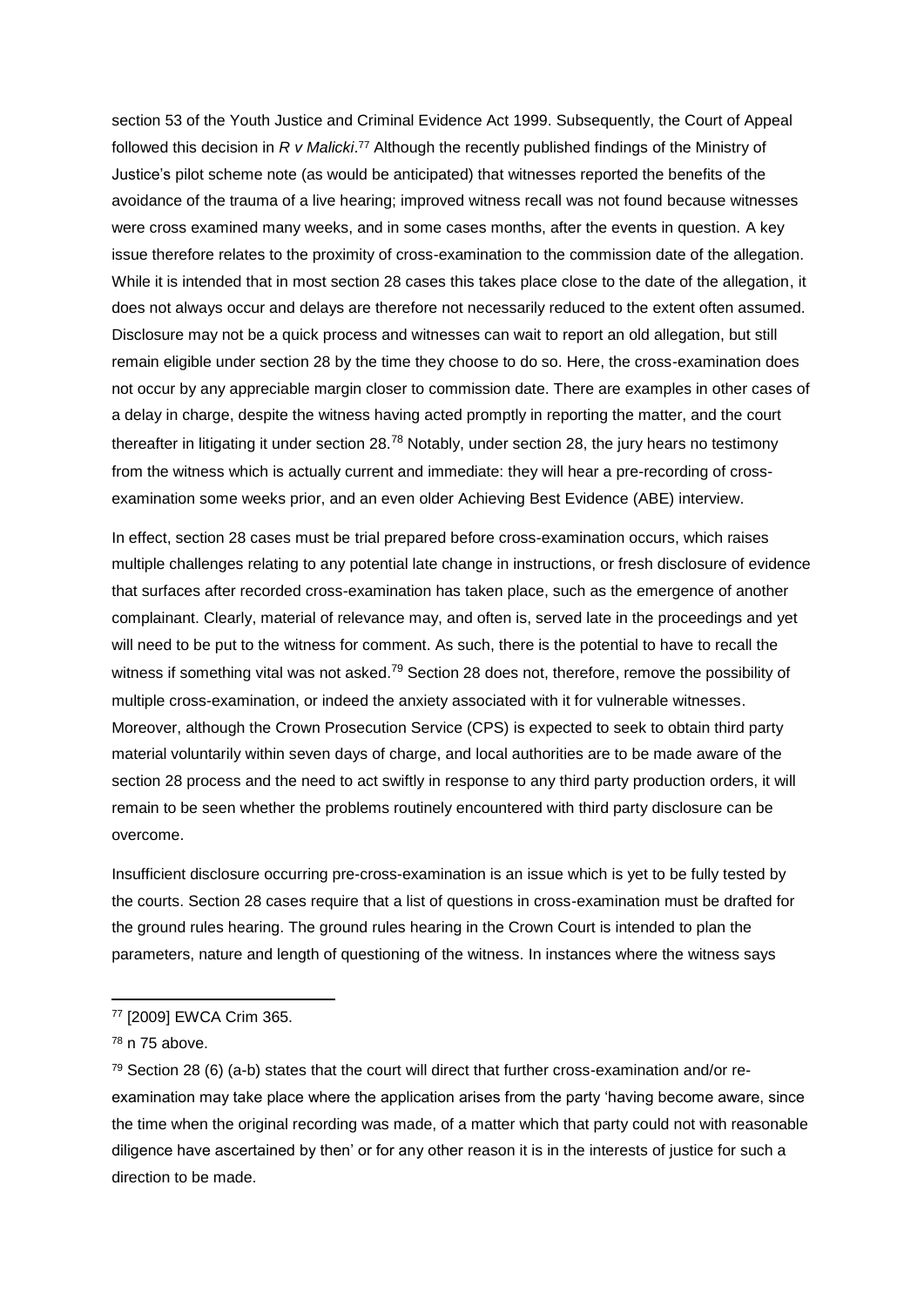section 53 of the Youth Justice and Criminal Evidence Act 1999. Subsequently, the Court of Appeal followed this decision in *R v Malicki*. <sup>77</sup> Although the recently published findings of the Ministry of Justice's pilot scheme note (as would be anticipated) that witnesses reported the benefits of the avoidance of the trauma of a live hearing; improved witness recall was not found because witnesses were cross examined many weeks, and in some cases months, after the events in question. A key issue therefore relates to the proximity of cross-examination to the commission date of the allegation. While it is intended that in most section 28 cases this takes place close to the date of the allegation, it does not always occur and delays are therefore not necessarily reduced to the extent often assumed. Disclosure may not be a quick process and witnesses can wait to report an old allegation, but still remain eligible under section 28 by the time they choose to do so. Here, the cross-examination does not occur by any appreciable margin closer to commission date. There are examples in other cases of a delay in charge, despite the witness having acted promptly in reporting the matter, and the court thereafter in litigating it under section  $28^{78}$  Notably, under section 28, the jury hears no testimony from the witness which is actually current and immediate: they will hear a pre-recording of crossexamination some weeks prior, and an even older Achieving Best Evidence (ABE) interview.

In effect, section 28 cases must be trial prepared before cross-examination occurs, which raises multiple challenges relating to any potential late change in instructions, or fresh disclosure of evidence that surfaces after recorded cross-examination has taken place, such as the emergence of another complainant. Clearly, material of relevance may, and often is, served late in the proceedings and yet will need to be put to the witness for comment. As such, there is the potential to have to recall the witness if something vital was not asked.<sup>79</sup> Section 28 does not, therefore, remove the possibility of multiple cross-examination, or indeed the anxiety associated with it for vulnerable witnesses. Moreover, although the Crown Prosecution Service (CPS) is expected to seek to obtain third party material voluntarily within seven days of charge, and local authorities are to be made aware of the section 28 process and the need to act swiftly in response to any third party production orders, it will remain to be seen whether the problems routinely encountered with third party disclosure can be overcome.

Insufficient disclosure occurring pre-cross-examination is an issue which is yet to be fully tested by the courts. Section 28 cases require that a list of questions in cross-examination must be drafted for the ground rules hearing. The ground rules hearing in the Crown Court is intended to plan the parameters, nature and length of questioning of the witness. In instances where the witness says

<sup>77</sup> [2009] EWCA Crim 365.

<sup>78</sup> n 75 above.

<sup>79</sup> Section 28 (6) (a-b) states that the court will direct that further cross-examination and/or reexamination may take place where the application arises from the party 'having become aware, since the time when the original recording was made, of a matter which that party could not with reasonable diligence have ascertained by then' or for any other reason it is in the interests of justice for such a direction to be made.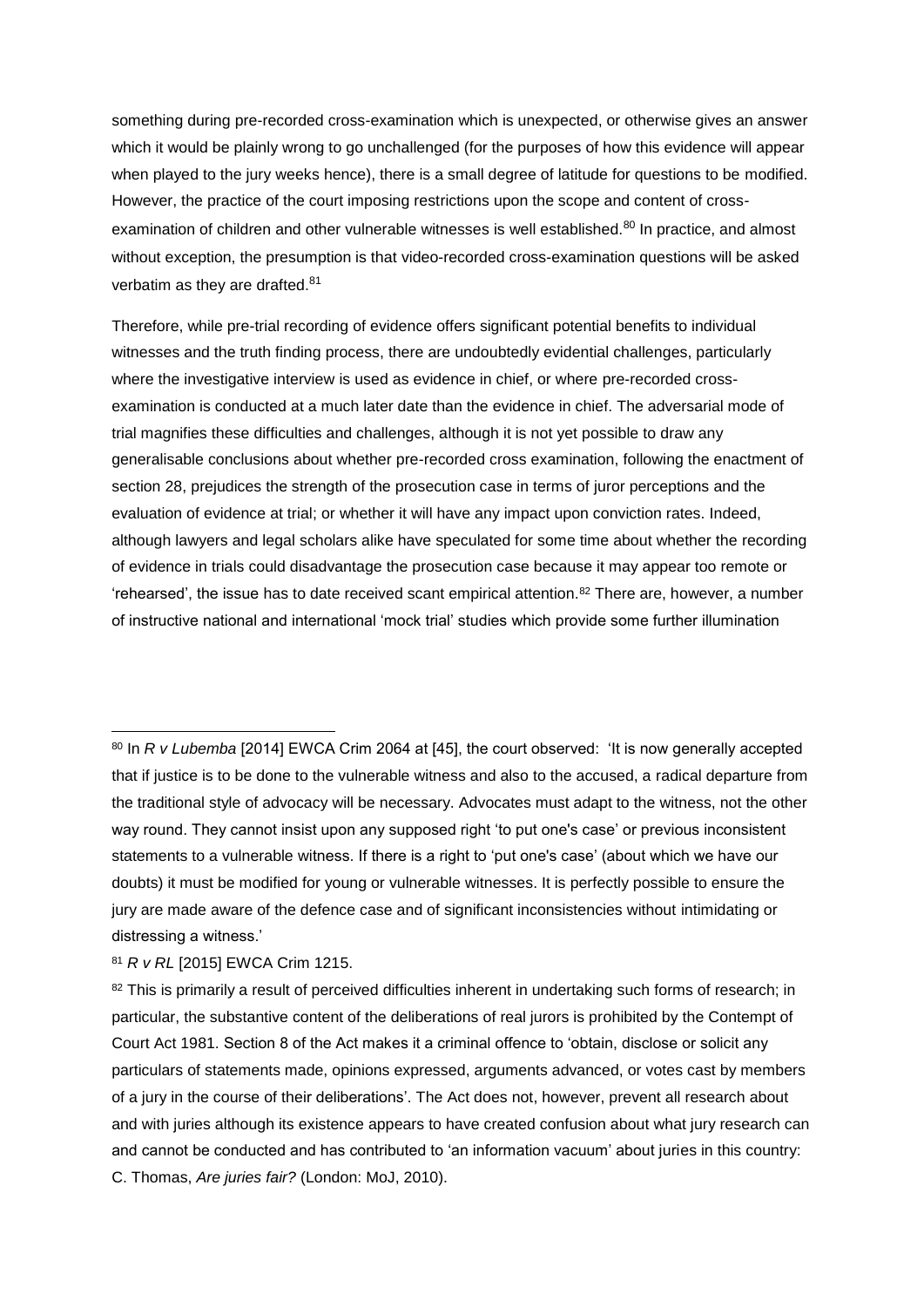something during pre-recorded cross-examination which is unexpected, or otherwise gives an answer which it would be plainly wrong to go unchallenged (for the purposes of how this evidence will appear when played to the jury weeks hence), there is a small degree of latitude for questions to be modified. However, the practice of the court imposing restrictions upon the scope and content of crossexamination of children and other vulnerable witnesses is well established.<sup>80</sup> In practice, and almost without exception, the presumption is that video-recorded cross-examination questions will be asked verbatim as they are drafted.<sup>81</sup>

Therefore, while pre-trial recording of evidence offers significant potential benefits to individual witnesses and the truth finding process, there are undoubtedly evidential challenges, particularly where the investigative interview is used as evidence in chief, or where pre-recorded crossexamination is conducted at a much later date than the evidence in chief. The adversarial mode of trial magnifies these difficulties and challenges, although it is not yet possible to draw any generalisable conclusions about whether pre-recorded cross examination, following the enactment of section 28, prejudices the strength of the prosecution case in terms of juror perceptions and the evaluation of evidence at trial; or whether it will have any impact upon conviction rates. Indeed, although lawyers and legal scholars alike have speculated for some time about whether the recording of evidence in trials could disadvantage the prosecution case because it may appear too remote or 'rehearsed', the issue has to date received scant empirical attention.<sup>82</sup> There are, however, a number of instructive national and international 'mock trial' studies which provide some further illumination

<sup>81</sup> *R v RL* [2015] EWCA Crim 1215.

**.** 

82 This is primarily a result of perceived difficulties inherent in undertaking such forms of research; in particular, the substantive content of the deliberations of real jurors is prohibited by the Contempt of Court Act 1981. Section 8 of the Act makes it a criminal offence to 'obtain, disclose or solicit any particulars of statements made, opinions expressed, arguments advanced, or votes cast by members of a jury in the course of their deliberations'. The Act does not, however, prevent all research about and with juries although its existence appears to have created confusion about what jury research can and cannot be conducted and has contributed to 'an information vacuum' about juries in this country: C. Thomas, *Are juries fair?* (London: MoJ, 2010).

<sup>80</sup> In *R v Lubemba* [2014] EWCA Crim 2064 at [45], the court observed: 'It is now generally accepted that if justice is to be done to the vulnerable witness and also to the accused, a radical departure from the traditional style of advocacy will be necessary. Advocates must adapt to the witness, not the other way round. They cannot insist upon any supposed right 'to put one's case' or previous inconsistent statements to a vulnerable witness. If there is a right to 'put one's case' (about which we have our doubts) it must be modified for young or vulnerable witnesses. It is perfectly possible to ensure the jury are made aware of the defence case and of significant inconsistencies without intimidating or distressing a witness.'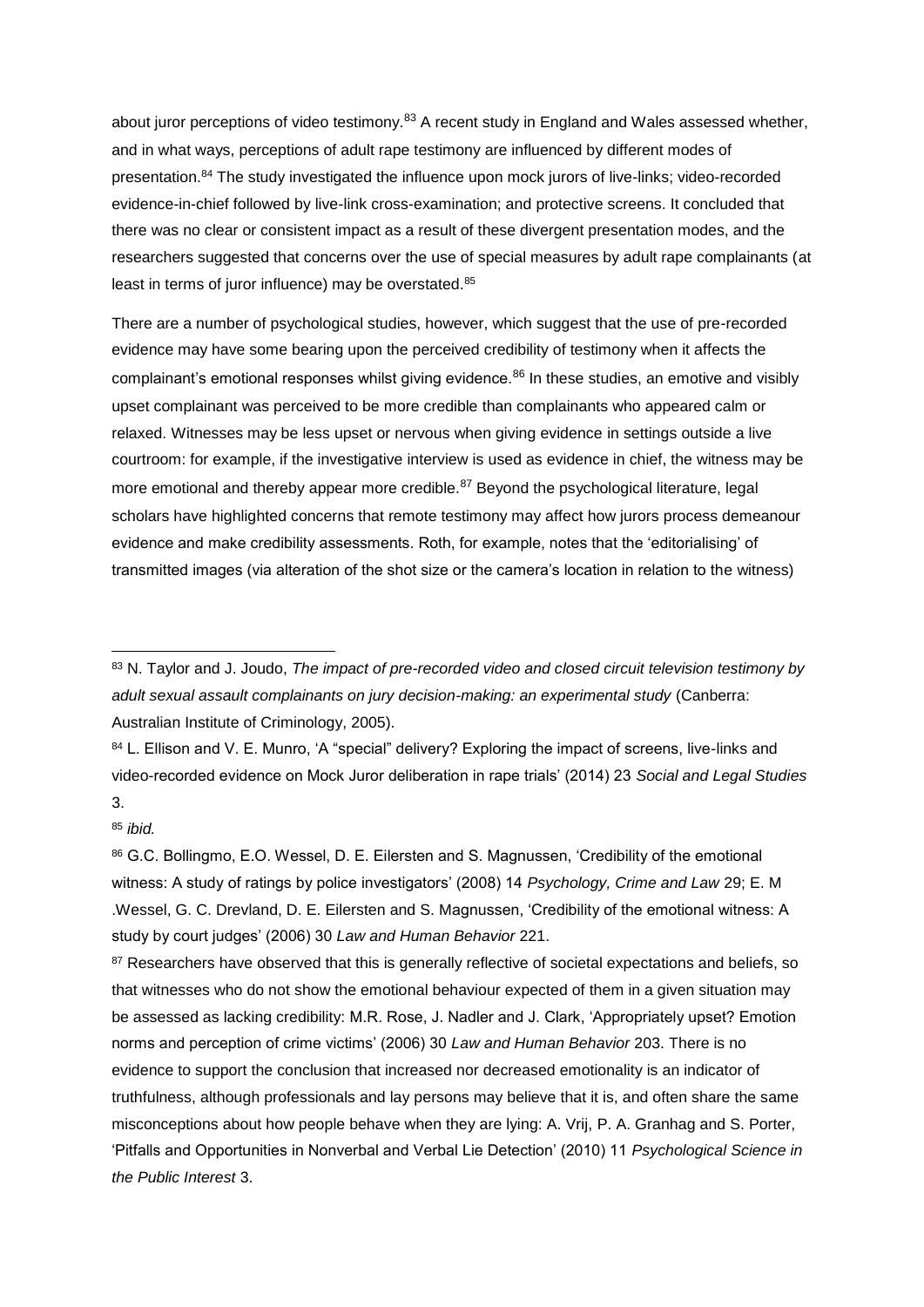about juror perceptions of video testimony.<sup>83</sup> A recent study in England and Wales assessed whether, and in what ways, perceptions of adult rape testimony are influenced by different modes of presentation.<sup>84</sup> The study investigated the influence upon mock jurors of live-links; video-recorded evidence-in-chief followed by live-link cross-examination; and protective screens. It concluded that there was no clear or consistent impact as a result of these divergent presentation modes, and the researchers suggested that concerns over the use of special measures by adult rape complainants (at least in terms of juror influence) may be overstated.<sup>85</sup>

There are a number of psychological studies, however, which suggest that the use of pre-recorded evidence may have some bearing upon the perceived credibility of testimony when it affects the complainant's emotional responses whilst giving evidence.<sup>86</sup> In these studies, an emotive and visibly upset complainant was perceived to be more credible than complainants who appeared calm or relaxed. Witnesses may be less upset or nervous when giving evidence in settings outside a live courtroom: for example, if the investigative interview is used as evidence in chief, the witness may be more emotional and thereby appear more credible.<sup>87</sup> Beyond the psychological literature, legal scholars have highlighted concerns that remote testimony may affect how jurors process demeanour evidence and make credibility assessments. Roth, for example, notes that the 'editorialising' of transmitted images (via alteration of the shot size or the camera's location in relation to the witness)

84 L. Ellison and V. E. Munro, 'A "special" delivery? Exploring the impact of screens, live-links and video-recorded evidence on Mock Juror deliberation in rape trials' (2014) 23 *Social and Legal Studies* 3.

<sup>85</sup> *ibid.*

**.** 

86 G.C. Bollingmo, E.O. Wessel, D. E. Eilersten and S. Magnussen, 'Credibility of the emotional witness: A study of ratings by police investigators' (2008) 14 *Psychology, Crime and Law* 29; E. M .Wessel, G. C. Drevland, D. E. Eilersten and S. Magnussen, 'Credibility of the emotional witness: A study by court judges' (2006) 30 *Law and Human Behavior* 221.

<sup>87</sup> Researchers have observed that this is generally reflective of societal expectations and beliefs, so that witnesses who do not show the emotional behaviour expected of them in a given situation may be assessed as lacking credibility: M.R. Rose, J. Nadler and J. Clark, 'Appropriately upset? Emotion norms and perception of crime victims' (2006) 30 *Law and Human Behavior* 203. There is no evidence to support the conclusion that increased nor decreased emotionality is an indicator of truthfulness, although professionals and lay persons may believe that it is, and often share the same misconceptions about how people behave when they are lying: A. Vrij, P. A. Granhag and S. Porter, 'Pitfalls and Opportunities in Nonverbal and Verbal Lie Detection' (2010) 11 *Psychological Science in the Public Interest* 3.

<sup>83</sup> N. Taylor and J. Joudo, *The impact of pre-recorded video and closed circuit television testimony by adult sexual assault complainants on jury decision-making: an experimental study* (Canberra: Australian Institute of Criminology, 2005).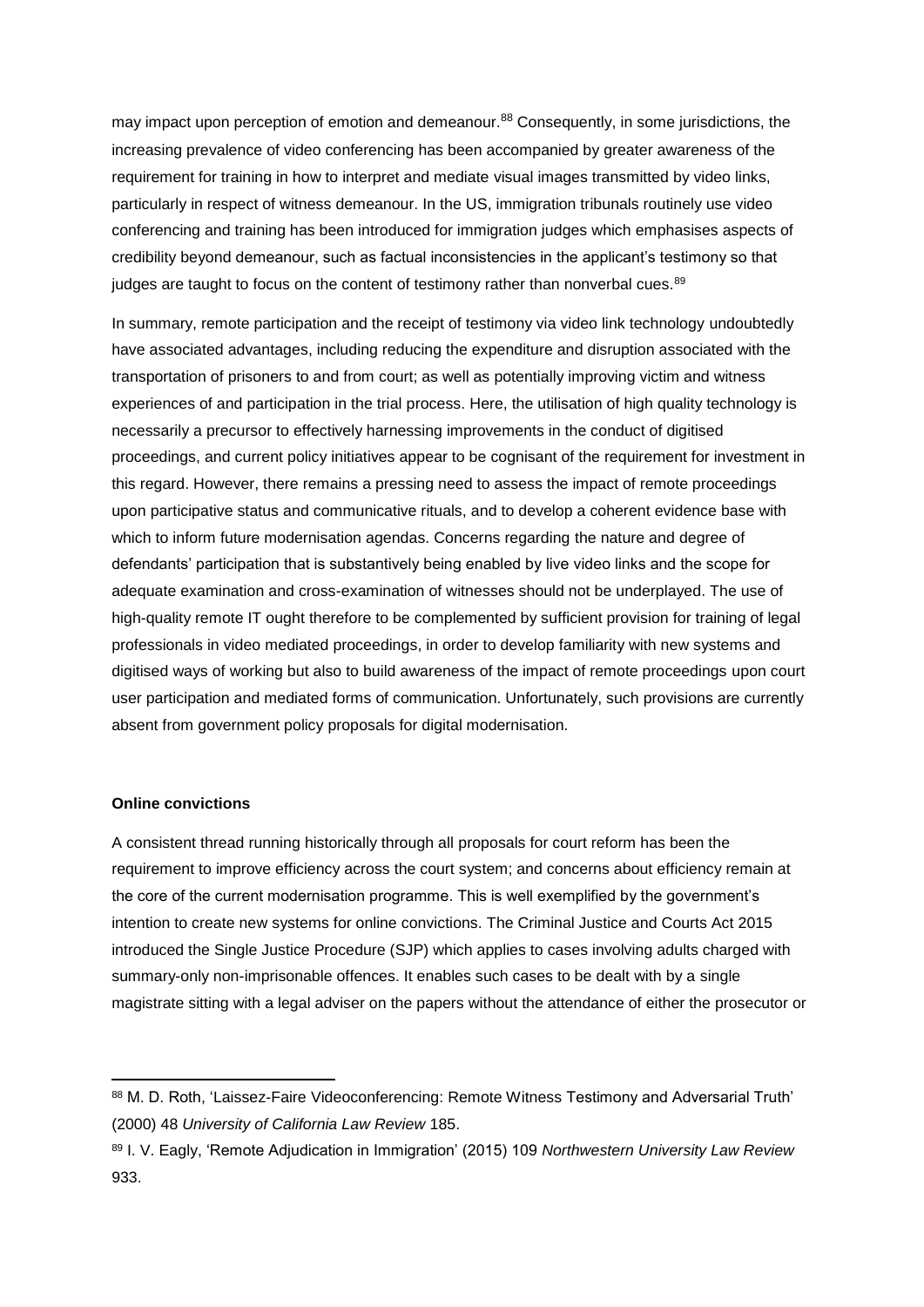may impact upon perception of emotion and demeanour.<sup>88</sup> Consequently, in some jurisdictions, the increasing prevalence of video conferencing has been accompanied by greater awareness of the requirement for training in how to interpret and mediate visual images transmitted by video links, particularly in respect of witness demeanour. In the US, immigration tribunals routinely use video conferencing and training has been introduced for immigration judges which emphasises aspects of credibility beyond demeanour, such as factual inconsistencies in the applicant's testimony so that judges are taught to focus on the content of testimony rather than nonverbal cues.<sup>89</sup>

In summary, remote participation and the receipt of testimony via video link technology undoubtedly have associated advantages, including reducing the expenditure and disruption associated with the transportation of prisoners to and from court; as well as potentially improving victim and witness experiences of and participation in the trial process. Here, the utilisation of high quality technology is necessarily a precursor to effectively harnessing improvements in the conduct of digitised proceedings, and current policy initiatives appear to be cognisant of the requirement for investment in this regard. However, there remains a pressing need to assess the impact of remote proceedings upon participative status and communicative rituals, and to develop a coherent evidence base with which to inform future modernisation agendas. Concerns regarding the nature and degree of defendants' participation that is substantively being enabled by live video links and the scope for adequate examination and cross-examination of witnesses should not be underplayed. The use of high-quality remote IT ought therefore to be complemented by sufficient provision for training of legal professionals in video mediated proceedings, in order to develop familiarity with new systems and digitised ways of working but also to build awareness of the impact of remote proceedings upon court user participation and mediated forms of communication. Unfortunately, such provisions are currently absent from government policy proposals for digital modernisation.

#### **Online convictions**

1

A consistent thread running historically through all proposals for court reform has been the requirement to improve efficiency across the court system; and concerns about efficiency remain at the core of the current modernisation programme. This is well exemplified by the government's intention to create new systems for online convictions. The Criminal Justice and Courts Act 2015 introduced the Single Justice Procedure (SJP) which applies to cases involving adults charged with summary-only non-imprisonable offences. It enables such cases to be dealt with by a single magistrate sitting with a legal adviser on the papers without the attendance of either the prosecutor or

<sup>88</sup> M. D. Roth, 'Laissez-Faire Videoconferencing: Remote Witness Testimony and Adversarial Truth' (2000) 48 *University of California Law Review* 185.

<sup>89</sup> I. V. Eagly, 'Remote Adjudication in Immigration' (2015) 109 *Northwestern University Law Review* 933.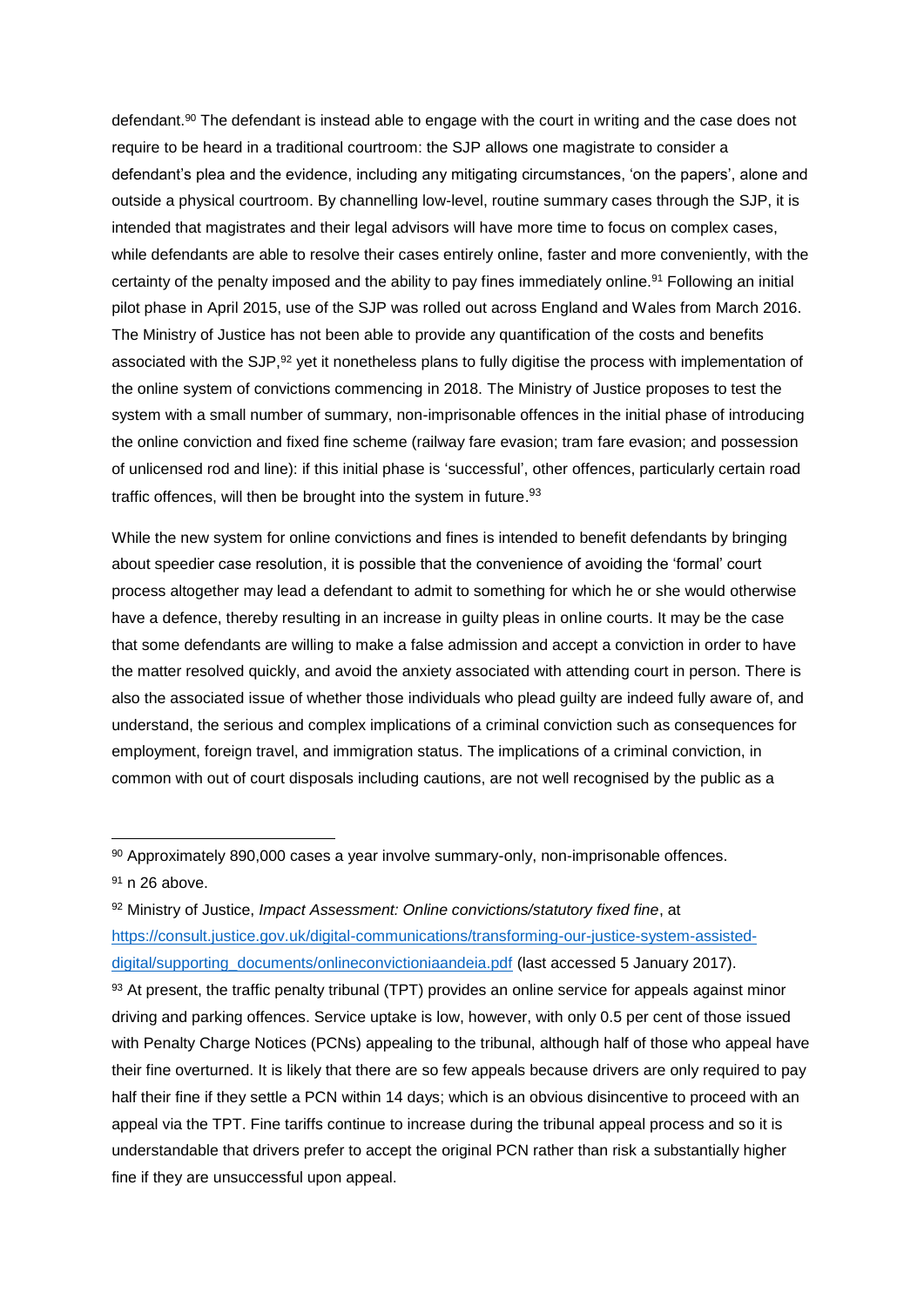defendant.<sup>90</sup> The defendant is instead able to engage with the court in writing and the case does not require to be heard in a traditional courtroom: the SJP allows one magistrate to consider a defendant's plea and the evidence, including any mitigating circumstances, 'on the papers', alone and outside a physical courtroom. By channelling low-level, routine summary cases through the SJP, it is intended that magistrates and their legal advisors will have more time to focus on complex cases, while defendants are able to resolve their cases entirely online, faster and more conveniently, with the certainty of the penalty imposed and the ability to pay fines immediately online.<sup>91</sup> Following an initial pilot phase in April 2015, use of the SJP was rolled out across England and Wales from March 2016. The Ministry of Justice has not been able to provide any quantification of the costs and benefits associated with the SJP,<sup>92</sup> yet it nonetheless plans to fully digitise the process with implementation of the online system of convictions commencing in 2018. The Ministry of Justice proposes to test the system with a small number of summary, non-imprisonable offences in the initial phase of introducing the online conviction and fixed fine scheme (railway fare evasion; tram fare evasion; and possession of unlicensed rod and line): if this initial phase is 'successful', other offences, particularly certain road traffic offences, will then be brought into the system in future.<sup>93</sup>

While the new system for online convictions and fines is intended to benefit defendants by bringing about speedier case resolution, it is possible that the convenience of avoiding the 'formal' court process altogether may lead a defendant to admit to something for which he or she would otherwise have a defence, thereby resulting in an increase in guilty pleas in online courts. It may be the case that some defendants are willing to make a false admission and accept a conviction in order to have the matter resolved quickly, and avoid the anxiety associated with attending court in person. There is also the associated issue of whether those individuals who plead guilty are indeed fully aware of, and understand, the serious and complex implications of a criminal conviction such as consequences for employment, foreign travel, and immigration status. The implications of a criminal conviction, in common with out of court disposals including cautions, are not well recognised by the public as a

**.** 

93 At present, the traffic penalty tribunal (TPT) provides an online service for appeals against minor driving and parking offences. Service uptake is low, however, with only 0.5 per cent of those issued with Penalty Charge Notices (PCNs) appealing to the tribunal, although half of those who appeal have their fine overturned. It is likely that there are so few appeals because drivers are only required to pay half their fine if they settle a PCN within 14 days; which is an obvious disincentive to proceed with an appeal via the TPT. Fine tariffs continue to increase during the tribunal appeal process and so it is understandable that drivers prefer to accept the original PCN rather than risk a substantially higher fine if they are unsuccessful upon appeal.

<sup>90</sup> Approximately 890,000 cases a year involve summary-only, non-imprisonable offences.

 $91$  n 26 above.

<sup>92</sup> Ministry of Justice, *Impact Assessment: Online convictions/statutory fixed fine*, at https://consult.justice.gov.uk/digital-communications/transforming-our-justice-system-assisteddigital/supporting\_documents/onlineconvictioniaandeia.pdf (last accessed 5 January 2017).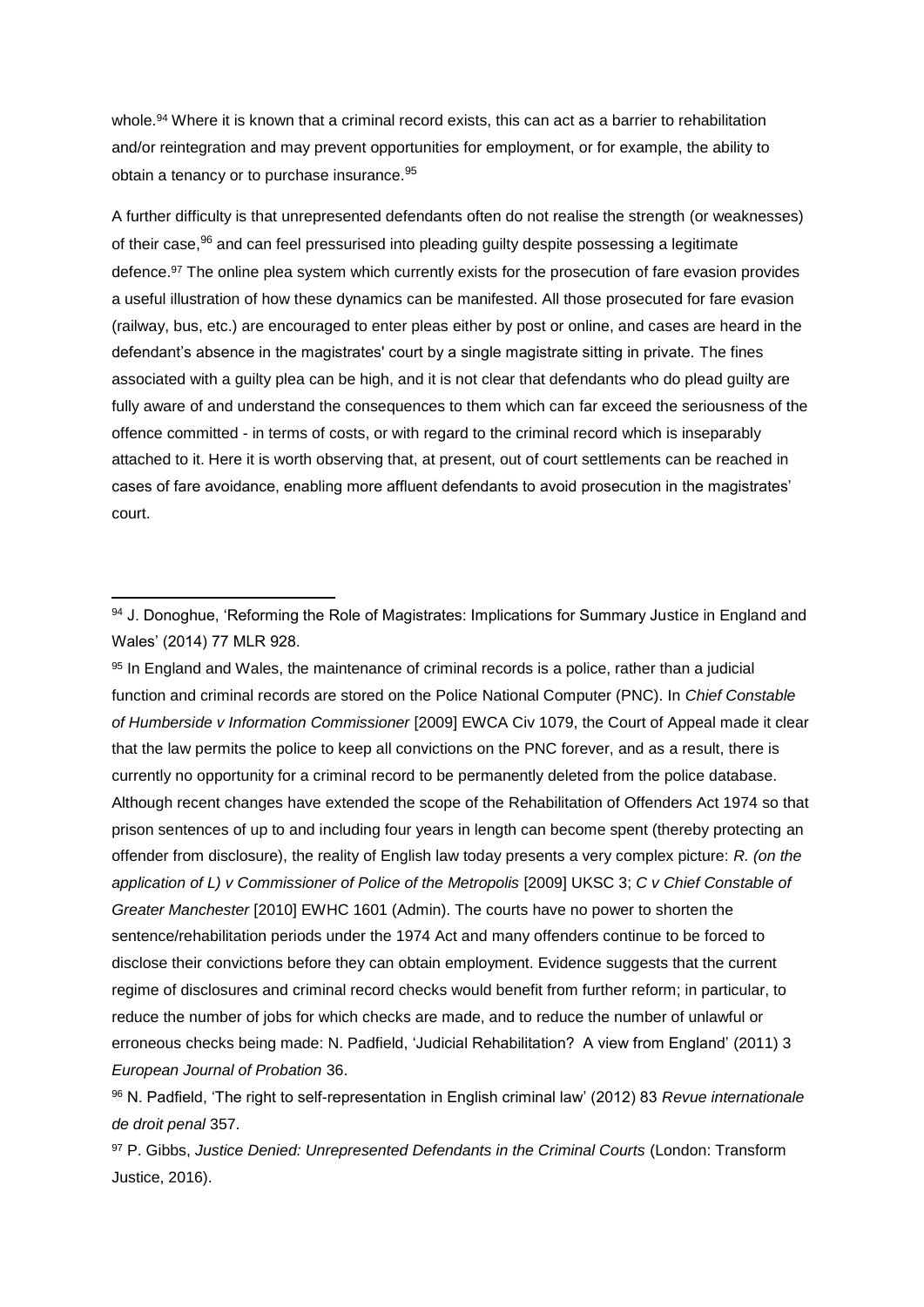whole.<sup>94</sup> Where it is known that a criminal record exists, this can act as a barrier to rehabilitation and/or reintegration and may prevent opportunities for employment, or for example, the ability to obtain a tenancy or to purchase insurance.<sup>95</sup>

A further difficulty is that unrepresented defendants often do not realise the strength (or weaknesses) of their case,<sup>96</sup> and can feel pressurised into pleading guilty despite possessing a legitimate defence.<sup>97</sup> The online plea system which currently exists for the prosecution of fare evasion provides a useful illustration of how these dynamics can be manifested. All those prosecuted for fare evasion (railway, bus, etc.) are encouraged to enter pleas either by post or online, and cases are heard in the defendant's absence in the magistrates' court by a single magistrate sitting in private. The fines associated with a guilty plea can be high, and it is not clear that defendants who do plead guilty are fully aware of and understand the consequences to them which can far exceed the seriousness of the offence committed - in terms of costs, or with regard to the criminal record which is inseparably attached to it. Here it is worth observing that, at present, out of court settlements can be reached in cases of fare avoidance, enabling more affluent defendants to avoid prosecution in the magistrates' court.

95 In England and Wales, the maintenance of criminal records is a police, rather than a judicial function and criminal records are stored on the Police National Computer (PNC). In *Chief Constable of Humberside v Information Commissioner* [2009] EWCA Civ 1079, the Court of Appeal made it clear that the law permits the police to keep all convictions on the PNC forever, and as a result, there is currently no opportunity for a criminal record to be permanently deleted from the police database. Although recent changes have extended the scope of the Rehabilitation of Offenders Act 1974 so that prison sentences of up to and including four years in length can become spent (thereby protecting an offender from disclosure), the reality of English law today presents a very complex picture: *R. (on the application of L) v Commissioner of Police of the Metropolis* [2009] UKSC 3; *C v Chief Constable of Greater Manchester* [2010] EWHC 1601 (Admin). The courts have no power to shorten the sentence/rehabilitation periods under the 1974 Act and many offenders continue to be forced to disclose their convictions before they can obtain employment. Evidence suggests that the current regime of disclosures and criminal record checks would benefit from further reform; in particular, to reduce the number of jobs for which checks are made, and to reduce the number of unlawful or erroneous checks being made: N. Padfield, 'Judicial Rehabilitation? A view from England' (2011) 3 *European Journal of Probation* 36.

<sup>96</sup> N. Padfield, 'The right to self-representation in English criminal law' (2012) 83 *Revue internationale de droit penal* 357.

<sup>97</sup> P. Gibbs, *Justice Denied: Unrepresented Defendants in the Criminal Courts* (London: Transform Justice, 2016).

**<sup>.</sup>** 94 J. Donoghue, 'Reforming the Role of Magistrates: Implications for Summary Justice in England and Wales' (2014) 77 MLR 928.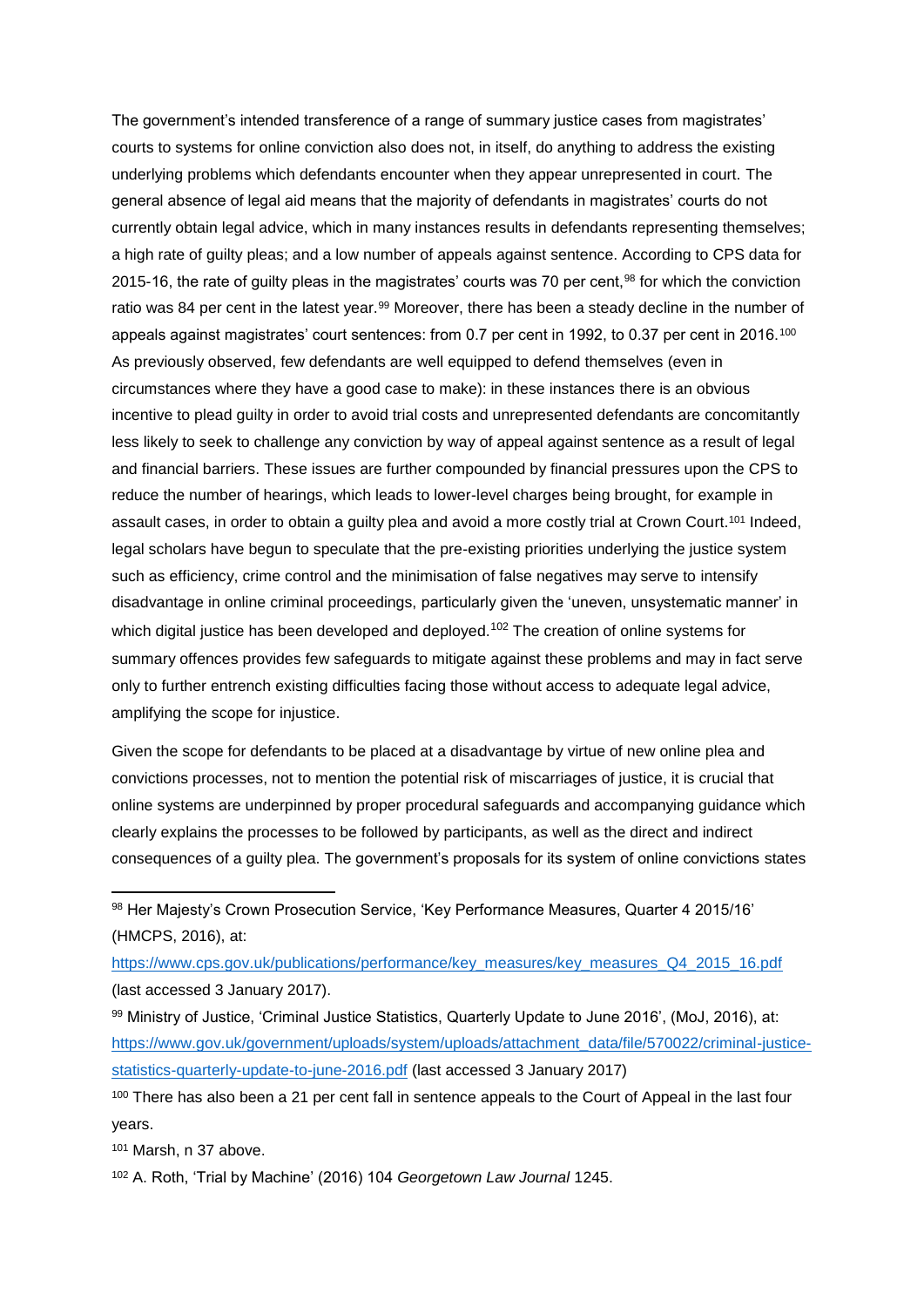The government's intended transference of a range of summary justice cases from magistrates' courts to systems for online conviction also does not, in itself, do anything to address the existing underlying problems which defendants encounter when they appear unrepresented in court. The general absence of legal aid means that the majority of defendants in magistrates' courts do not currently obtain legal advice, which in many instances results in defendants representing themselves; a high rate of guilty pleas; and a low number of appeals against sentence. According to CPS data for 2015-16, the rate of quilty pleas in the magistrates' courts was 70 per cent,<sup>98</sup> for which the conviction ratio was 84 per cent in the latest year.<sup>99</sup> Moreover, there has been a steady decline in the number of appeals against magistrates' court sentences: from 0.7 per cent in 1992, to 0.37 per cent in 2016.<sup>100</sup> As previously observed, few defendants are well equipped to defend themselves (even in circumstances where they have a good case to make): in these instances there is an obvious incentive to plead guilty in order to avoid trial costs and unrepresented defendants are concomitantly less likely to seek to challenge any conviction by way of appeal against sentence as a result of legal and financial barriers. These issues are further compounded by financial pressures upon the CPS to reduce the number of hearings, which leads to lower-level charges being brought, for example in assault cases, in order to obtain a guilty plea and avoid a more costly trial at Crown Court.<sup>101</sup> Indeed, legal scholars have begun to speculate that the pre-existing priorities underlying the justice system such as efficiency, crime control and the minimisation of false negatives may serve to intensify disadvantage in online criminal proceedings, particularly given the 'uneven, unsystematic manner' in which digital justice has been developed and deployed.<sup>102</sup> The creation of online systems for summary offences provides few safeguards to mitigate against these problems and may in fact serve only to further entrench existing difficulties facing those without access to adequate legal advice, amplifying the scope for injustice.

Given the scope for defendants to be placed at a disadvantage by virtue of new online plea and convictions processes, not to mention the potential risk of miscarriages of justice, it is crucial that online systems are underpinned by proper procedural safeguards and accompanying guidance which clearly explains the processes to be followed by participants, as well as the direct and indirect consequences of a guilty plea. The government's proposals for its system of online convictions states

<sup>98</sup> Her Majesty's Crown Prosecution Service, 'Key Performance Measures, Quarter 4 2015/16' (HMCPS, 2016), at:

https://www.cps.gov.uk/publications/performance/key\_measures/key\_measures\_Q4\_2015\_16.pdf (last accessed 3 January 2017).

99 Ministry of Justice, 'Criminal Justice Statistics, Quarterly Update to June 2016', (MoJ, 2016), at: https://www.gov.uk/government/uploads/system/uploads/attachment\_data/file/570022/criminal-justicestatistics-quarterly-update-to-june-2016.pdf (last accessed 3 January 2017)

<sup>100</sup> There has also been a 21 per cent fall in sentence appeals to the Court of Appeal in the last four years.

<sup>101</sup> Marsh, n 37 above.

1

<sup>102</sup> A. Roth, 'Trial by Machine' (2016) 104 *Georgetown Law Journal* 1245.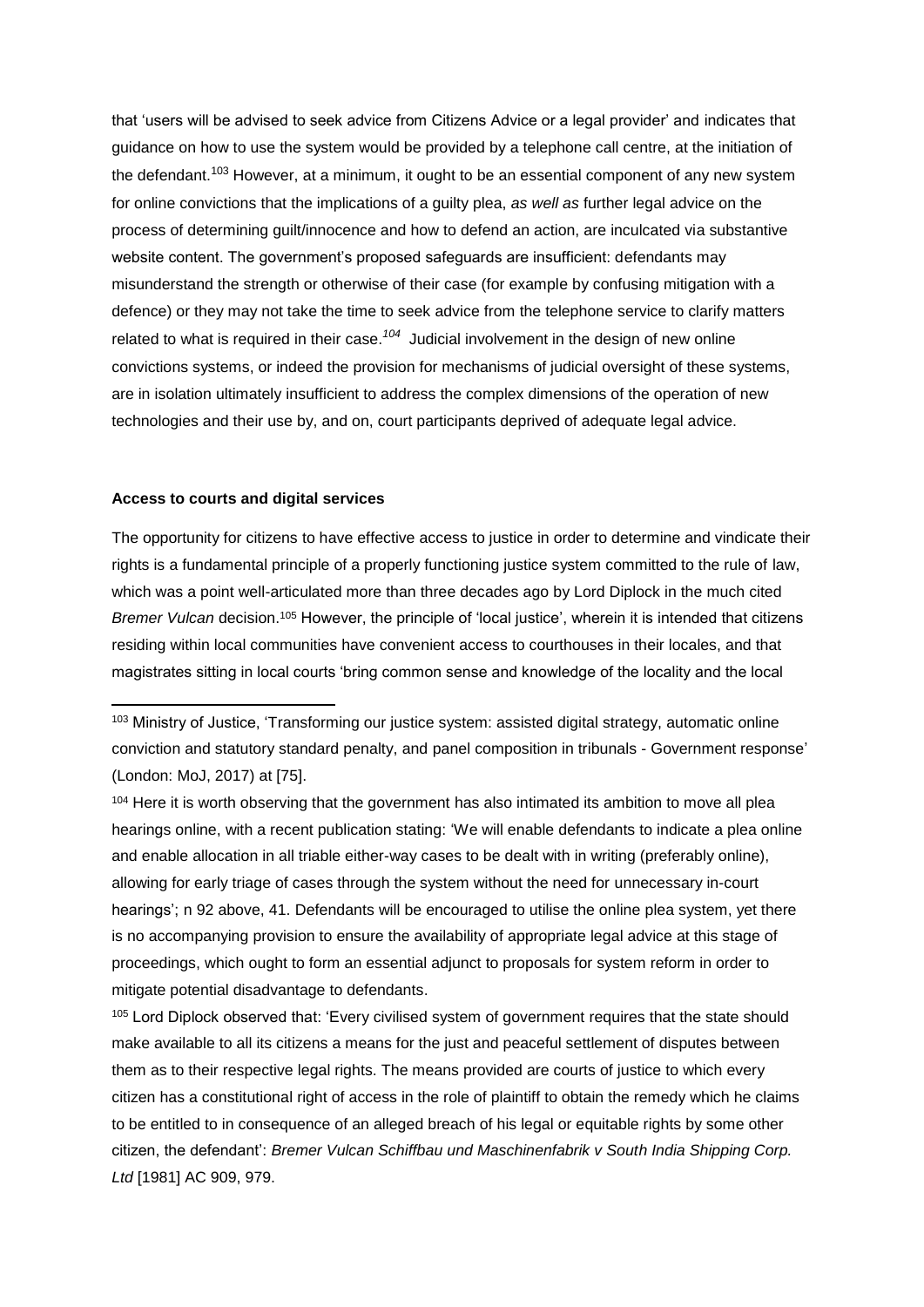that 'users will be advised to seek advice from Citizens Advice or a legal provider' and indicates that guidance on how to use the system would be provided by a telephone call centre, at the initiation of the defendant.<sup>103</sup> However, at a minimum, it ought to be an essential component of any new system for online convictions that the implications of a guilty plea, *as well as* further legal advice on the process of determining guilt/innocence and how to defend an action, are inculcated via substantive website content. The government's proposed safeguards are insufficient: defendants may misunderstand the strength or otherwise of their case (for example by confusing mitigation with a defence) or they may not take the time to seek advice from the telephone service to clarify matters related to what is required in their case.*<sup>104</sup>* Judicial involvement in the design of new online convictions systems, or indeed the provision for mechanisms of judicial oversight of these systems, are in isolation ultimately insufficient to address the complex dimensions of the operation of new technologies and their use by, and on, court participants deprived of adequate legal advice.

### **Access to courts and digital services**

1

The opportunity for citizens to have effective access to justice in order to determine and vindicate their rights is a fundamental principle of a properly functioning justice system committed to the rule of law, which was a point well-articulated more than three decades ago by Lord Diplock in the much cited Bremer Vulcan decision.<sup>105</sup> However, the principle of 'local justice', wherein it is intended that citizens residing within local communities have convenient access to courthouses in their locales, and that magistrates sitting in local courts 'bring common sense and knowledge of the locality and the local

<sup>105</sup> Lord Diplock observed that: 'Every civilised system of government requires that the state should make available to all its citizens a means for the just and peaceful settlement of disputes between them as to their respective legal rights. The means provided are courts of justice to which every citizen has a constitutional right of access in the role of plaintiff to obtain the remedy which he claims to be entitled to in consequence of an alleged breach of his legal or equitable rights by some other citizen, the defendant': *Bremer Vulcan Schiffbau und Maschinenfabrik v South India Shipping Corp. Ltd* [1981] AC 909, 979.

<sup>103</sup> Ministry of Justice, 'Transforming our justice system: assisted digital strategy, automatic online conviction and statutory standard penalty, and panel composition in tribunals - Government response' (London: MoJ, 2017) at [75].

<sup>&</sup>lt;sup>104</sup> Here it is worth observing that the government has also intimated its ambition to move all plea hearings online, with a recent publication stating: 'We will enable defendants to indicate a plea online and enable allocation in all triable either-way cases to be dealt with in writing (preferably online), allowing for early triage of cases through the system without the need for unnecessary in-court hearings'; n 92 above, 41. Defendants will be encouraged to utilise the online plea system, yet there is no accompanying provision to ensure the availability of appropriate legal advice at this stage of proceedings, which ought to form an essential adjunct to proposals for system reform in order to mitigate potential disadvantage to defendants.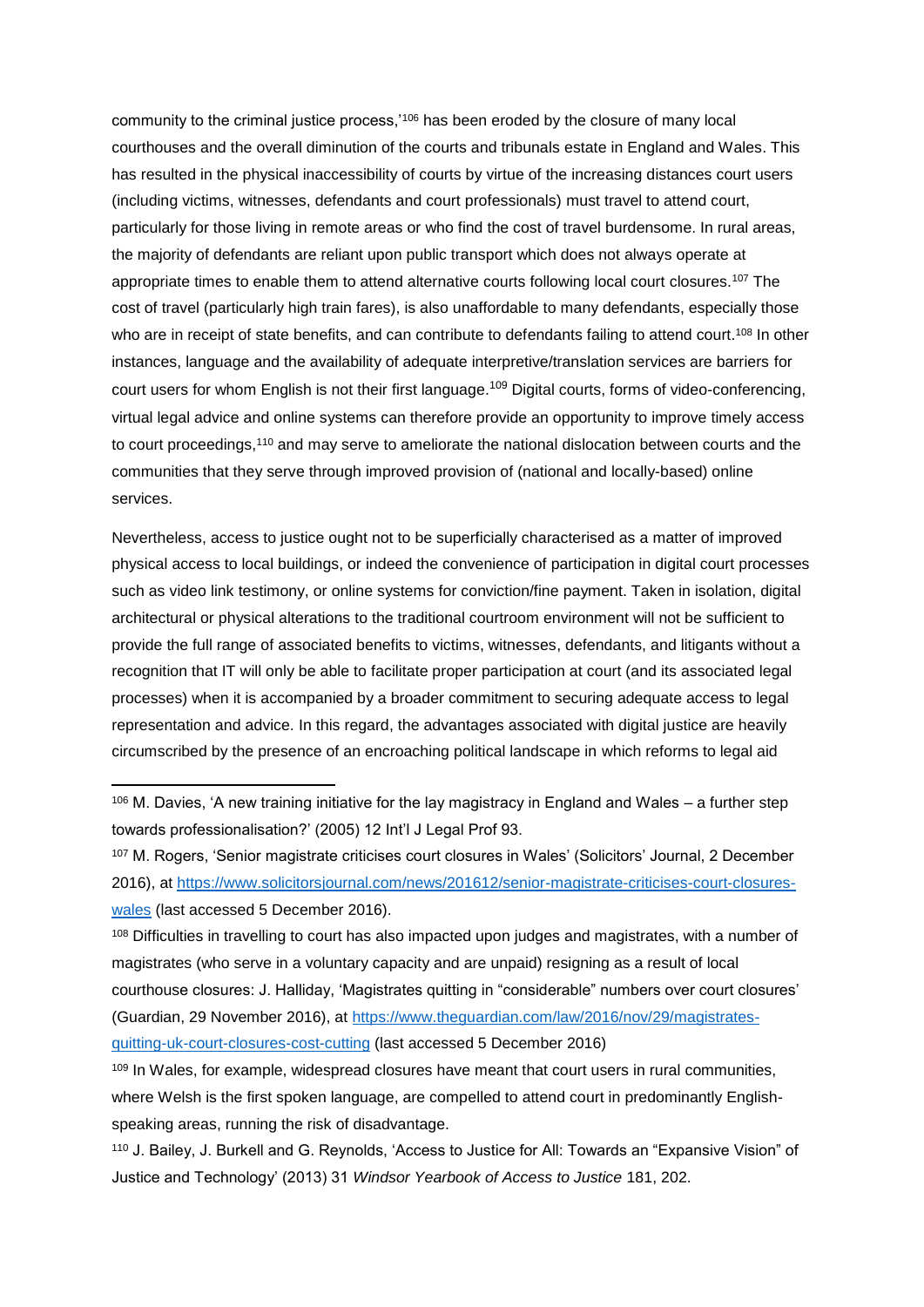community to the criminal justice process,'<sup>106</sup> has been eroded by the closure of many local courthouses and the overall diminution of the courts and tribunals estate in England and Wales. This has resulted in the physical inaccessibility of courts by virtue of the increasing distances court users (including victims, witnesses, defendants and court professionals) must travel to attend court, particularly for those living in remote areas or who find the cost of travel burdensome. In rural areas, the majority of defendants are reliant upon public transport which does not always operate at appropriate times to enable them to attend alternative courts following local court closures.<sup>107</sup> The cost of travel (particularly high train fares), is also unaffordable to many defendants, especially those who are in receipt of state benefits, and can contribute to defendants failing to attend court.<sup>108</sup> In other instances, language and the availability of adequate interpretive/translation services are barriers for court users for whom English is not their first language.<sup>109</sup> Digital courts, forms of video-conferencing, virtual legal advice and online systems can therefore provide an opportunity to improve timely access to court proceedings,<sup>110</sup> and may serve to ameliorate the national dislocation between courts and the communities that they serve through improved provision of (national and locally-based) online services.

Nevertheless, access to justice ought not to be superficially characterised as a matter of improved physical access to local buildings, or indeed the convenience of participation in digital court processes such as video link testimony, or online systems for conviction/fine payment. Taken in isolation, digital architectural or physical alterations to the traditional courtroom environment will not be sufficient to provide the full range of associated benefits to victims, witnesses, defendants, and litigants without a recognition that IT will only be able to facilitate proper participation at court (and its associated legal processes) when it is accompanied by a broader commitment to securing adequate access to legal representation and advice. In this regard, the advantages associated with digital justice are heavily circumscribed by the presence of an encroaching political landscape in which reforms to legal aid

1

<sup>108</sup> Difficulties in travelling to court has also impacted upon judges and magistrates, with a number of magistrates (who serve in a voluntary capacity and are unpaid) resigning as a result of local courthouse closures: J. Halliday, 'Magistrates quitting in "considerable" numbers over court closures' (Guardian, 29 November 2016), at https://www.theguardian.com/law/2016/nov/29/magistratesquitting-uk-court-closures-cost-cutting (last accessed 5 December 2016)

 $106$  M. Davies, 'A new training initiative for the lay magistracy in England and Wales – a further step towards professionalisation?' (2005) 12 Int'l J Legal Prof 93.

<sup>107</sup> M. Rogers, 'Senior magistrate criticises court closures in Wales' (Solicitors' Journal, 2 December 2016), at https://www.solicitorsjournal.com/news/201612/senior-magistrate-criticises-court-closureswales (last accessed 5 December 2016).

<sup>&</sup>lt;sup>109</sup> In Wales, for example, widespread closures have meant that court users in rural communities, where Welsh is the first spoken language, are compelled to attend court in predominantly Englishspeaking areas, running the risk of disadvantage.

<sup>110</sup> J. Bailey, J. Burkell and G. Reynolds, 'Access to Justice for All: Towards an "Expansive Vision" of Justice and Technology' (2013) 31 *Windsor Yearbook of Access to Justice* 181, 202.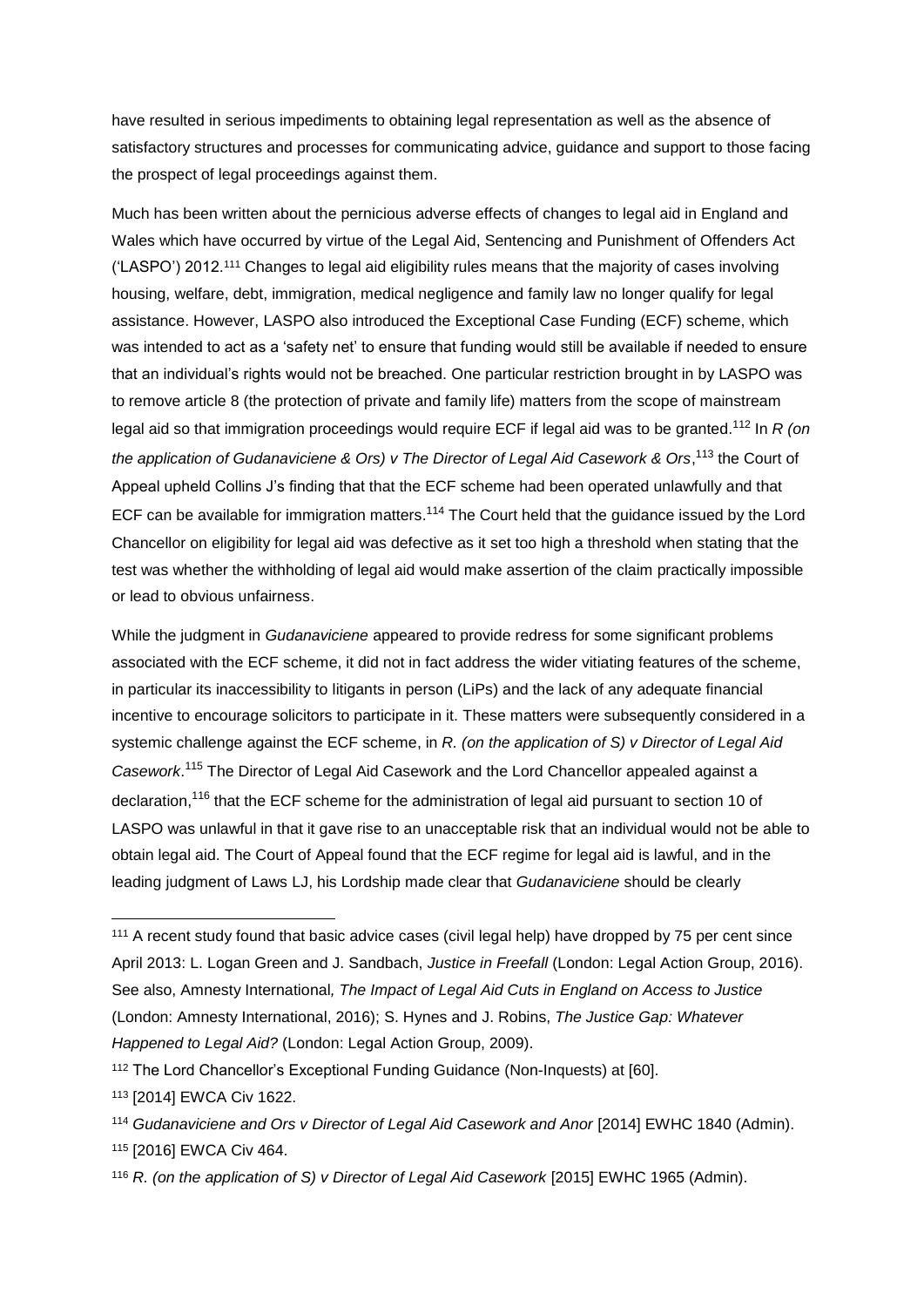have resulted in serious impediments to obtaining legal representation as well as the absence of satisfactory structures and processes for communicating advice, guidance and support to those facing the prospect of legal proceedings against them.

Much has been written about the pernicious adverse effects of changes to legal aid in England and Wales which have occurred by virtue of the Legal Aid, Sentencing and Punishment of Offenders Act ('LASPO') 2012.<sup>111</sup> Changes to legal aid eligibility rules means that the majority of cases involving housing, welfare, debt, immigration, medical negligence and family law no longer qualify for legal assistance. However, LASPO also introduced the Exceptional Case Funding (ECF) scheme, which was intended to act as a 'safety net' to ensure that funding would still be available if needed to ensure that an individual's rights would not be breached. One particular restriction brought in by LASPO was to remove article 8 (the protection of private and family life) matters from the scope of mainstream legal aid so that immigration proceedings would require ECF if legal aid was to be granted.<sup>112</sup> In *R (on* the application of Gudanaviciene & Ors) v The Director of Legal Aid Casework & Ors,<sup>113</sup> the Court of Appeal upheld Collins J's finding that that the ECF scheme had been operated unlawfully and that ECF can be available for immigration matters.<sup>114</sup> The Court held that the guidance issued by the Lord Chancellor on eligibility for legal aid was defective as it set too high a threshold when stating that the test was whether the withholding of legal aid would make assertion of the claim practically impossible or lead to obvious unfairness.

While the judgment in *Gudanaviciene* appeared to provide redress for some significant problems associated with the ECF scheme, it did not in fact address the wider vitiating features of the scheme, in particular its inaccessibility to litigants in person (LiPs) and the lack of any adequate financial incentive to encourage solicitors to participate in it. These matters were subsequently considered in a systemic challenge against the ECF scheme, in *R. (on the application of S) v Director of Legal Aid Casework*. <sup>115</sup> The Director of Legal Aid Casework and the Lord Chancellor appealed against a declaration,<sup>116</sup> that the ECF scheme for the administration of legal aid pursuant to section 10 of LASPO was unlawful in that it gave rise to an unacceptable risk that an individual would not be able to obtain legal aid. The Court of Appeal found that the ECF regime for legal aid is lawful, and in the leading judgment of Laws LJ, his Lordship made clear that *Gudanaviciene* should be clearly

<sup>113</sup> [2014] EWCA Civ 1622.

<sup>111</sup> A recent study found that basic advice cases (civil legal help) have dropped by 75 per cent since April 2013: L. Logan Green and J. Sandbach, *Justice in Freefall* (London: Legal Action Group, 2016). See also, Amnesty International*, The Impact of Legal Aid Cuts in England on Access to Justice* (London: Amnesty International, 2016); S. Hynes and J. Robins, *The Justice Gap: Whatever Happened to Legal Aid?* (London: Legal Action Group, 2009).

<sup>112</sup> The Lord Chancellor's Exceptional Funding Guidance (Non-Inquests) at [60].

<sup>114</sup> *Gudanaviciene and Ors v Director of Legal Aid Casework and Anor* [2014] EWHC 1840 (Admin). <sup>115</sup> [2016] EWCA Civ 464.

<sup>116</sup> *R. (on the application of S) v Director of Legal Aid Casework* [2015] EWHC 1965 (Admin).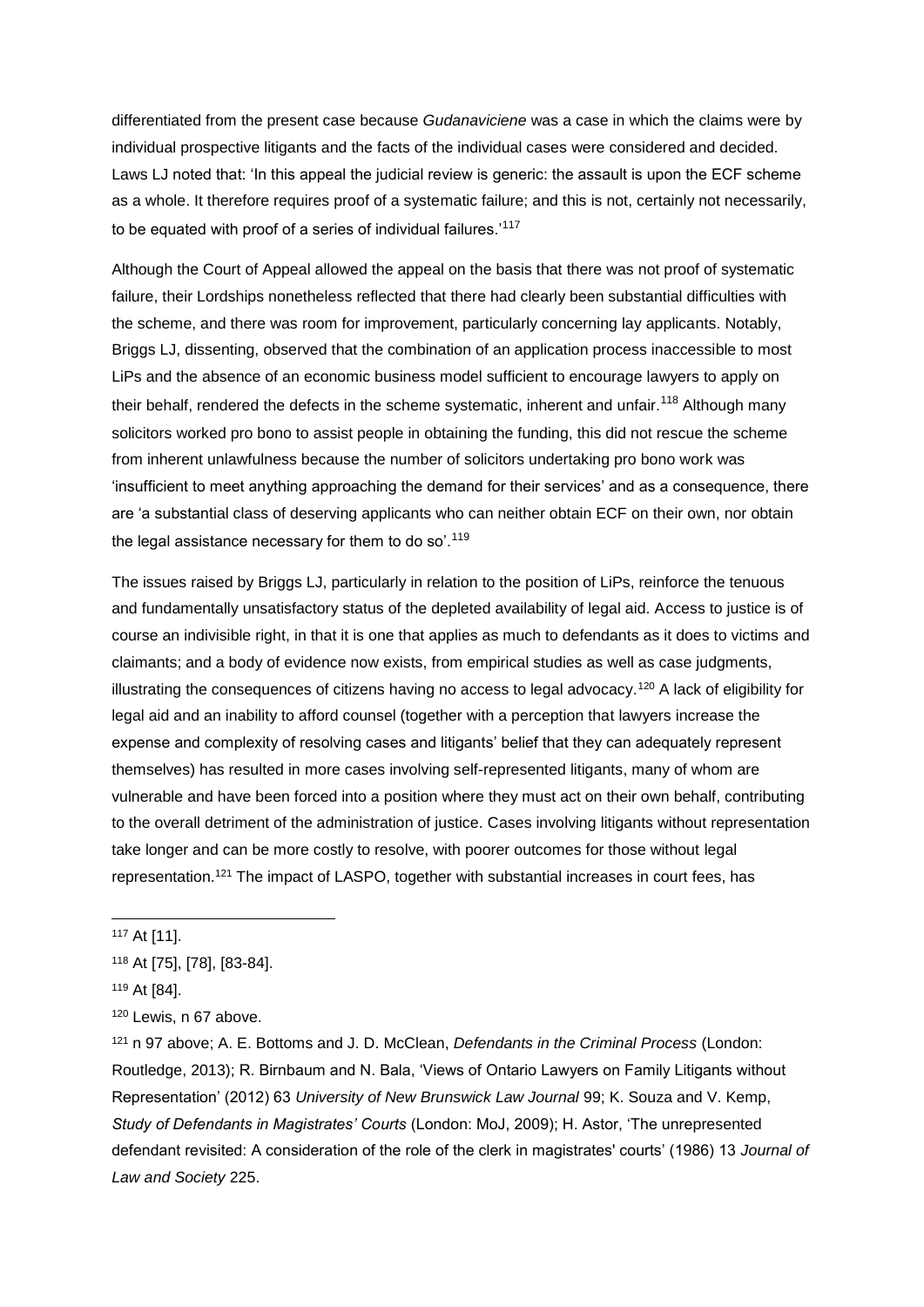differentiated from the present case because *Gudanaviciene* was a case in which the claims were by individual prospective litigants and the facts of the individual cases were considered and decided. Laws LJ noted that: 'In this appeal the judicial review is generic: the assault is upon the ECF scheme as a whole. It therefore requires proof of a systematic failure; and this is not, certainly not necessarily, to be equated with proof of a series of individual failures.<sup>'117</sup>

Although the Court of Appeal allowed the appeal on the basis that there was not proof of systematic failure, their Lordships nonetheless reflected that there had clearly been substantial difficulties with the scheme, and there was room for improvement, particularly concerning lay applicants. Notably, Briggs LJ, dissenting, observed that the combination of an application process inaccessible to most LiPs and the absence of an economic business model sufficient to encourage lawyers to apply on their behalf, rendered the defects in the scheme systematic, inherent and unfair.<sup>118</sup> Although many solicitors worked pro bono to assist people in obtaining the funding, this did not rescue the scheme from inherent unlawfulness because the number of solicitors undertaking pro bono work was 'insufficient to meet anything approaching the demand for their services' and as a consequence, there are 'a substantial class of deserving applicants who can neither obtain ECF on their own, nor obtain the legal assistance necessary for them to do so'.<sup>119</sup>

The issues raised by Briggs LJ, particularly in relation to the position of LiPs, reinforce the tenuous and fundamentally unsatisfactory status of the depleted availability of legal aid. Access to justice is of course an indivisible right, in that it is one that applies as much to defendants as it does to victims and claimants; and a body of evidence now exists, from empirical studies as well as case judgments, illustrating the consequences of citizens having no access to legal advocacy.<sup>120</sup> A lack of eligibility for legal aid and an inability to afford counsel (together with a perception that lawyers increase the expense and complexity of resolving cases and litigants' belief that they can adequately represent themselves) has resulted in more cases involving self-represented litigants, many of whom are vulnerable and have been forced into a position where they must act on their own behalf, contributing to the overall detriment of the administration of justice. Cases involving litigants without representation take longer and can be more costly to resolve, with poorer outcomes for those without legal representation.<sup>121</sup> The impact of LASPO, together with substantial increases in court fees, has

1

<sup>121</sup> n 97 above; A. E. Bottoms and J. D. McClean, *Defendants in the Criminal Process* (London: Routledge, 2013); R. Birnbaum and N. Bala, 'Views of Ontario Lawyers on Family Litigants without Representation' (2012) 63 *University of New Brunswick Law Journal* 99; K. Souza and V. Kemp, *Study of Defendants in Magistrates' Courts* (London: MoJ, 2009); H. Astor, 'The unrepresented defendant revisited: A consideration of the role of the clerk in magistrates' courts' (1986) 13 *Journal of Law and Society* 225.

<sup>117</sup> At [11].

<sup>118</sup> At [75], [78], [83-84].

<sup>119</sup> At [84].

<sup>120</sup> Lewis, n 67 above.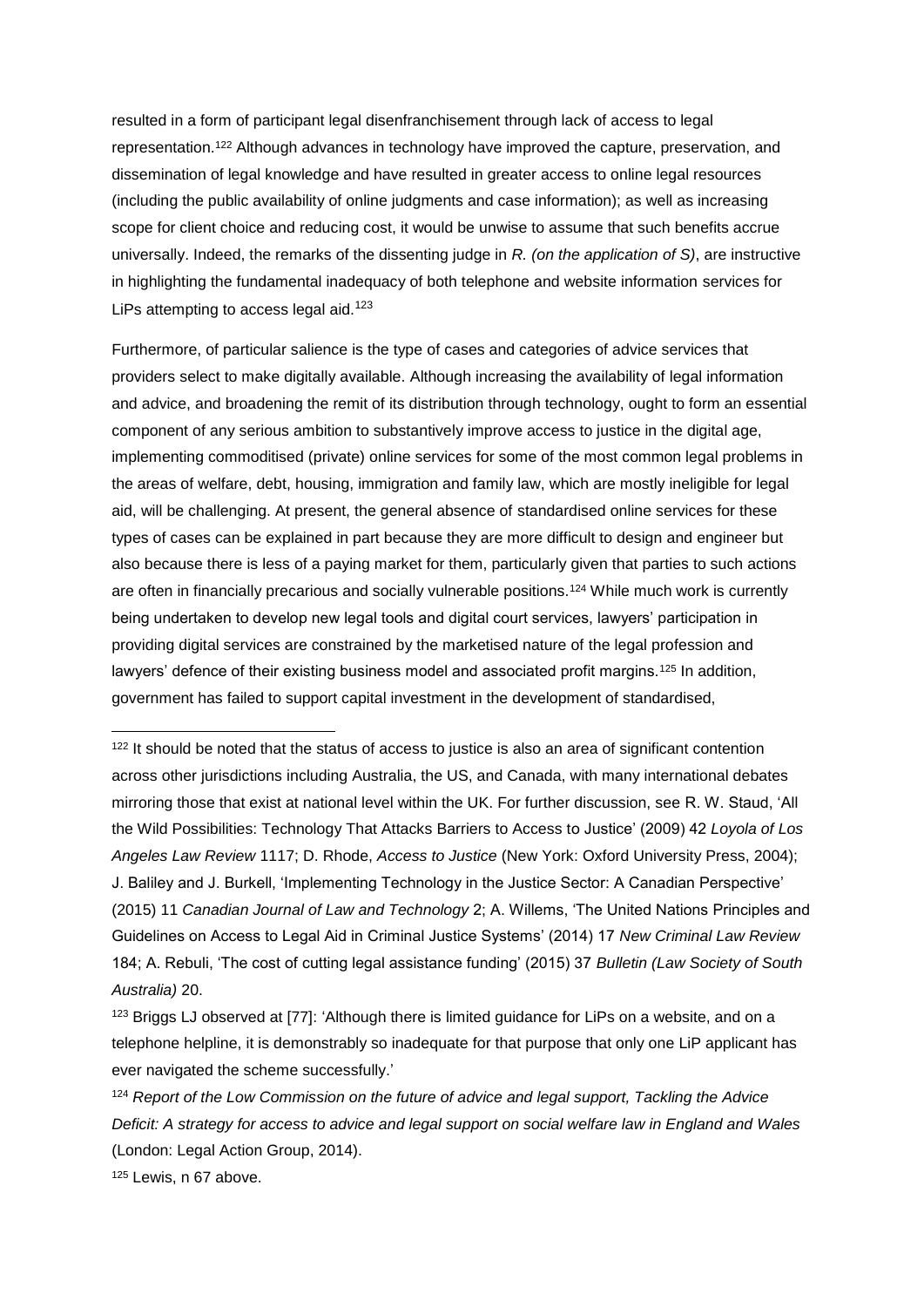resulted in a form of participant legal disenfranchisement through lack of access to legal representation.<sup>122</sup> Although advances in technology have improved the capture, preservation, and dissemination of legal knowledge and have resulted in greater access to online legal resources (including the public availability of online judgments and case information); as well as increasing scope for client choice and reducing cost, it would be unwise to assume that such benefits accrue universally. Indeed, the remarks of the dissenting judge in *R. (on the application of S)*, are instructive in highlighting the fundamental inadequacy of both telephone and website information services for LiPs attempting to access legal aid.<sup>123</sup>

Furthermore, of particular salience is the type of cases and categories of advice services that providers select to make digitally available. Although increasing the availability of legal information and advice, and broadening the remit of its distribution through technology, ought to form an essential component of any serious ambition to substantively improve access to justice in the digital age, implementing commoditised (private) online services for some of the most common legal problems in the areas of welfare, debt, housing, immigration and family law, which are mostly ineligible for legal aid, will be challenging. At present, the general absence of standardised online services for these types of cases can be explained in part because they are more difficult to design and engineer but also because there is less of a paying market for them, particularly given that parties to such actions are often in financially precarious and socially vulnerable positions.<sup>124</sup> While much work is currently being undertaken to develop new legal tools and digital court services, lawyers' participation in providing digital services are constrained by the marketised nature of the legal profession and lawyers' defence of their existing business model and associated profit margins.<sup>125</sup> In addition, government has failed to support capital investment in the development of standardised,

**.** 

<sup>&</sup>lt;sup>122</sup> It should be noted that the status of access to justice is also an area of significant contention across other jurisdictions including Australia, the US, and Canada, with many international debates mirroring those that exist at national level within the UK. For further discussion, see R. W. Staud, 'All the Wild Possibilities: Technology That Attacks Barriers to Access to Justice' (2009) 42 *Loyola of Los Angeles Law Review* 1117; D. Rhode, *Access to Justice* (New York: Oxford University Press, 2004); J. Baliley and J. Burkell, 'Implementing Technology in the Justice Sector: A Canadian Perspective' (2015) 11 *Canadian Journal of Law and Technology* 2; A. Willems, 'The United Nations Principles and Guidelines on Access to Legal Aid in Criminal Justice Systems' (2014) 17 *New Criminal Law Review*  184; A. Rebuli, 'The cost of cutting legal assistance funding' (2015) 37 *Bulletin (Law Society of South Australia)* 20.

<sup>&</sup>lt;sup>123</sup> Briggs LJ observed at [77]: 'Although there is limited guidance for LiPs on a website, and on a telephone helpline, it is demonstrably so inadequate for that purpose that only one LiP applicant has ever navigated the scheme successfully.'

<sup>124</sup> *Report of the Low Commission on the future of advice and legal support, Tackling the Advice Deficit: A strategy for access to advice and legal support on social welfare law in England and Wales* (London: Legal Action Group, 2014).

<sup>125</sup> Lewis, n 67 above.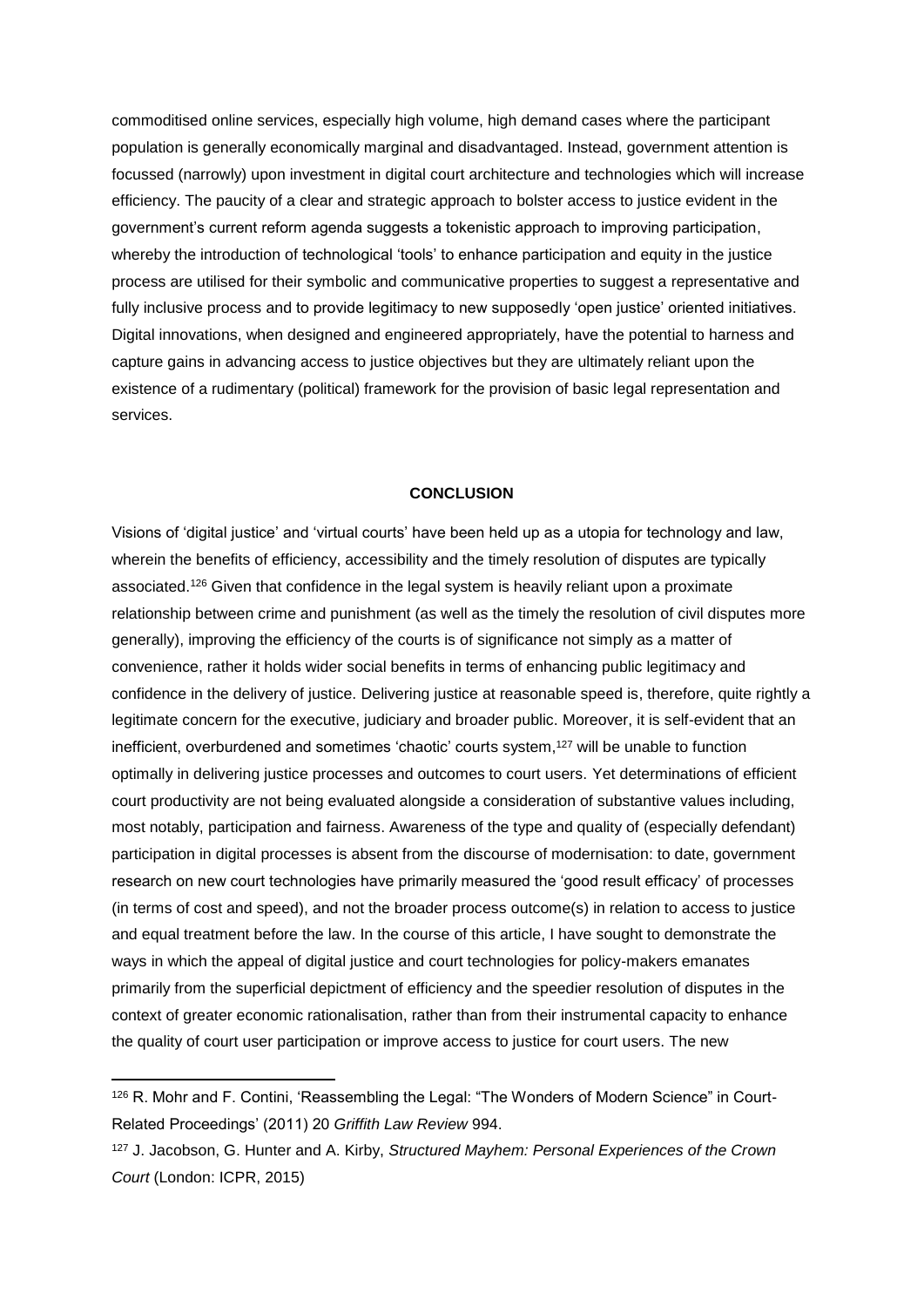commoditised online services, especially high volume, high demand cases where the participant population is generally economically marginal and disadvantaged. Instead, government attention is focussed (narrowly) upon investment in digital court architecture and technologies which will increase efficiency. The paucity of a clear and strategic approach to bolster access to justice evident in the government's current reform agenda suggests a tokenistic approach to improving participation, whereby the introduction of technological 'tools' to enhance participation and equity in the justice process are utilised for their symbolic and communicative properties to suggest a representative and fully inclusive process and to provide legitimacy to new supposedly 'open justice' oriented initiatives. Digital innovations, when designed and engineered appropriately, have the potential to harness and capture gains in advancing access to justice objectives but they are ultimately reliant upon the existence of a rudimentary (political) framework for the provision of basic legal representation and services.

### **CONCLUSION**

Visions of 'digital justice' and 'virtual courts' have been held up as a utopia for technology and law, wherein the benefits of efficiency, accessibility and the timely resolution of disputes are typically associated.<sup>126</sup> Given that confidence in the legal system is heavily reliant upon a proximate relationship between crime and punishment (as well as the timely the resolution of civil disputes more generally), improving the efficiency of the courts is of significance not simply as a matter of convenience, rather it holds wider social benefits in terms of enhancing public legitimacy and confidence in the delivery of justice. Delivering justice at reasonable speed is, therefore, quite rightly a legitimate concern for the executive, judiciary and broader public. Moreover, it is self-evident that an inefficient, overburdened and sometimes 'chaotic' courts system,<sup>127</sup> will be unable to function optimally in delivering justice processes and outcomes to court users. Yet determinations of efficient court productivity are not being evaluated alongside a consideration of substantive values including, most notably, participation and fairness. Awareness of the type and quality of (especially defendant) participation in digital processes is absent from the discourse of modernisation: to date, government research on new court technologies have primarily measured the 'good result efficacy' of processes (in terms of cost and speed), and not the broader process outcome(s) in relation to access to justice and equal treatment before the law. In the course of this article, I have sought to demonstrate the ways in which the appeal of digital justice and court technologies for policy-makers emanates primarily from the superficial depictment of efficiency and the speedier resolution of disputes in the context of greater economic rationalisation, rather than from their instrumental capacity to enhance the quality of court user participation or improve access to justice for court users. The new

<sup>126</sup> R. Mohr and F. Contini, 'Reassembling the Legal: "The Wonders of Modern Science" in Court-Related Proceedings' (2011) 20 *Griffith Law Review* 994.

<sup>127</sup> J. Jacobson, G. Hunter and A. Kirby, *Structured Mayhem: Personal Experiences of the Crown Court* (London: ICPR, 2015)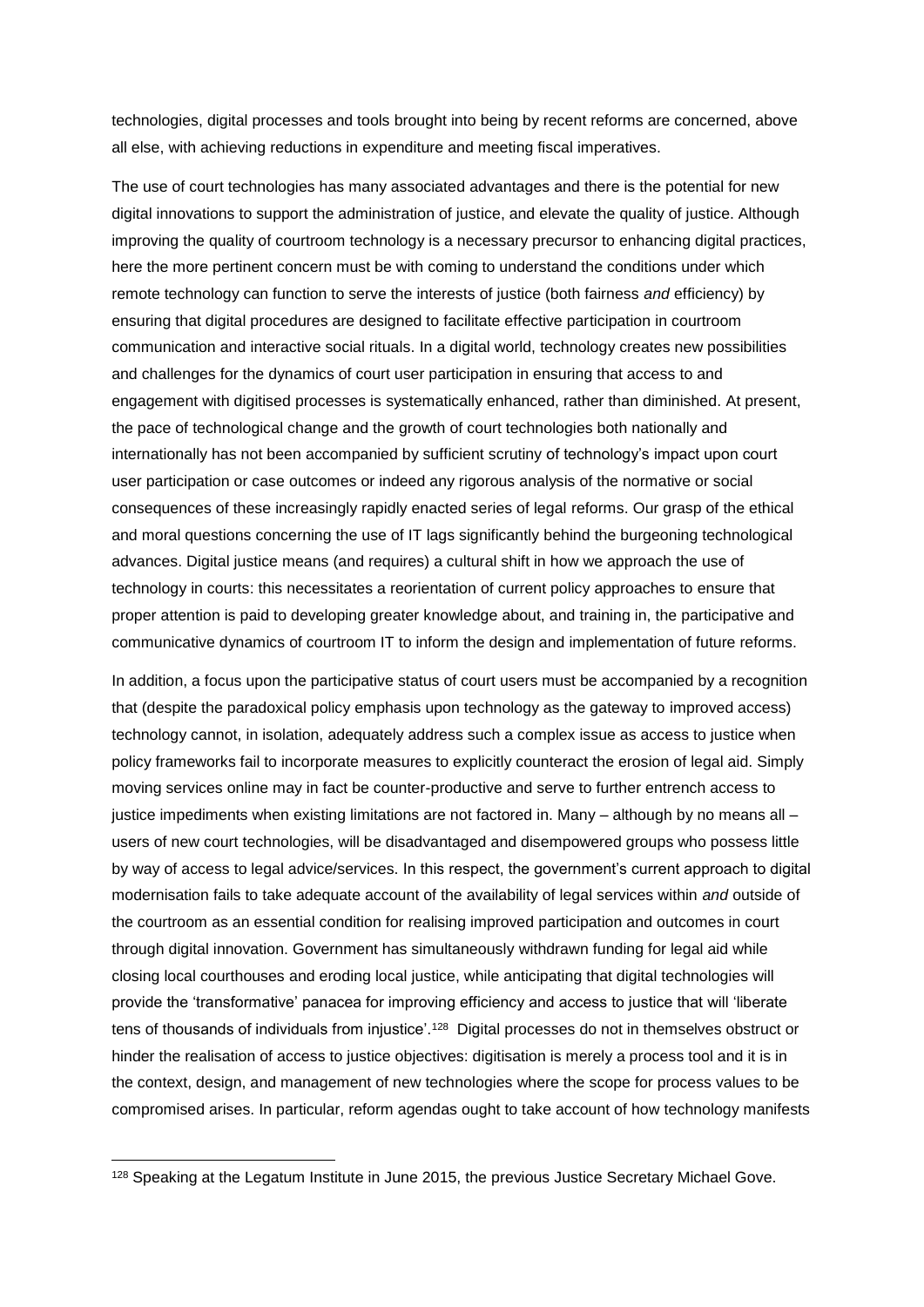technologies, digital processes and tools brought into being by recent reforms are concerned, above all else, with achieving reductions in expenditure and meeting fiscal imperatives.

The use of court technologies has many associated advantages and there is the potential for new digital innovations to support the administration of justice, and elevate the quality of justice. Although improving the quality of courtroom technology is a necessary precursor to enhancing digital practices, here the more pertinent concern must be with coming to understand the conditions under which remote technology can function to serve the interests of justice (both fairness *and* efficiency) by ensuring that digital procedures are designed to facilitate effective participation in courtroom communication and interactive social rituals. In a digital world, technology creates new possibilities and challenges for the dynamics of court user participation in ensuring that access to and engagement with digitised processes is systematically enhanced, rather than diminished. At present, the pace of technological change and the growth of court technologies both nationally and internationally has not been accompanied by sufficient scrutiny of technology's impact upon court user participation or case outcomes or indeed any rigorous analysis of the normative or social consequences of these increasingly rapidly enacted series of legal reforms. Our grasp of the ethical and moral questions concerning the use of IT lags significantly behind the burgeoning technological advances. Digital justice means (and requires) a cultural shift in how we approach the use of technology in courts: this necessitates a reorientation of current policy approaches to ensure that proper attention is paid to developing greater knowledge about, and training in, the participative and communicative dynamics of courtroom IT to inform the design and implementation of future reforms.

In addition, a focus upon the participative status of court users must be accompanied by a recognition that (despite the paradoxical policy emphasis upon technology as the gateway to improved access) technology cannot, in isolation, adequately address such a complex issue as access to justice when policy frameworks fail to incorporate measures to explicitly counteract the erosion of legal aid. Simply moving services online may in fact be counter-productive and serve to further entrench access to justice impediments when existing limitations are not factored in. Many – although by no means all – users of new court technologies, will be disadvantaged and disempowered groups who possess little by way of access to legal advice/services. In this respect, the government's current approach to digital modernisation fails to take adequate account of the availability of legal services within *and* outside of the courtroom as an essential condition for realising improved participation and outcomes in court through digital innovation. Government has simultaneously withdrawn funding for legal aid while closing local courthouses and eroding local justice, while anticipating that digital technologies will provide the 'transformative' panacea for improving efficiency and access to justice that will 'liberate tens of thousands of individuals from injustice'.<sup>128</sup> Digital processes do not in themselves obstruct or hinder the realisation of access to justice objectives: digitisation is merely a process tool and it is in the context, design, and management of new technologies where the scope for process values to be compromised arises. In particular, reform agendas ought to take account of how technology manifests

<sup>&</sup>lt;sup>128</sup> Speaking at the Legatum Institute in June 2015, the previous Justice Secretary Michael Gove.